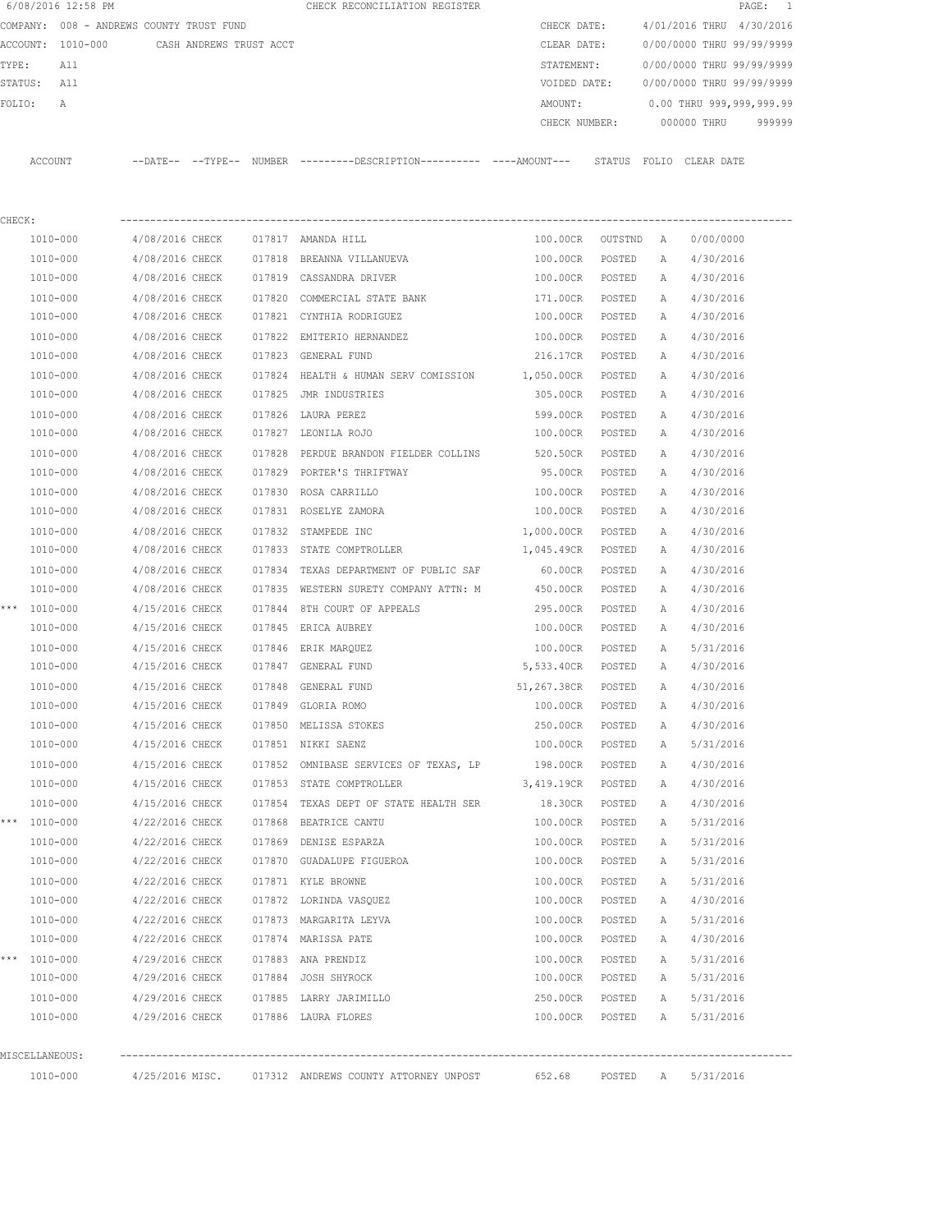|         | 6/08/2016 12:58 PM                       |                 |                         |        | CHECK RECONCILIATION REGISTER                                                                |                 |         |                   | $\texttt{PAGE}$ :         | $\mathbf{1}$ |
|---------|------------------------------------------|-----------------|-------------------------|--------|----------------------------------------------------------------------------------------------|-----------------|---------|-------------------|---------------------------|--------------|
|         | COMPANY: 008 - ANDREWS COUNTY TRUST FUND |                 |                         |        |                                                                                              | CHECK DATE:     |         |                   | 4/01/2016 THRU 4/30/2016  |              |
|         | ACCOUNT: 1010-000                        |                 | CASH ANDREWS TRUST ACCT |        |                                                                                              | CLEAR DATE:     |         |                   | 0/00/0000 THRU 99/99/9999 |              |
| TYPE:   | All                                      |                 |                         |        |                                                                                              | STATEMENT:      |         |                   | 0/00/0000 THRU 99/99/9999 |              |
| STATUS: | All                                      |                 |                         |        |                                                                                              | VOIDED DATE:    |         |                   | 0/00/0000 THRU 99/99/9999 |              |
| FOLIO:  | А                                        |                 |                         |        |                                                                                              | AMOUNT:         |         |                   | 0.00 THRU 999,999,999.99  |              |
|         |                                          |                 |                         |        |                                                                                              | CHECK NUMBER:   |         |                   | 000000 THRU               | 999999       |
|         |                                          |                 |                         |        |                                                                                              |                 |         |                   |                           |              |
|         | ACCOUNT                                  |                 |                         |        | --DATE-- --TYPE-- NUMBER --------DESCRIPTION---------- ----AMOUNT--- STATUS FOLIO CLEAR DATE |                 |         |                   |                           |              |
|         |                                          |                 |                         |        |                                                                                              |                 |         |                   |                           |              |
|         |                                          |                 |                         |        |                                                                                              |                 |         |                   |                           |              |
| CHECK:  |                                          |                 |                         |        |                                                                                              |                 |         |                   |                           |              |
|         | 1010-000                                 | 4/08/2016 CHECK |                         |        | 017817 AMANDA HILL                                                                           | 100.00CR        | OUTSTND | A                 | 0/00/0000                 |              |
|         | 1010-000                                 | 4/08/2016 CHECK |                         |        | 017818 BREANNA VILLANUEVA                                                                    | 100.00CR        | POSTED  | Α                 | 4/30/2016                 |              |
|         | 1010-000                                 | 4/08/2016 CHECK |                         |        | 017819 CASSANDRA DRIVER                                                                      | 100.00CR        | POSTED  | A                 | 4/30/2016                 |              |
|         | 1010-000                                 | 4/08/2016 CHECK |                         |        | 017820 COMMERCIAL STATE BANK                                                                 | 171.00CR        | POSTED  | A                 | 4/30/2016                 |              |
|         | 1010-000                                 | 4/08/2016 CHECK |                         |        | 017821 CYNTHIA RODRIGUEZ                                                                     | 100.00CR        | POSTED  | A                 | 4/30/2016                 |              |
|         | 1010-000                                 | 4/08/2016 CHECK |                         |        | 017822 EMITERIO HERNANDEZ                                                                    | 100.00CR        | POSTED  | А                 | 4/30/2016                 |              |
|         | 1010-000                                 | 4/08/2016 CHECK |                         |        | 017823 GENERAL FUND                                                                          | 216.17CR        | POSTED  | А                 | 4/30/2016                 |              |
|         | 1010-000                                 | 4/08/2016 CHECK |                         | 017824 | HEALTH & HUMAN SERV COMISSION 1,050.00CR                                                     |                 | POSTED  | Α                 | 4/30/2016                 |              |
|         | 1010-000                                 | 4/08/2016 CHECK |                         |        | 017825 JMR INDUSTRIES                                                                        | 305.00CR        | POSTED  | Α                 | 4/30/2016                 |              |
|         | 1010-000                                 | 4/08/2016 CHECK |                         |        | 017826 LAURA PEREZ                                                                           | 599.00CR        | POSTED  | Α                 | 4/30/2016                 |              |
|         | 1010-000                                 | 4/08/2016 CHECK |                         |        | 017827 LEONILA ROJO                                                                          | 100.00CR        | POSTED  | Α                 | 4/30/2016                 |              |
|         | 1010-000                                 | 4/08/2016 CHECK |                         |        | 017828 PERDUE BRANDON FIELDER COLLINS                                                        | 520.50CR        | POSTED  | Α                 | 4/30/2016                 |              |
|         | 1010-000                                 | 4/08/2016 CHECK |                         |        | 017829 PORTER'S THRIFTWAY                                                                    | 95.00CR         | POSTED  | Α                 | 4/30/2016                 |              |
|         | 1010-000                                 | 4/08/2016 CHECK |                         |        | 017830 ROSA CARRILLO                                                                         | 100.00CR        | POSTED  | Α                 | 4/30/2016                 |              |
|         | 1010-000                                 | 4/08/2016 CHECK |                         |        | 017831 ROSELYE ZAMORA                                                                        | 100.00CR        | POSTED  | Α                 | 4/30/2016                 |              |
|         | 1010-000                                 | 4/08/2016 CHECK |                         | 017832 | STAMPEDE INC                                                                                 | 1,000.00CR      | POSTED  | Α                 | 4/30/2016                 |              |
|         | 1010-000                                 | 4/08/2016 CHECK |                         | 017833 | STATE COMPTROLLER                                                                            | 1,045.49CR      | POSTED  | Α                 | 4/30/2016                 |              |
|         | 1010-000                                 | 4/08/2016 CHECK |                         | 017834 | TEXAS DEPARTMENT OF PUBLIC SAF                                                               | 60.00CR         | POSTED  | Α                 | 4/30/2016                 |              |
|         | 1010-000                                 | 4/08/2016 CHECK |                         |        | 017835 WESTERN SURETY COMPANY ATTN: M                                                        | 450.00CR        | POSTED  | Α                 | 4/30/2016                 |              |
|         | *** 1010-000                             | 4/15/2016 CHECK |                         | 017844 | 8TH COURT OF APPEALS                                                                         | 295.00CR        | POSTED  | Α                 | 4/30/2016                 |              |
|         | 1010-000                                 | 4/15/2016 CHECK |                         |        | 017845 ERICA AUBREY                                                                          | 100.00CR        | POSTED  | Α                 | 4/30/2016                 |              |
|         | 1010-000                                 | 4/15/2016 CHECK |                         | 017846 | ERIK MARQUEZ                                                                                 | 100.00CR        | POSTED  | Α                 | 5/31/2016                 |              |
|         | 1010-000                                 | 4/15/2016 CHECK |                         |        | 017847 GENERAL FUND                                                                          | 5,533.40CR      | POSTED  | A                 | 4/30/2016                 |              |
|         | 1010-000                                 | 4/15/2016 CHECK |                         |        | 017848 GENERAL FUND                                                                          | 51,267.38CR     | POSTED  | Α                 | 4/30/2016                 |              |
|         | 1010-000                                 | 4/15/2016 CHECK |                         |        | 017849 GLORIA ROMO                                                                           | 100.00CR        | POSTED  | Α                 | 4/30/2016                 |              |
|         | 1010-000                                 | 4/15/2016 CHECK |                         |        | 017850 MELISSA STOKES                                                                        | 250.00CR        | POSTED  | Α                 | 4/30/2016                 |              |
|         | 1010-000                                 | 4/15/2016 CHECK |                         |        | 017851 NIKKI SAENZ                                                                           | 100.00CR        | POSTED  | A                 | 5/31/2016                 |              |
|         | 1010-000                                 | 4/15/2016 CHECK |                         |        | 017852 OMNIBASE SERVICES OF TEXAS, LP                                                        | 198.00CR        | POSTED  | Α                 | 4/30/2016                 |              |
|         | 1010-000                                 | 4/15/2016 CHECK |                         |        | 017853 STATE COMPTROLLER                                                                     | 3,419.19CR      | POSTED  | Α                 | 4/30/2016                 |              |
|         | 1010-000                                 | 4/15/2016 CHECK |                         |        | 017854 TEXAS DEPT OF STATE HEALTH SER                                                        | 18.30CR         | POSTED  | A                 | 4/30/2016                 |              |
|         | *** 1010-000                             | 4/22/2016 CHECK |                         |        | 017868 BEATRICE CANTU                                                                        | 100.00CR        | POSTED  | Α                 | 5/31/2016                 |              |
|         | 1010-000                                 | 4/22/2016 CHECK |                         |        | 017869 DENISE ESPARZA                                                                        | 100.00CR        | POSTED  | Α                 | 5/31/2016                 |              |
|         | 1010-000                                 | 4/22/2016 CHECK |                         |        | 017870 GUADALUPE FIGUEROA                                                                    | 100.00CR        | POSTED  | Α                 | 5/31/2016                 |              |
|         | 1010-000                                 | 4/22/2016 CHECK |                         |        | 017871 KYLE BROWNE                                                                           | 100.00CR        | POSTED  | Α                 | 5/31/2016                 |              |
|         | 1010-000                                 | 4/22/2016 CHECK |                         |        | 017872 LORINDA VASQUEZ                                                                       | 100.00CR        | POSTED  | Α                 | 4/30/2016                 |              |
|         | 1010-000                                 |                 | 4/22/2016 CHECK         |        | 017873 MARGARITA LEYVA                                                                       | 100.00CR        | POSTED  | Α                 | 5/31/2016                 |              |
|         | 1010-000                                 | 4/22/2016 CHECK |                         |        | 017874 MARISSA PATE                                                                          | 100.00CR        | POSTED  | Α                 | 4/30/2016                 |              |
|         | *** 1010-000                             | 4/29/2016 CHECK |                         |        | 017883 ANA PRENDIZ                                                                           | 100.00CR        | POSTED  | Α                 | 5/31/2016                 |              |
|         | 1010-000                                 |                 |                         |        | 4/29/2016 CHECK 017884 JOSH SHYROCK                                                          | 100.00CR        | POSTED  | A                 | 5/31/2016                 |              |
|         |                                          |                 |                         |        |                                                                                              |                 |         |                   |                           |              |
|         | 1010-000                                 |                 |                         |        | 4/29/2016 CHECK 017885 LARRY JARIMILLO                                                       | 250.00CR        | POSTED  | A                 | 5/31/2016                 |              |
|         | 1010-000                                 |                 |                         |        | 4/29/2016 CHECK 017886 LAURA FLORES                                                          | 100.00CR POSTED |         | $A \qquad \qquad$ | 5/31/2016                 |              |
|         |                                          |                 |                         |        |                                                                                              |                 |         |                   |                           |              |
|         | MISCELLANEOUS:                           |                 |                         |        |                                                                                              |                 |         |                   |                           |              |
|         | 1010-000                                 |                 |                         |        | 4/25/2016 MISC. 017312 ANDREWS COUNTY ATTORNEY UNPOST 652.68                                 |                 |         |                   | POSTED A 5/31/2016        |              |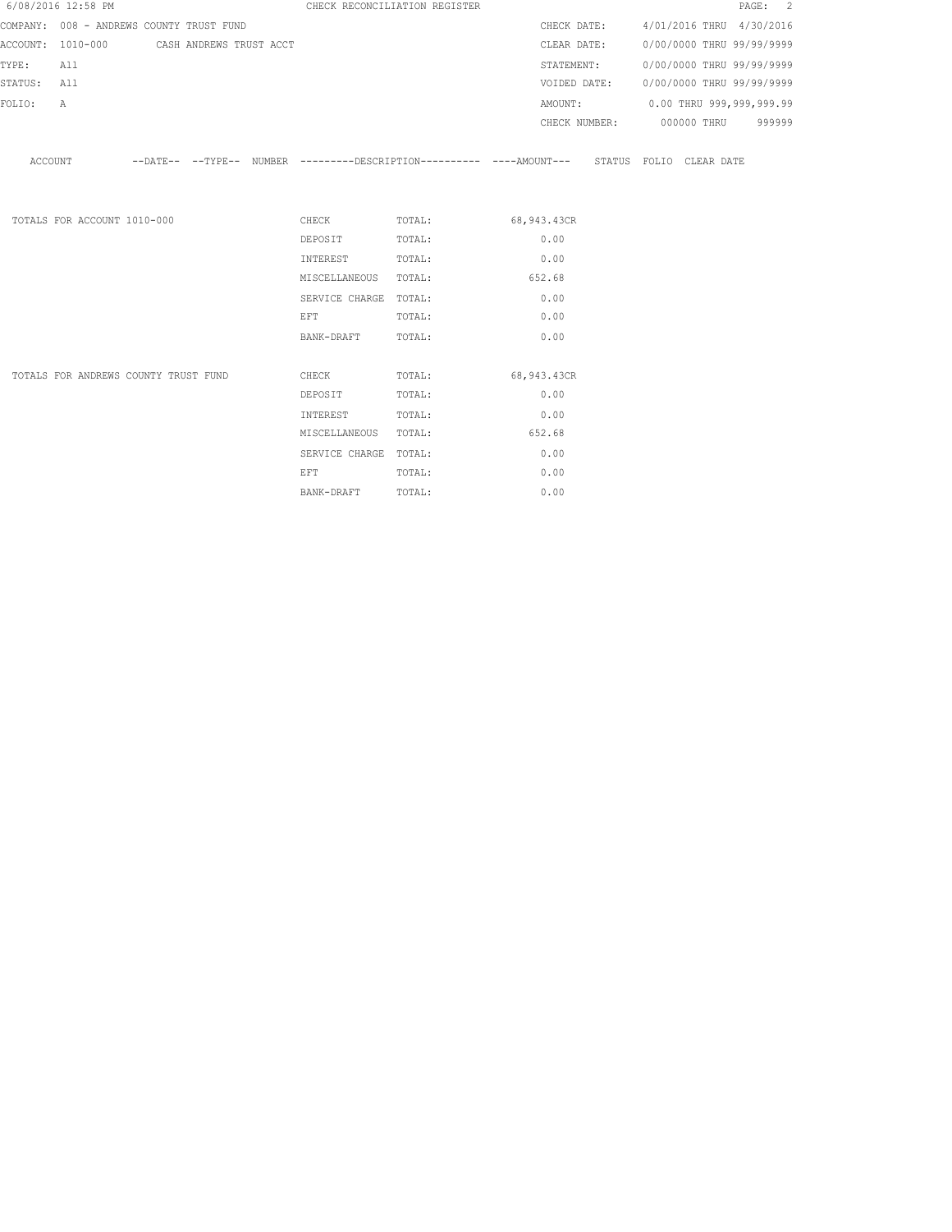|             | 6/08/2016 12:58 PM                        |  | CHECK RECONCILIATION REGISTER                                                                                                                                                                                                  |                                                                                                     |        |  | PAGE: 2                                |
|-------------|-------------------------------------------|--|--------------------------------------------------------------------------------------------------------------------------------------------------------------------------------------------------------------------------------|-----------------------------------------------------------------------------------------------------|--------|--|----------------------------------------|
|             | COMPANY: 008 - ANDREWS COUNTY TRUST FUND  |  |                                                                                                                                                                                                                                |                                                                                                     |        |  | CHECK DATE: 4/01/2016 THRU 4/30/2016   |
|             | ACCOUNT: 1010-000 CASH ANDREWS TRUST ACCT |  |                                                                                                                                                                                                                                |                                                                                                     |        |  | CLEAR DATE: 0/00/0000 THRU 99/99/9999  |
| TYPE:       | All                                       |  |                                                                                                                                                                                                                                |                                                                                                     |        |  | STATEMENT: 0/00/0000 THRU 99/99/9999   |
| STATUS: All |                                           |  |                                                                                                                                                                                                                                |                                                                                                     |        |  | VOIDED DATE: 0/00/0000 THRU 99/99/9999 |
| FOLIO:      | $\mathbb{A}$                              |  |                                                                                                                                                                                                                                |                                                                                                     |        |  | AMOUNT: 0.00 THRU 999,999,999.99       |
|             |                                           |  |                                                                                                                                                                                                                                |                                                                                                     |        |  | CHECK NUMBER: 000000 THRU 999999       |
|             |                                           |  |                                                                                                                                                                                                                                | ACCOUNT --DATE-- --TYPE-- NUMBER --------DESCRIPTION---------- ---AMOUNT--- STATUS FOLIO CLEAR DATE |        |  |                                        |
|             | TOTALS FOR ACCOUNT 1010-000               |  |                                                                                                                                                                                                                                | CHECK TOTAL: 68,943.43CR                                                                            |        |  |                                        |
|             |                                           |  | DEPOSIT                                                                                                                                                                                                                        | TOTAL:                                                                                              | 0.00   |  |                                        |
|             |                                           |  | INTEREST                                                                                                                                                                                                                       | TOTAL:                                                                                              | 0.00   |  |                                        |
|             |                                           |  | MISCELLANEOUS TOTAL:                                                                                                                                                                                                           |                                                                                                     | 652.68 |  |                                        |
|             |                                           |  | SERVICE CHARGE TOTAL:                                                                                                                                                                                                          |                                                                                                     | 0.00   |  |                                        |
|             |                                           |  | EFT FOR THE STATE OF THE STATE OF THE STATE OF THE STATE OF THE STATE OF THE STATE OF THE STATE OF THE STATE O                                                                                                                 | TOTAL:                                                                                              | 0.00   |  |                                        |
|             |                                           |  | BANK-DRAFT                                                                                                                                                                                                                     | TOTAL:                                                                                              | 0.00   |  |                                        |
|             | TOTALS FOR ANDREWS COUNTY TRUST FUND      |  |                                                                                                                                                                                                                                | CHECK TOTAL: 68,943.43CR                                                                            |        |  |                                        |
|             |                                           |  | DEPOSIT                                                                                                                                                                                                                        | TOTAL:                                                                                              | 0.00   |  |                                        |
|             |                                           |  | INTEREST                                                                                                                                                                                                                       | TOTAL:                                                                                              | 0.00   |  |                                        |
|             |                                           |  | MISCELLANEOUS TOTAL:                                                                                                                                                                                                           |                                                                                                     | 652.68 |  |                                        |
|             |                                           |  | SERVICE CHARGE TOTAL:                                                                                                                                                                                                          |                                                                                                     | 0.00   |  |                                        |
|             |                                           |  | EFT FOR THE RESIDENCE OF THE RESIDENCE OF THE RESIDENCE OF THE RESIDENCE OF THE RESIDENCE OF THE RESIDENCE OF THE RESIDENCE OF THE RESIDENCE OF THE RESIDENCE OF THE RESIDENCE OF THE RESIDENCE OF THE RESIDENCE OF THE RESIDE | TOTAL:                                                                                              | 0.00   |  |                                        |
|             |                                           |  | BANK-DRAFT                                                                                                                                                                                                                     | TOTAL:                                                                                              | 0.00   |  |                                        |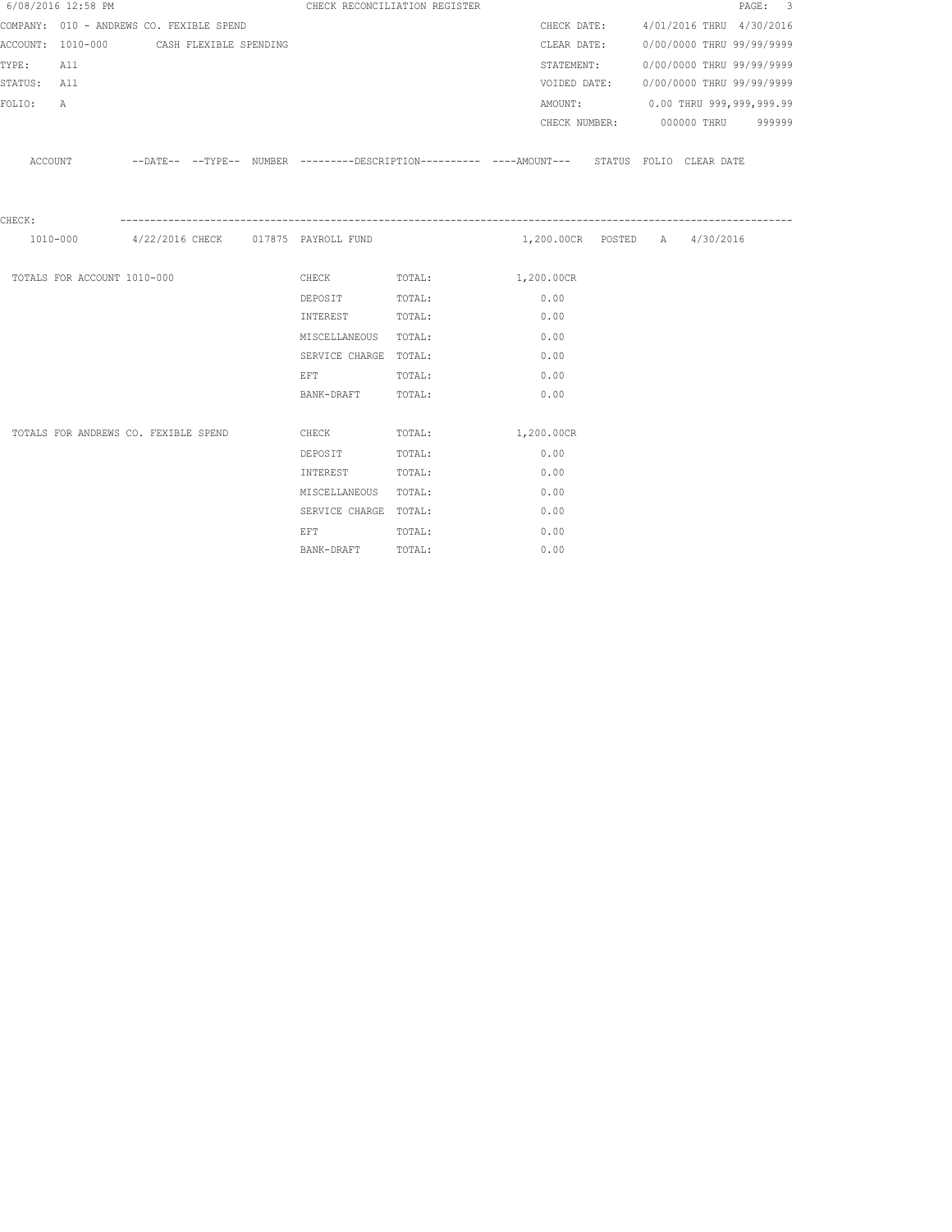|                 | 6/08/2016 12:58 PM                       |  | CHECK RECONCILIATION REGISTER                                                                                   |                                                                                                     |                               |                                        |                           | PAGE: 3 |  |
|-----------------|------------------------------------------|--|-----------------------------------------------------------------------------------------------------------------|-----------------------------------------------------------------------------------------------------|-------------------------------|----------------------------------------|---------------------------|---------|--|
|                 | COMPANY: 010 - ANDREWS CO. FEXIBLE SPEND |  |                                                                                                                 |                                                                                                     |                               | CHECK DATE: 4/01/2016 THRU 4/30/2016   |                           |         |  |
|                 | ACCOUNT: 1010-000 CASH FLEXIBLE SPENDING |  |                                                                                                                 |                                                                                                     |                               | CLEAR DATE:                            | 0/00/0000 THRU 99/99/9999 |         |  |
| TYPE:           | All                                      |  |                                                                                                                 |                                                                                                     |                               | STATEMENT:                             | 0/00/0000 THRU 99/99/9999 |         |  |
| STATUS: All     |                                          |  |                                                                                                                 |                                                                                                     |                               | VOIDED DATE: 0/00/0000 THRU 99/99/9999 |                           |         |  |
| FOLIO:          | $\mathbb{A}$                             |  |                                                                                                                 |                                                                                                     |                               | AMOUNT: 0.00 THRU 999,999,999.99       |                           |         |  |
|                 |                                          |  |                                                                                                                 |                                                                                                     |                               | CHECK NUMBER: 000000 THRU 999999       |                           |         |  |
|                 |                                          |  |                                                                                                                 |                                                                                                     |                               |                                        |                           |         |  |
|                 |                                          |  |                                                                                                                 | ACCOUNT -DATE-- --TYPE-- NUMBER ---------DESCRIPTION---------- ---AMOUNT--- STATUS FOLIO CLEAR DATE |                               |                                        |                           |         |  |
|                 |                                          |  |                                                                                                                 |                                                                                                     |                               |                                        |                           |         |  |
|                 |                                          |  |                                                                                                                 |                                                                                                     |                               |                                        |                           |         |  |
| ${\tt CHECK}$ : |                                          |  |                                                                                                                 |                                                                                                     |                               |                                        |                           |         |  |
|                 |                                          |  | $1010-000$ 4/22/2016 CHECK 017875 PAYROLL FUND                                                                  |                                                                                                     | 1,200.00CR POSTED A 4/30/2016 |                                        |                           |         |  |
|                 | TOTALS FOR ACCOUNT 1010-000              |  |                                                                                                                 | CHECK TOTAL: 1,200.00CR                                                                             |                               |                                        |                           |         |  |
|                 |                                          |  | DEPOSIT TOTAL:                                                                                                  |                                                                                                     | 0.00                          |                                        |                           |         |  |
|                 |                                          |  | INTEREST                                                                                                        | TOTAL:                                                                                              | 0.00                          |                                        |                           |         |  |
|                 |                                          |  | MISCELLANEOUS TOTAL:                                                                                            |                                                                                                     | 0.00                          |                                        |                           |         |  |
|                 |                                          |  | SERVICE CHARGE TOTAL:                                                                                           |                                                                                                     | 0.00                          |                                        |                           |         |  |
|                 |                                          |  | EFT FOR THE RESIDENCE OF A RESIDENCE OF A RESIDENCE OF A RESIDENCE OF A RESIDENCE OF A RESIDENCE OF A RESIDENCE | TOTAL:                                                                                              | 0.00                          |                                        |                           |         |  |
|                 |                                          |  | BANK-DRAFT TOTAL:                                                                                               |                                                                                                     | 0.00                          |                                        |                           |         |  |
|                 |                                          |  |                                                                                                                 |                                                                                                     |                               |                                        |                           |         |  |
|                 | TOTALS FOR ANDREWS CO. FEXIBLE SPEND     |  | <b>CHECK</b>                                                                                                    | TOTAL:                                                                                              | 1,200.00CR                    |                                        |                           |         |  |
|                 |                                          |  | DEPOSIT                                                                                                         | TOTAL:                                                                                              | 0.00                          |                                        |                           |         |  |
|                 |                                          |  | INTEREST                                                                                                        | TOTAL:                                                                                              | 0.00                          |                                        |                           |         |  |
|                 |                                          |  | MISCELLANEOUS TOTAL:                                                                                            |                                                                                                     | 0.00                          |                                        |                           |         |  |
|                 |                                          |  | SERVICE CHARGE TOTAL:                                                                                           |                                                                                                     | 0.00                          |                                        |                           |         |  |
|                 |                                          |  | EFT FOR THE STATE OF THE STATE OF THE STATE OF THE STATE OF THE STATE OF THE STATE OF THE STATE OF THE STATE O  | TOTAL:                                                                                              | 0.00                          |                                        |                           |         |  |
|                 |                                          |  | BANK-DRAFT                                                                                                      | TOTAL:                                                                                              | 0.00                          |                                        |                           |         |  |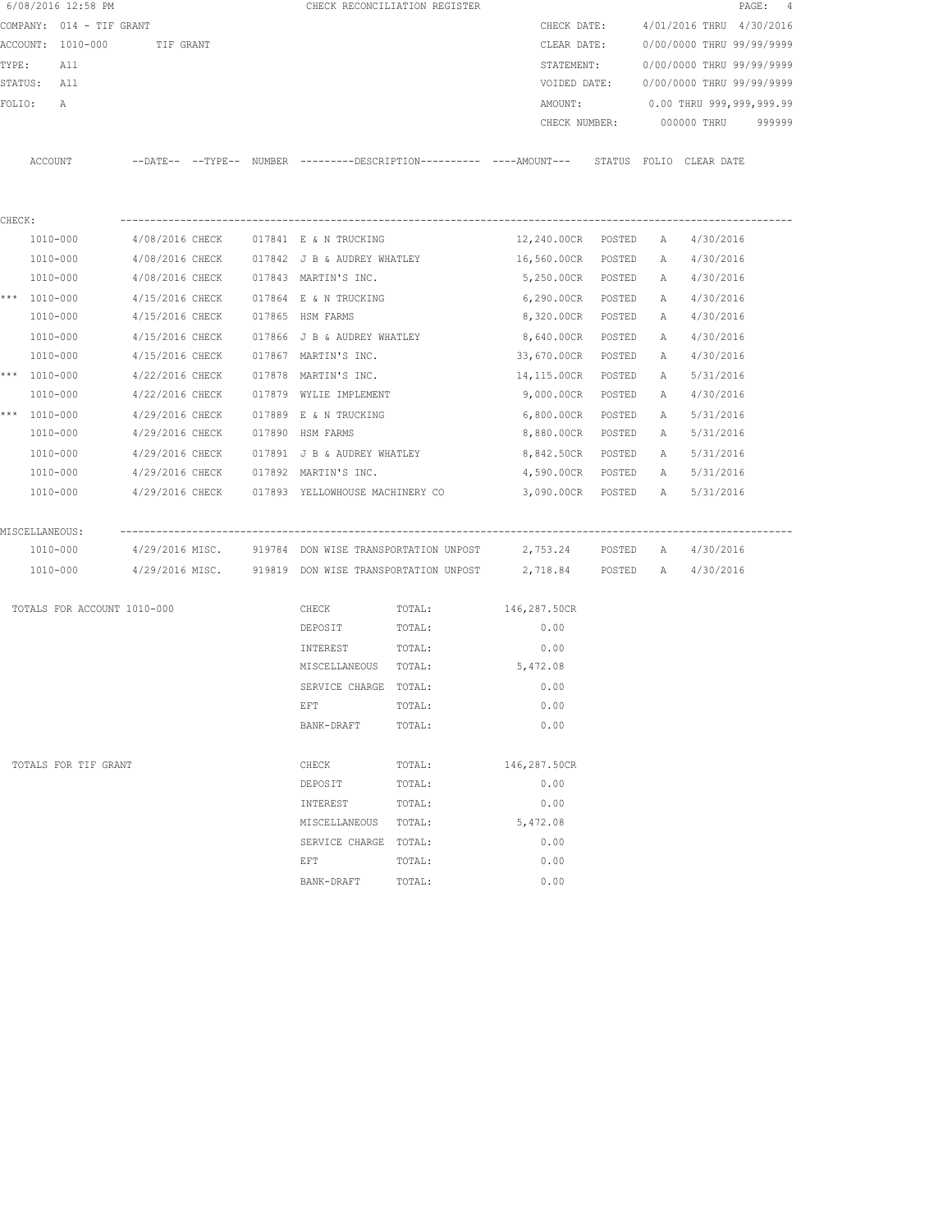|        | 6/08/2016 12:58 PM   |                                |  |                                                 | CHECK RECONCILIATION REGISTER                                                               |                    |        |   |                           | PAGE: 4 |
|--------|----------------------|--------------------------------|--|-------------------------------------------------|---------------------------------------------------------------------------------------------|--------------------|--------|---|---------------------------|---------|
|        |                      | COMPANY: 014 - TIF GRANT       |  |                                                 |                                                                                             | CHECK DATE:        |        |   | 4/01/2016 THRU 4/30/2016  |         |
|        |                      | ACCOUNT: 1010-000<br>TIF GRANT |  |                                                 |                                                                                             | CLEAR DATE:        |        |   | 0/00/0000 THRU 99/99/9999 |         |
|        | TYPE:<br>All         |                                |  |                                                 |                                                                                             | STATEMENT:         |        |   | 0/00/0000 THRU 99/99/9999 |         |
|        | STATUS: All          |                                |  |                                                 |                                                                                             | VOIDED DATE:       |        |   | 0/00/0000 THRU 99/99/9999 |         |
| FOLIO: | А                    |                                |  |                                                 |                                                                                             | AMOUNT:            |        |   | 0.00 THRU 999,999,999.99  |         |
|        |                      |                                |  |                                                 |                                                                                             | CHECK NUMBER:      |        |   | 000000 THRU               | 999999  |
|        |                      |                                |  |                                                 |                                                                                             |                    |        |   |                           |         |
|        | ACCOUNT              |                                |  |                                                 | --DATE-- --TYPE-- NUMBER --------DESCRIPTION---------- ----AMOUNT--- STATUS FOLIO CLEARDATE |                    |        |   |                           |         |
|        |                      |                                |  |                                                 |                                                                                             |                    |        |   |                           |         |
|        |                      |                                |  |                                                 |                                                                                             |                    |        |   |                           |         |
| CHECK: |                      |                                |  |                                                 |                                                                                             |                    |        |   |                           |         |
|        | 1010-000             | 4/08/2016 CHECK                |  | 017841 E & N TRUCKING                           |                                                                                             | 12,240.00CR POSTED |        | A | 4/30/2016                 |         |
|        | 1010-000             | 4/08/2016 CHECK                |  | 017842 J B & AUDREY WHATLEY                     |                                                                                             | 16,560.00CR        | POSTED | A | 4/30/2016                 |         |
|        | 1010-000             | 4/08/2016 CHECK                |  | 017843 MARTIN'S INC.                            |                                                                                             | 5,250.00CR         | POSTED | A | 4/30/2016                 |         |
|        | *** 1010-000         | 4/15/2016 CHECK                |  | 017864 E & N TRUCKING                           |                                                                                             | 6,290.00CR         | POSTED | А | 4/30/2016                 |         |
|        | 1010-000             | 4/15/2016 CHECK                |  | 017865 HSM FARMS                                |                                                                                             | 8,320.00CR         | POSTED | А | 4/30/2016                 |         |
|        | 1010-000             | 4/15/2016 CHECK                |  | 017866 J B & AUDREY WHATLEY                     |                                                                                             | 8,640.00CR         | POSTED | Α | 4/30/2016                 |         |
|        | 1010-000             | 4/15/2016 CHECK                |  | 017867 MARTIN'S INC.                            |                                                                                             | 33,670.00CR        | POSTED | А | 4/30/2016                 |         |
|        | *** 1010-000         | 4/22/2016 CHECK                |  | 017878 MARTIN'S INC.                            |                                                                                             | 14,115.00CR        | POSTED | Α | 5/31/2016                 |         |
|        | 1010-000             | 4/22/2016 CHECK                |  | 017879 WYLIE IMPLEMENT                          |                                                                                             | 9,000.00CR         | POSTED | A | 4/30/2016                 |         |
|        | *** 1010-000         | 4/29/2016 CHECK                |  | 017889 E & N TRUCKING                           |                                                                                             | 6,800.00CR         | POSTED | A | 5/31/2016                 |         |
|        | 1010-000             | 4/29/2016 CHECK                |  | 017890 HSM FARMS                                |                                                                                             | 8,880.00CR         | POSTED | A | 5/31/2016                 |         |
|        | 1010-000             | 4/29/2016 CHECK                |  | 017891 J B & AUDREY WHATLEY                     |                                                                                             | 8,842.50CR         | POSTED | Α | 5/31/2016                 |         |
|        | 1010-000             | 4/29/2016 CHECK                |  | 017892 MARTIN'S INC.                            |                                                                                             | 4,590.00CR         | POSTED | A | 5/31/2016                 |         |
|        | 1010-000             |                                |  | 4/29/2016 CHECK 017893 YELLOWHOUSE MACHINERY CO |                                                                                             | 3,090.00CR POSTED  |        | A | 5/31/2016                 |         |
|        |                      |                                |  |                                                 |                                                                                             |                    |        |   |                           |         |
|        | MISCELLANEOUS:       | -------------                  |  |                                                 |                                                                                             |                    |        |   |                           |         |
|        | 1010-000             |                                |  |                                                 | 4/29/2016 MISC. 919784 DON WISE TRANSPORTATION UNPOST 2,753.24 POSTED A 4/30/2016           |                    |        |   |                           |         |
|        | 1010-000             |                                |  |                                                 | $4/29/2016$ MISC. 919819 DON WISE TRANSPORTATION UNPOST $2,718.84$ POSTED A $4/30/2016$     |                    |        |   |                           |         |
|        |                      |                                |  |                                                 |                                                                                             |                    |        |   |                           |         |
|        |                      | TOTALS FOR ACCOUNT 1010-000    |  | CHECK                                           | TOTAL:                                                                                      | 146,287.50CR       |        |   |                           |         |
|        |                      |                                |  | DEPOSIT                                         | TOTAL:                                                                                      | 0.00               |        |   |                           |         |
|        |                      |                                |  | INTEREST                                        | TOTAL:                                                                                      | 0.00               |        |   |                           |         |
|        |                      |                                |  | MISCELLANEOUS TOTAL:                            |                                                                                             | 5,472.08           |        |   |                           |         |
|        |                      |                                |  | SERVICE CHARGE TOTAL:                           |                                                                                             | 0.00               |        |   |                           |         |
|        |                      |                                |  | EFT                                             | TOTAL:                                                                                      | 0.00               |        |   |                           |         |
|        |                      |                                |  | BANK-DRAFT                                      | TOTAL:                                                                                      | 0.00               |        |   |                           |         |
|        |                      |                                |  |                                                 |                                                                                             |                    |        |   |                           |         |
|        | TOTALS FOR TIF GRANT |                                |  | CHECK                                           | TOTAL:                                                                                      | 146,287.50CR       |        |   |                           |         |
|        |                      |                                |  | DEPOSIT                                         | TOTAL:                                                                                      | 0.00               |        |   |                           |         |
|        |                      |                                |  | INTEREST                                        | TOTAL:                                                                                      | 0.00               |        |   |                           |         |
|        |                      |                                |  | MISCELLANEOUS                                   | TOTAL:                                                                                      | 5,472.08           |        |   |                           |         |
|        |                      |                                |  | SERVICE CHARGE                                  | TOTAL:                                                                                      | 0.00               |        |   |                           |         |
|        |                      |                                |  | EFT                                             | TOTAL:                                                                                      | 0.00               |        |   |                           |         |
|        |                      |                                |  | BANK-DRAFT                                      | TOTAL:                                                                                      | 0.00               |        |   |                           |         |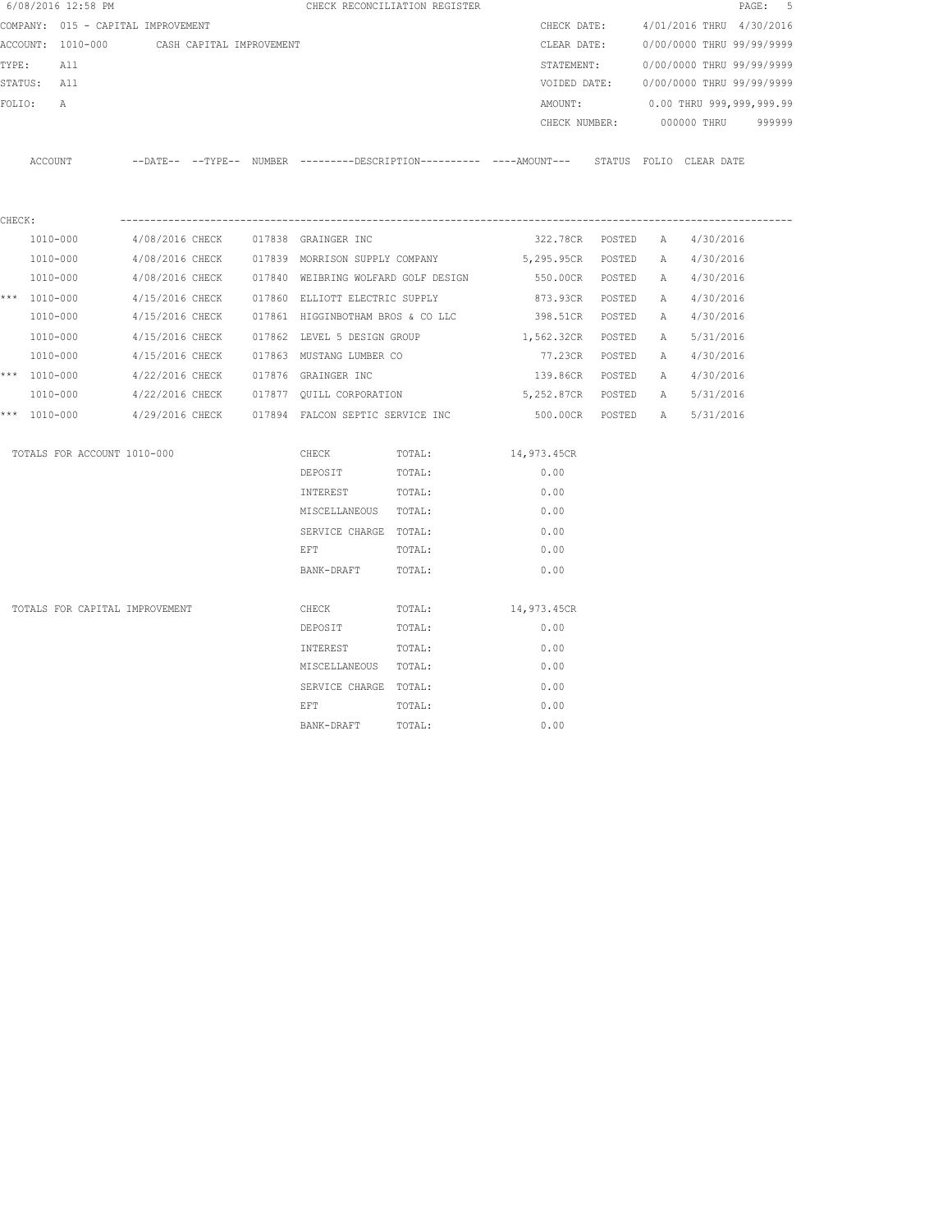|        | 6/08/2016 12:58 PM                         |  |                                                                                                                | CHECK RECONCILIATION REGISTER                    |                                                                                             |   |                                        | PAGE: 5 |
|--------|--------------------------------------------|--|----------------------------------------------------------------------------------------------------------------|--------------------------------------------------|---------------------------------------------------------------------------------------------|---|----------------------------------------|---------|
|        | COMPANY: 015 - CAPITAL IMPROVEMENT         |  |                                                                                                                |                                                  |                                                                                             |   | CHECK DATE: 4/01/2016 THRU 4/30/2016   |         |
|        | ACCOUNT: 1010-000 CASH CAPITAL IMPROVEMENT |  |                                                                                                                |                                                  |                                                                                             |   | CLEAR DATE: 0/00/0000 THRU 99/99/9999  |         |
| TYPE:  | All                                        |  |                                                                                                                |                                                  |                                                                                             |   | STATEMENT: 0/00/0000 THRU 99/99/9999   |         |
|        | STATUS: All                                |  |                                                                                                                |                                                  |                                                                                             |   | VOIDED DATE: 0/00/0000 THRU 99/99/9999 |         |
| FOLIO: | Α                                          |  |                                                                                                                |                                                  | AMOUNT:                                                                                     |   | 0.00 THRU 999,999,999.99               |         |
|        |                                            |  |                                                                                                                |                                                  |                                                                                             |   | CHECK NUMBER: 000000 THRU 999999       |         |
|        | ACCOUNT                                    |  |                                                                                                                |                                                  | --DATE-- --TYPE-- NUMBER --------DESCRIPTION---------- ----AMOUNT--- STATUS FOLIO CLEARDATE |   |                                        |         |
| CHECK: |                                            |  |                                                                                                                |                                                  |                                                                                             |   |                                        |         |
|        | 1010-000                                   |  | 4/08/2016 CHECK 017838 GRAINGER INC                                                                            |                                                  | 322.78CR POSTED A                                                                           |   | 4/30/2016                              |         |
|        | 1010-000                                   |  |                                                                                                                |                                                  | 4/08/2016 CHECK 017839 MORRISON SUPPLY COMPANY 5,295.95CR POSTED A 4/30/2016                |   |                                        |         |
|        | 1010-000                                   |  |                                                                                                                |                                                  | 4/08/2016 CHECK 017840 WEIBRING WOLFARD GOLF DESIGN 6550.00CR POSTED A 4/30/2016            |   |                                        |         |
|        | *** $1010 - 000$                           |  |                                                                                                                | 4/15/2016 CHECK 017860 ELLIOTT ELECTRIC SUPPLY   | 873.93CR POSTED                                                                             |   | A 4/30/2016                            |         |
|        | 1010-000                                   |  |                                                                                                                |                                                  | 4/15/2016 CHECK 017861 HIGGINBOTHAM BROS & CO LLC 398.51CR POSTED                           |   | A 4/30/2016                            |         |
|        | 1010-000                                   |  | 4/15/2016 CHECK 017862 LEVEL 5 DESIGN GROUP                                                                    |                                                  | 1,562.32CR POSTED                                                                           | A | 5/31/2016                              |         |
|        | 1010-000                                   |  | 4/15/2016 CHECK 017863 MUSTANG LUMBER CO                                                                       |                                                  | 77.23CR POSTED                                                                              |   | A 4/30/2016                            |         |
|        | *** $1010 - 000$                           |  | 4/22/2016 CHECK 017876 GRAINGER INC                                                                            |                                                  | 139.86CR POSTED                                                                             |   | A 4/30/2016                            |         |
|        | 1010-000                                   |  |                                                                                                                |                                                  | $4/22/2016$ CHECK $017877$ QUILL CORPORATION 5,252.87CR POSTED                              | A | 5/31/2016                              |         |
|        | *** 1010-000                               |  |                                                                                                                | 4/29/2016 CHECK 017894 FALCON SEPTIC SERVICE INC |                                                                                             |   | 500.00CR POSTED A 5/31/2016            |         |
|        | TOTALS FOR ACCOUNT 1010-000                |  | CHECK                                                                                                          | TOTAL:                                           | 14,973.45CR                                                                                 |   |                                        |         |
|        |                                            |  | DEPOSIT                                                                                                        | TOTAL:                                           | 0.00                                                                                        |   |                                        |         |
|        |                                            |  | INTEREST TOTAL:                                                                                                |                                                  | 0.00                                                                                        |   |                                        |         |
|        |                                            |  | MISCELLANEOUS TOTAL:                                                                                           |                                                  | 0.00                                                                                        |   |                                        |         |
|        |                                            |  | SERVICE CHARGE TOTAL:                                                                                          |                                                  | 0.00                                                                                        |   |                                        |         |
|        |                                            |  | EFT FOR THE STATE OF THE STATE OF THE STATE OF THE STATE OF THE STATE OF THE STATE OF THE STATE OF THE STATE O | TOTAL:                                           | 0.00                                                                                        |   |                                        |         |
|        |                                            |  | BANK-DRAFT                                                                                                     | TOTAL:                                           | 0.00                                                                                        |   |                                        |         |
|        | TOTALS FOR CAPITAL IMPROVEMENT             |  | CHECK                                                                                                          | TOTAL:                                           | 14,973.45CR                                                                                 |   |                                        |         |
|        |                                            |  | DEPOSIT                                                                                                        | TOTAL:                                           | 0.00                                                                                        |   |                                        |         |
|        |                                            |  | INTEREST                                                                                                       | TOTAL:                                           | 0.00                                                                                        |   |                                        |         |
|        |                                            |  | MISCELLANEOUS TOTAL:                                                                                           |                                                  | 0.00                                                                                        |   |                                        |         |
|        |                                            |  | SERVICE CHARGE TOTAL:                                                                                          |                                                  | 0.00                                                                                        |   |                                        |         |
|        |                                            |  | EFT                                                                                                            | TOTAL:                                           | 0.00                                                                                        |   |                                        |         |
|        |                                            |  | BANK-DRAFT                                                                                                     | TOTAL:                                           | 0.00                                                                                        |   |                                        |         |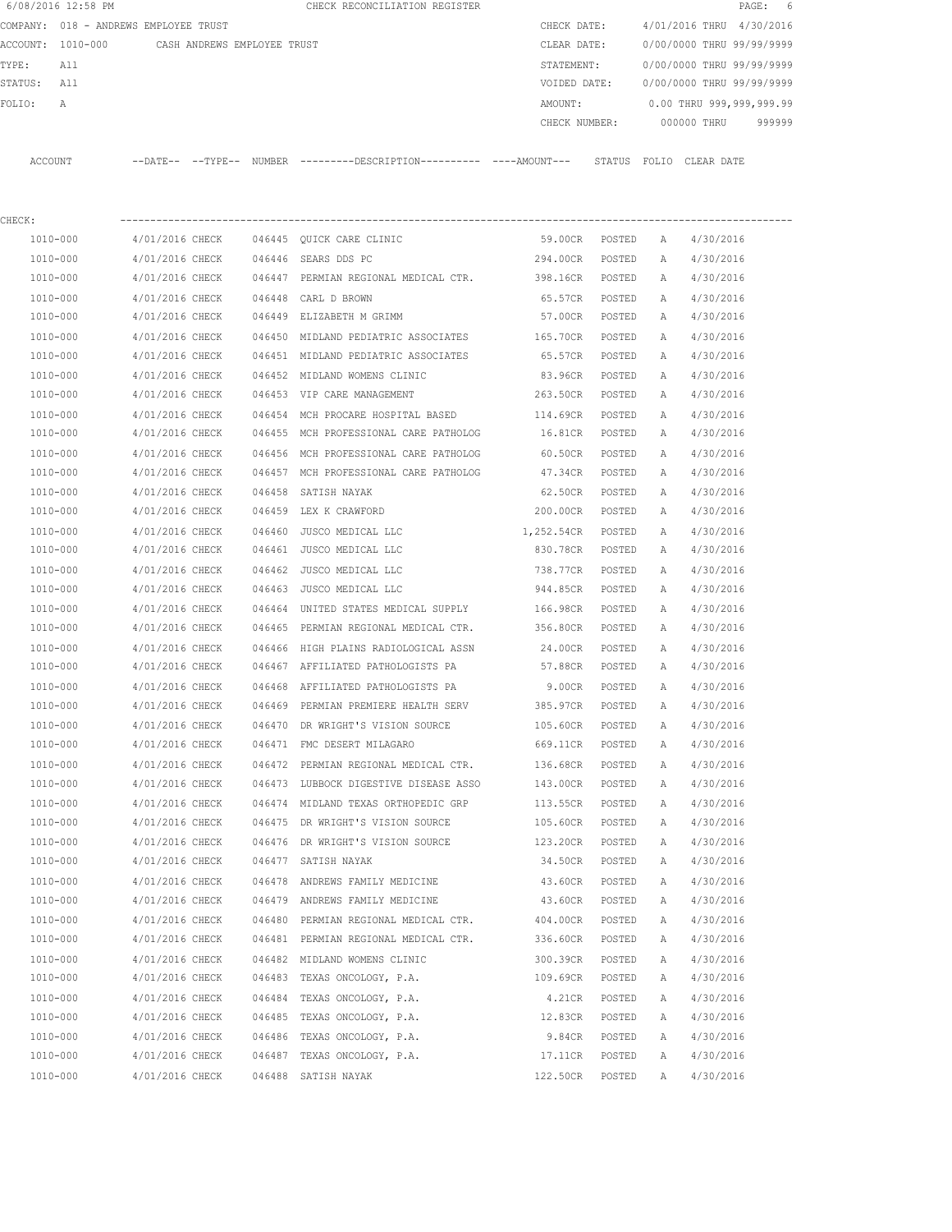|         | 6/08/2016 12:58 PM                    |                             |        | CHECK RECONCILIATION REGISTER                                                               |               |        |   | PAGE: 6                   |
|---------|---------------------------------------|-----------------------------|--------|---------------------------------------------------------------------------------------------|---------------|--------|---|---------------------------|
|         | COMPANY: 018 - ANDREWS EMPLOYEE TRUST |                             |        |                                                                                             | CHECK DATE:   |        |   | 4/01/2016 THRU 4/30/2016  |
|         | ACCOUNT: 1010-000                     | CASH ANDREWS EMPLOYEE TRUST |        |                                                                                             | CLEAR DATE:   |        |   | 0/00/0000 THRU 99/99/9999 |
| TYPE:   | All                                   |                             |        |                                                                                             | STATEMENT:    |        |   | 0/00/0000 THRU 99/99/9999 |
| STATUS: | All                                   |                             |        |                                                                                             | VOIDED DATE:  |        |   | 0/00/0000 THRU 99/99/9999 |
| FOLIO:  | А                                     |                             |        |                                                                                             | AMOUNT:       |        |   | 0.00 THRU 999,999,999.99  |
|         |                                       |                             |        |                                                                                             | CHECK NUMBER: |        |   | 000000 THRU<br>999999     |
|         | ACCOUNT                               |                             |        | --DATE-- --TYPE-- NUMBER ---------DESCRIPTION--------- ----AMOUNT--- STATUS FOLIO CLEARDATE |               |        |   |                           |
| CHECK:  |                                       |                             |        |                                                                                             |               |        |   |                           |
|         | 1010-000                              | 4/01/2016 CHECK             |        | 046445 QUICK CARE CLINIC                                                                    | 59.00CR       | POSTED | A | 4/30/2016                 |
|         | 1010-000                              | 4/01/2016 CHECK             |        | 046446 SEARS DDS PC                                                                         | 294.00CR      | POSTED | A | 4/30/2016                 |
|         | 1010-000                              | 4/01/2016 CHECK             |        | 046447 PERMIAN REGIONAL MEDICAL CTR.                                                        | 398.16CR      | POSTED | Α | 4/30/2016                 |
|         | 1010-000                              | 4/01/2016 CHECK             | 046448 | CARL D BROWN                                                                                | 65.57CR       | POSTED | Α | 4/30/2016                 |
|         | 1010-000                              | 4/01/2016 CHECK             |        | 046449 ELIZABETH M GRIMM                                                                    | 57.00CR       | POSTED | A | 4/30/2016                 |
|         | 1010-000                              | 4/01/2016 CHECK             |        | 046450 MIDLAND PEDIATRIC ASSOCIATES                                                         | 165.70CR      | POSTED | Α | 4/30/2016                 |
|         | 1010-000                              | 4/01/2016 CHECK             |        | 046451 MIDLAND PEDIATRIC ASSOCIATES                                                         | 65.57CR       | POSTED | А | 4/30/2016                 |
|         | 1010-000                              | 4/01/2016 CHECK             | 046452 | MIDLAND WOMENS CLINIC                                                                       | 83.96CR       | POSTED | Α | 4/30/2016                 |
|         | 1010-000                              | 4/01/2016 CHECK             |        | 046453 VIP CARE MANAGEMENT                                                                  | 263.50CR      | POSTED | Α | 4/30/2016                 |
|         | 1010-000                              | 4/01/2016 CHECK             | 046454 | MCH PROCARE HOSPITAL BASED                                                                  | 114.69CR      | POSTED | А | 4/30/2016                 |
|         | 1010-000                              | 4/01/2016 CHECK             | 046455 | MCH PROFESSIONAL CARE PATHOLOG                                                              | 16.81CR       | POSTED | А | 4/30/2016                 |
|         | 1010-000                              | 4/01/2016 CHECK             |        | 046456 MCH PROFESSIONAL CARE PATHOLOG                                                       | 60.50CR       | POSTED | Α | 4/30/2016                 |
|         | 1010-000                              | 4/01/2016 CHECK             |        | 046457 MCH PROFESSIONAL CARE PATHOLOG                                                       | 47.34CR       | POSTED | А | 4/30/2016                 |
|         | 1010-000                              | 4/01/2016 CHECK             | 046458 | SATISH NAYAK                                                                                | 62.50CR       | POSTED | Α | 4/30/2016                 |
|         | 1010-000                              | 4/01/2016 CHECK             |        | 046459 LEX K CRAWFORD                                                                       | 200.00CR      | POSTED | A | 4/30/2016                 |
|         | 1010-000                              | 4/01/2016 CHECK             | 046460 | JUSCO MEDICAL LLC                                                                           | 1,252.54CR    | POSTED | А | 4/30/2016                 |
|         | 1010-000                              | 4/01/2016 CHECK             | 046461 | JUSCO MEDICAL LLC                                                                           | 830.78CR      | POSTED | А | 4/30/2016                 |
|         | 1010-000                              | 4/01/2016 CHECK             | 046462 | JUSCO MEDICAL LLC                                                                           | 738.77CR      | POSTED | А | 4/30/2016                 |
|         | 1010-000                              | 4/01/2016 CHECK             | 046463 | JUSCO MEDICAL LLC                                                                           | 944.85CR      | POSTED | А | 4/30/2016                 |
|         | 1010-000                              | 4/01/2016 CHECK             |        | 046464 UNITED STATES MEDICAL SUPPLY                                                         | 166.98CR      | POSTED | Α | 4/30/2016                 |
|         | 1010-000                              | 4/01/2016 CHECK             |        | 046465 PERMIAN REGIONAL MEDICAL CTR.                                                        | 356.80CR      | POSTED | Α | 4/30/2016                 |
|         | 1010-000                              | 4/01/2016 CHECK             | 046466 | HIGH PLAINS RADIOLOGICAL ASSN                                                               | 24.00CR       | POSTED | А | 4/30/2016                 |
|         | 1010-000                              | 4/01/2016 CHECK             |        | 046467 AFFILIATED PATHOLOGISTS PA                                                           | 57.88CR       | POSTED | A | 4/30/2016                 |
|         | 1010-000                              | 4/01/2016 CHECK             |        | 046468 AFFILIATED PATHOLOGISTS PA                                                           | 9.00CR        | POSTED | Α | 4/30/2016                 |
|         | 1010-000                              | 4/01/2016 CHECK             |        | 046469 PERMIAN PREMIERE HEALTH SERV                                                         | 385.97CR      | POSTED | Α | 4/30/2016                 |
|         | 1010-000                              | 4/01/2016 CHECK             |        | 046470 DR WRIGHT'S VISION SOURCE                                                            | 105.60CR      | POSTED | Α | 4/30/2016                 |
|         | 1010-000                              | 4/01/2016 CHECK             |        | 046471 FMC DESERT MILAGARO                                                                  | 669.11CR      | POSTED | Α | 4/30/2016                 |
|         | 1010-000                              | 4/01/2016 CHECK             |        | 046472 PERMIAN REGIONAL MEDICAL CTR.                                                        | 136.68CR      | POSTED | Α | 4/30/2016                 |
|         | 1010-000                              | 4/01/2016 CHECK             |        | 046473 LUBBOCK DIGESTIVE DISEASE ASSO                                                       | 143.00CR      | POSTED | Α | 4/30/2016                 |
|         | 1010-000                              | 4/01/2016 CHECK             |        | 046474 MIDLAND TEXAS ORTHOPEDIC GRP                                                         | 113.55CR      | POSTED | Α | 4/30/2016                 |
|         | 1010-000                              | 4/01/2016 CHECK             |        | 046475 DR WRIGHT'S VISION SOURCE                                                            | 105.60CR      | POSTED | Α | 4/30/2016                 |
|         | 1010-000                              | 4/01/2016 CHECK             |        | 046476 DR WRIGHT'S VISION SOURCE                                                            | 123.20CR      | POSTED | Α | 4/30/2016                 |
|         | 1010-000                              | 4/01/2016 CHECK             |        | 046477 SATISH NAYAK                                                                         | 34.50CR       | POSTED | Α | 4/30/2016                 |
|         | 1010-000                              | 4/01/2016 CHECK             |        | 046478 ANDREWS FAMILY MEDICINE                                                              | 43.60CR       | POSTED | Α | 4/30/2016                 |
|         | 1010-000                              | 4/01/2016 CHECK             |        | 046479 ANDREWS FAMILY MEDICINE                                                              | 43.60CR       | POSTED | Α | 4/30/2016                 |
|         | 1010-000                              | 4/01/2016 CHECK             |        | 046480 PERMIAN REGIONAL MEDICAL CTR.                                                        | 404.00CR      | POSTED | Α | 4/30/2016                 |
|         | 1010-000                              | 4/01/2016 CHECK             |        | 046481 PERMIAN REGIONAL MEDICAL CTR.                                                        | 336.60CR      | POSTED | Α | 4/30/2016                 |
|         | 1010-000                              | 4/01/2016 CHECK             |        | 046482 MIDLAND WOMENS CLINIC                                                                | 300.39CR      | POSTED | Α | 4/30/2016                 |
|         | 1010-000                              | 4/01/2016 CHECK             |        | 046483 TEXAS ONCOLOGY, P.A.                                                                 | 109.69CR      | POSTED | Α | 4/30/2016                 |
|         | 1010-000                              | 4/01/2016 CHECK             |        | 046484 TEXAS ONCOLOGY, P.A.                                                                 | 4.21CR        | POSTED | Α | 4/30/2016                 |
|         | 1010-000                              | 4/01/2016 CHECK             |        | 046485 TEXAS ONCOLOGY, P.A.                                                                 | 12.83CR       | POSTED | Α | 4/30/2016                 |
|         | 1010-000                              | 4/01/2016 CHECK             |        | 046486 TEXAS ONCOLOGY, P.A.                                                                 | 9.84CR        | POSTED | A | 4/30/2016                 |

 1010-000 4/01/2016 CHECK 046487 TEXAS ONCOLOGY, P.A. 17.11CR POSTED A 4/30/2016 1010-000 4/01/2016 CHECK 046488 SATISH NAYAK 122.50CR POSTED A 4/30/2016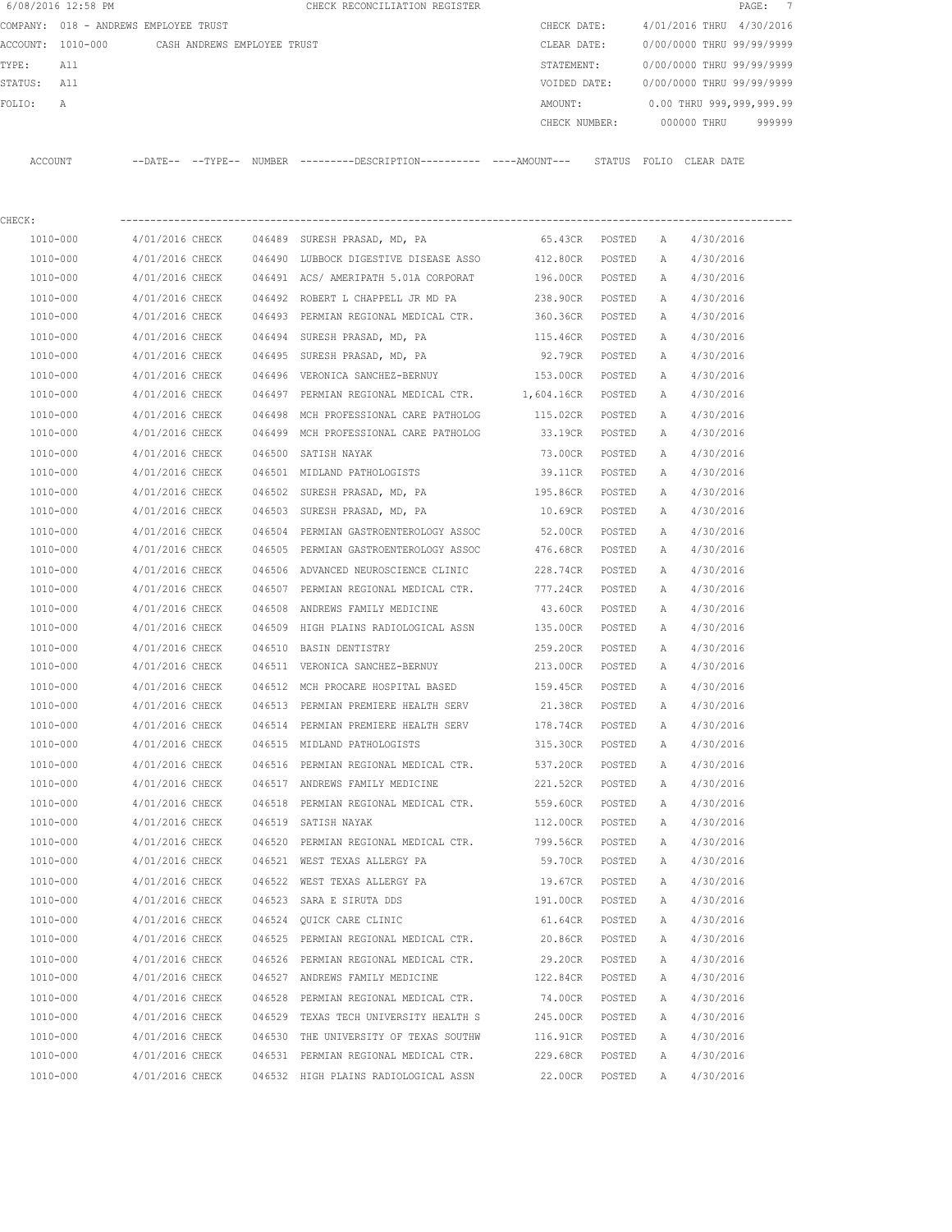|          | 6/08/2016 12:58 PM |                                       |        | CHECK RECONCILIATION REGISTER |  |               |                |             | PAGE:                     | $\overline{7}$ |
|----------|--------------------|---------------------------------------|--------|-------------------------------|--|---------------|----------------|-------------|---------------------------|----------------|
|          |                    | COMPANY: 018 - ANDREWS EMPLOYEE TRUST |        |                               |  | CHECK DATE:   | 4/01/2016 THRU |             | 4/30/2016                 |                |
| ACCOUNT: | 1010-000           | CASH ANDREWS EMPLOYEE TRUST           |        |                               |  | CLEAR DATE:   |                |             | 0/00/0000 THRU 99/99/9999 |                |
| TYPE:    | All                |                                       |        |                               |  | STATEMENT:    |                |             | 0/00/0000 THRU 99/99/9999 |                |
| STATUS:  | All                |                                       |        |                               |  | VOIDED DATE:  |                |             | 0/00/0000 THRU 99/99/9999 |                |
| FOLTO:   | A                  |                                       |        |                               |  | AMOUNT:       |                |             | 0.00 THRU 999,999,999.99  |                |
|          |                    |                                       |        |                               |  | CHECK NUMBER: |                | 000000 THRU | 999999                    |                |
|          |                    |                                       |        |                               |  |               |                |             |                           |                |
| ACCOUNT  |                    | $--$ TYPE $--$<br>$--$ DATE $--$      | NUMBER | $------DESCRTPTION-$          |  | STATUS        | FOLTO          | CLEAR DATE  |                           |                |

| CHECK:   |                 |        |                                                                       |                   |        |              |           |
|----------|-----------------|--------|-----------------------------------------------------------------------|-------------------|--------|--------------|-----------|
| 1010-000 |                 |        | 4/01/2016 CHECK 046489 SURESH PRASAD, MD, PA                          | 65.43CR POSTED    |        | A            | 4/30/2016 |
| 1010-000 |                 |        | 4/01/2016 CHECK 046490 LUBBOCK DIGESTIVE DISEASE ASSO 412.80CR POSTED |                   |        | Α            | 4/30/2016 |
| 1010-000 | 4/01/2016 CHECK |        | 046491 ACS/AMERIPATH 5.01A CORPORAT                                   | 196.00CR POSTED   |        | A            | 4/30/2016 |
| 1010-000 |                 |        | 4/01/2016 CHECK 046492 ROBERT L CHAPPELL JR MD PA                     | 238.90CR POSTED   |        | A            | 4/30/2016 |
| 1010-000 | 4/01/2016 CHECK |        | 046493 PERMIAN REGIONAL MEDICAL CTR.                                  | 360.36CR POSTED   |        | A            | 4/30/2016 |
| 1010-000 | 4/01/2016 CHECK |        | 046494 SURESH PRASAD, MD, PA                                          | 115.46CR POSTED   |        | Α            | 4/30/2016 |
| 1010-000 | 4/01/2016 CHECK |        | 046495 SURESH PRASAD, MD, PA                                          | 92.79CR POSTED    |        | Α            | 4/30/2016 |
| 1010-000 | 4/01/2016 CHECK |        | 046496 VERONICA SANCHEZ-BERNUY                                        | 153.00CR POSTED   |        | A            | 4/30/2016 |
| 1010-000 | 4/01/2016 CHECK |        | 046497 PERMIAN REGIONAL MEDICAL CTR.                                  | 1,604.16CR POSTED |        | A            | 4/30/2016 |
| 1010-000 | 4/01/2016 CHECK |        | 046498 MCH PROFESSIONAL CARE PATHOLOG                                 | 115.02CR POSTED   |        | $\mathbb{A}$ | 4/30/2016 |
| 1010-000 |                 |        | 4/01/2016 CHECK 046499 MCH PROFESSIONAL CARE PATHOLOG 33.19CR POSTED  |                   |        | A            | 4/30/2016 |
| 1010-000 | 4/01/2016 CHECK | 046500 | SATISH NAYAK                                                          | 73.00CR           | POSTED | Α            | 4/30/2016 |
| 1010-000 | 4/01/2016 CHECK |        | 046501 MIDLAND PATHOLOGISTS                                           | 39.11CR           | POSTED | Α            | 4/30/2016 |
| 1010-000 | 4/01/2016 CHECK |        | 046502 SURESH PRASAD, MD, PA                                          | 195.86CR          | POSTED | Α            | 4/30/2016 |
| 1010-000 | 4/01/2016 CHECK |        | 046503 SURESH PRASAD, MD, PA                                          | 10.69CR POSTED    |        | А            | 4/30/2016 |
| 1010-000 | 4/01/2016 CHECK |        | 046504 PERMIAN GASTROENTEROLOGY ASSOC                                 | 52.00CR POSTED    |        | Α            | 4/30/2016 |
| 1010-000 | 4/01/2016 CHECK |        | 046505 PERMIAN GASTROENTEROLOGY ASSOC                                 | 476.68CR POSTED   |        | Α            | 4/30/2016 |
| 1010-000 | 4/01/2016 CHECK |        | 046506 ADVANCED NEUROSCIENCE CLINIC                                   | 228.74CR POSTED   |        | Α            | 4/30/2016 |
| 1010-000 | 4/01/2016 CHECK |        | 046507 PERMIAN REGIONAL MEDICAL CTR.                                  | 777.24CR POSTED   |        | Α            | 4/30/2016 |
| 1010-000 | 4/01/2016 CHECK |        | 046508 ANDREWS FAMILY MEDICINE                                        | 43.60CR POSTED    |        | A            | 4/30/2016 |
| 1010-000 | 4/01/2016 CHECK |        | 046509 HIGH PLAINS RADIOLOGICAL ASSN                                  | 135.00CR POSTED   |        | A            | 4/30/2016 |
| 1010-000 | 4/01/2016 CHECK |        | 046510 BASIN DENTISTRY                                                | 259.20CR POSTED   |        | A            | 4/30/2016 |
| 1010-000 | 4/01/2016 CHECK |        | 046511 VERONICA SANCHEZ-BERNUY                                        | 213.00CR POSTED   |        | Α            | 4/30/2016 |
| 1010-000 | 4/01/2016 CHECK |        | 046512 MCH PROCARE HOSPITAL BASED                                     | 159.45CR          | POSTED | Α            | 4/30/2016 |
| 1010-000 | 4/01/2016 CHECK |        | 046513 PERMIAN PREMIERE HEALTH SERV                                   | 21.38CR           | POSTED | Α            | 4/30/2016 |
| 1010-000 | 4/01/2016 CHECK |        | 046514 PERMIAN PREMIERE HEALTH SERV                                   | 178.74CR          | POSTED | A            | 4/30/2016 |
| 1010-000 | 4/01/2016 CHECK |        | 046515 MIDLAND PATHOLOGISTS                                           | 315.30CR          | POSTED | A            | 4/30/2016 |
| 1010-000 | 4/01/2016 CHECK |        | 046516 PERMIAN REGIONAL MEDICAL CTR.                                  | 537.20CR          | POSTED | A            | 4/30/2016 |
| 1010-000 | 4/01/2016 CHECK |        | 046517 ANDREWS FAMILY MEDICINE                                        | 221.52CR POSTED   |        | A            | 4/30/2016 |
| 1010-000 | 4/01/2016 CHECK |        | 046518 PERMIAN REGIONAL MEDICAL CTR.                                  | 559.60CR POSTED   |        | Α            | 4/30/2016 |
| 1010-000 | 4/01/2016 CHECK |        | 046519 SATISH NAYAK                                                   | 112.00CR POSTED   |        | Α            | 4/30/2016 |
| 1010-000 | 4/01/2016 CHECK |        | 046520 PERMIAN REGIONAL MEDICAL CTR.                                  | 799.56CR POSTED   |        | A            | 4/30/2016 |
| 1010-000 | 4/01/2016 CHECK |        | 046521 WEST TEXAS ALLERGY PA                                          | 59.70CR POSTED    |        | A            | 4/30/2016 |
| 1010-000 | 4/01/2016 CHECK |        | 046522 WEST TEXAS ALLERGY PA                                          | 19.67CR           | POSTED | Α            | 4/30/2016 |
| 1010-000 | 4/01/2016 CHECK |        | 046523 SARA E SIRUTA DDS                                              | 191.00CR          | POSTED | $\mathbb{A}$ | 4/30/2016 |
| 1010-000 | 4/01/2016 CHECK |        | 046524 QUICK CARE CLINIC                                              | 61.64CR           | POSTED | Α            | 4/30/2016 |
| 1010-000 | 4/01/2016 CHECK |        | 046525 PERMIAN REGIONAL MEDICAL CTR.                                  | 20.86CR           | POSTED | Α            | 4/30/2016 |
| 1010-000 | 4/01/2016 CHECK |        | 046526 PERMIAN REGIONAL MEDICAL CTR.                                  | 29.20CR           | POSTED | Α            | 4/30/2016 |
| 1010-000 | 4/01/2016 CHECK |        | 046527 ANDREWS FAMILY MEDICINE                                        | 122.84CR          | POSTED | Α            | 4/30/2016 |
| 1010-000 | 4/01/2016 CHECK |        | 046528 PERMIAN REGIONAL MEDICAL CTR.                                  | 74.00CR           | POSTED | Α            | 4/30/2016 |
| 1010-000 | 4/01/2016 CHECK |        | 046529 TEXAS TECH UNIVERSITY HEALTH S                                 | 245.00CR          | POSTED | Α            | 4/30/2016 |
| 1010-000 | 4/01/2016 CHECK |        | 046530 THE UNIVERSITY OF TEXAS SOUTHW                                 | 116.91CR          | POSTED | Α            | 4/30/2016 |
| 1010-000 | 4/01/2016 CHECK |        | 046531 PERMIAN REGIONAL MEDICAL CTR.                                  | 229.68CR          | POSTED | Α            | 4/30/2016 |
| 1010-000 | 4/01/2016 CHECK |        | 046532 HIGH PLAINS RADIOLOGICAL ASSN                                  | 22.00CR           | POSTED | Α            | 4/30/2016 |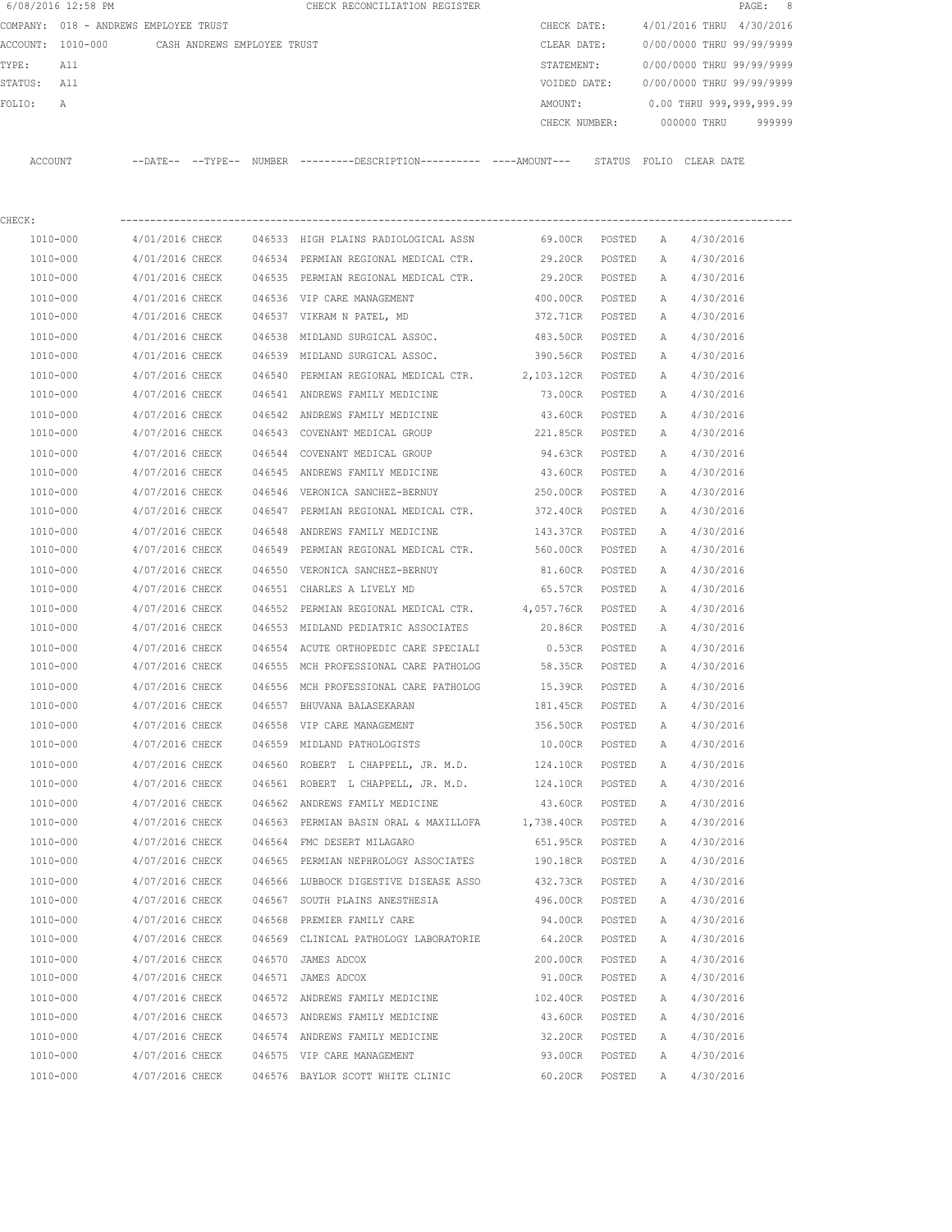| 6/08/2016 12:58 PM |                                               |        | CHECK RECONCILIATION REGISTER                                                              |                 |                  |              |                           | 8<br>PAGE : |
|--------------------|-----------------------------------------------|--------|--------------------------------------------------------------------------------------------|-----------------|------------------|--------------|---------------------------|-------------|
|                    | COMPANY: 018 - ANDREWS EMPLOYEE TRUST         |        |                                                                                            | CHECK DATE:     |                  |              | 4/01/2016 THRU 4/30/2016  |             |
|                    | ACCOUNT: 1010-000 CASH ANDREWS EMPLOYEE TRUST |        |                                                                                            | CLEAR DATE:     |                  |              | 0/00/0000 THRU 99/99/9999 |             |
| TYPE:<br>All       |                                               |        |                                                                                            | STATEMENT:      |                  |              | 0/00/0000 THRU 99/99/9999 |             |
| STATUS:<br>All     |                                               |        |                                                                                            | VOIDED DATE:    |                  |              | 0/00/0000 THRU 99/99/9999 |             |
| FOLIO:<br>Α        |                                               |        |                                                                                            | AMOUNT:         |                  |              | 0.00 THRU 999,999,999.99  |             |
|                    |                                               |        |                                                                                            | CHECK NUMBER:   |                  |              | 000000 THRU               | 999999      |
| ACCOUNT            |                                               |        | --DATE-- --TYPE-- NUMBER --------DESCRIPTION---------- ---AMOUNT--- STATUS FOLIO CLEARDATE |                 |                  |              |                           |             |
| CHECK:             |                                               |        |                                                                                            |                 |                  |              |                           |             |
| 1010-000           | 4/01/2016 CHECK                               |        | 046533 HIGH PLAINS RADIOLOGICAL ASSN                                                       | 69.00CR POSTED  |                  | A            | 4/30/2016                 |             |
| 1010-000           | 4/01/2016 CHECK                               |        | 046534 PERMIAN REGIONAL MEDICAL CTR.                                                       | 29.20CR         | POSTED           | A            | 4/30/2016                 |             |
| 1010-000           | 4/01/2016 CHECK                               |        | 046535 PERMIAN REGIONAL MEDICAL CTR.                                                       | 29.20CR POSTED  |                  | A            | 4/30/2016                 |             |
| 1010-000           | 4/01/2016 CHECK                               |        | 046536 VIP CARE MANAGEMENT                                                                 | 400.00CR        | POSTED           | A            | 4/30/2016                 |             |
| 1010-000           | 4/01/2016 CHECK                               |        | 046537 VIKRAM N PATEL, MD                                                                  | 372.71CR        | POSTED           | A            | 4/30/2016                 |             |
| 1010-000           | 4/01/2016 CHECK                               | 046538 | MIDLAND SURGICAL ASSOC.                                                                    | 483.50CR        |                  |              | 4/30/2016                 |             |
| 1010-000           | 4/01/2016 CHECK                               |        | 046539 MIDLAND SURGICAL ASSOC.                                                             | 390.56CR        | POSTED<br>POSTED | A<br>A       | 4/30/2016                 |             |
|                    |                                               |        |                                                                                            |                 |                  |              |                           |             |
| 1010-000           | 4/07/2016 CHECK                               | 046540 | PERMIAN REGIONAL MEDICAL CTR. 2,103.12CR                                                   |                 | POSTED           | A            | 4/30/2016                 |             |
| 1010-000           | 4/07/2016 CHECK                               |        | 046541 ANDREWS FAMILY MEDICINE                                                             | 73.00CR         | POSTED           | A            | 4/30/2016                 |             |
| 1010-000           | 4/07/2016 CHECK                               |        | 046542 ANDREWS FAMILY MEDICINE                                                             | 43.60CR         | POSTED           | Α            | 4/30/2016                 |             |
| 1010-000           | 4/07/2016 CHECK                               |        | 046543 COVENANT MEDICAL GROUP                                                              | 221.85CR        | POSTED           | A            | 4/30/2016                 |             |
| 1010-000           | 4/07/2016 CHECK                               |        | 046544 COVENANT MEDICAL GROUP                                                              | 94.63CR         | POSTED           | Α            | 4/30/2016                 |             |
| 1010-000           | 4/07/2016 CHECK                               |        | 046545 ANDREWS FAMILY MEDICINE                                                             | 43.60CR         | POSTED           | Α            | 4/30/2016                 |             |
| 1010-000           | 4/07/2016 CHECK                               |        | 046546 VERONICA SANCHEZ-BERNUY                                                             | 250.00CR        | POSTED           | Α            | 4/30/2016                 |             |
| 1010-000           | 4/07/2016 CHECK                               |        | 046547 PERMIAN REGIONAL MEDICAL CTR.                                                       | 372.40CR        | POSTED           | A            | 4/30/2016                 |             |
| 1010-000           | 4/07/2016 CHECK                               | 046548 | ANDREWS FAMILY MEDICINE                                                                    | 143.37CR        | POSTED           | Α            | 4/30/2016                 |             |
| 1010-000           | 4/07/2016 CHECK                               | 046549 | PERMIAN REGIONAL MEDICAL CTR.                                                              | 560.00CR        | POSTED           | A            | 4/30/2016                 |             |
| 1010-000           | 4/07/2016 CHECK                               | 046550 | VERONICA SANCHEZ-BERNUY                                                                    | 81.60CR         | POSTED           | Α            | 4/30/2016                 |             |
| 1010-000           | 4/07/2016 CHECK                               | 046551 | CHARLES A LIVELY MD                                                                        | 65.57CR         | POSTED           | A            | 4/30/2016                 |             |
| 1010-000           | 4/07/2016 CHECK                               | 046552 | PERMIAN REGIONAL MEDICAL CTR. 4,057.76CR                                                   |                 | POSTED           | Α            | 4/30/2016                 |             |
| 1010-000           | 4/07/2016 CHECK                               |        | 046553 MIDLAND PEDIATRIC ASSOCIATES                                                        | 20.86CR         | POSTED           | A            | 4/30/2016                 |             |
| 1010-000           | 4/07/2016 CHECK                               |        | 046554 ACUTE ORTHOPEDIC CARE SPECIALI                                                      | 0.53CR          | POSTED           | A            | 4/30/2016                 |             |
| 1010-000           | 4/07/2016 CHECK                               |        | 046555 MCH PROFESSIONAL CARE PATHOLOG                                                      | 58.35CR         | POSTED           | A            | 4/30/2016                 |             |
| 1010-000           | 4/07/2016 CHECK                               |        | 046556 MCH PROFESSIONAL CARE PATHOLOG                                                      | 15.39CR         | POSTED           | $\mathbb{A}$ | 4/30/2016                 |             |
| 1010-000           | 4/07/2016 CHECK                               |        | 046557 BHUVANA BALASEKARAN                                                                 | 181.45CR        | POSTED           | Α            | 4/30/2016                 |             |
| 1010-000           | 4/07/2016 CHECK                               |        | 046558 VIP CARE MANAGEMENT                                                                 | 356.50CR        | POSTED           | Α            | 4/30/2016                 |             |
| 1010-000           | 4/07/2016 CHECK                               |        | 046559 MIDLAND PATHOLOGISTS                                                                | 10.00CR         | POSTED           | Α            | 4/30/2016                 |             |
| 1010-000           | 4/07/2016 CHECK                               |        | 046560 ROBERT L CHAPPELL, JR. M.D.                                                         | 124.10CR POSTED |                  | Α            | 4/30/2016                 |             |
| 1010-000           | 4/07/2016 CHECK                               |        | 046561 ROBERT L CHAPPELL, JR. M.D.                                                         | 124.10CR        | POSTED           | Α            | 4/30/2016                 |             |
| 1010-000           | 4/07/2016 CHECK                               |        | 046562 ANDREWS FAMILY MEDICINE                                                             | 43.60CR         | POSTED           | Α            | 4/30/2016                 |             |
| 1010-000           | 4/07/2016 CHECK                               |        | 046563 PERMIAN BASIN ORAL & MAXILLOFA 1,738.40CR                                           |                 | POSTED           | Α            | 4/30/2016                 |             |
| 1010-000           | 4/07/2016 CHECK                               |        | 046564 FMC DESERT MILAGARO                                                                 | 651.95CR        | POSTED           | Α            | 4/30/2016                 |             |
| 1010-000           | 4/07/2016 CHECK                               |        | 046565 PERMIAN NEPHROLOGY ASSOCIATES                                                       | 190.18CR        | POSTED           | Α            | 4/30/2016                 |             |
| 1010-000           | 4/07/2016 CHECK                               |        | 046566 LUBBOCK DIGESTIVE DISEASE ASSO                                                      | 432.73CR        | POSTED           | Α            | 4/30/2016                 |             |
| 1010-000           | 4/07/2016 CHECK                               |        | 046567 SOUTH PLAINS ANESTHESIA                                                             | 496.00CR        | POSTED           | Α            | 4/30/2016                 |             |
| 1010-000           | 4/07/2016 CHECK                               |        | 046568 PREMIER FAMILY CARE                                                                 | 94.00CR         | POSTED           | Α            | 4/30/2016                 |             |
| 1010-000           | 4/07/2016 CHECK                               |        | 046569 CLINICAL PATHOLOGY LABORATORIE                                                      | 64.20CR         | POSTED           | Α            | 4/30/2016                 |             |
| 1010-000           | 4/07/2016 CHECK                               |        | 046570 JAMES ADCOX                                                                         | 200.00CR        | POSTED           | Α            | 4/30/2016                 |             |
| 1010-000           | 4/07/2016 CHECK                               |        | 046571 JAMES ADCOX                                                                         | 91.00CR         | POSTED           | Α            | 4/30/2016                 |             |
| 1010-000           | 4/07/2016 CHECK                               |        | 046572 ANDREWS FAMILY MEDICINE                                                             | 102.40CR        | POSTED           | Α            | 4/30/2016                 |             |
| 1010-000           | 4/07/2016 CHECK                               |        | 046573 ANDREWS FAMILY MEDICINE                                                             | 43.60CR         | POSTED           | Α            | 4/30/2016                 |             |
| 1010-000           | 4/07/2016 CHECK                               |        | 046574 ANDREWS FAMILY MEDICINE                                                             | 32.20CR         | POSTED           | Α            | 4/30/2016                 |             |
| 1010-000           | 4/07/2016 CHECK                               |        | 046575 VIP CARE MANAGEMENT                                                                 | 93.00CR         | POSTED           | Α            | 4/30/2016                 |             |
| 1010-000           | 4/07/2016 CHECK                               |        | 046576 BAYLOR SCOTT WHITE CLINIC                                                           | 60.20CR         | POSTED           | Α            | 4/30/2016                 |             |
|                    |                                               |        |                                                                                            |                 |                  |              |                           |             |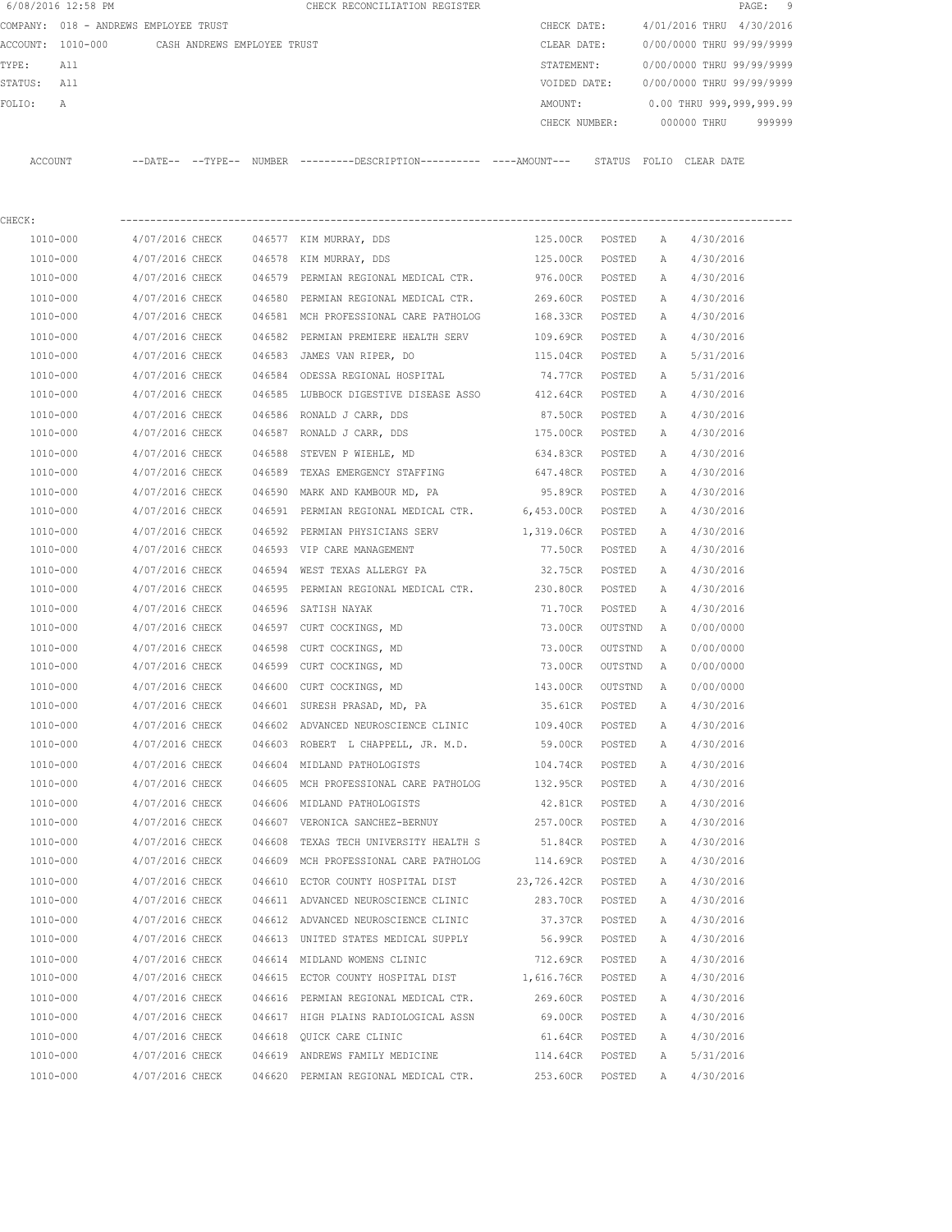|         | 6/08/2016 12:58 PM |                                       |        | CHECK RECONCILIATION REGISTER                |               |        |       |             | PAGE: 9                   |  |
|---------|--------------------|---------------------------------------|--------|----------------------------------------------|---------------|--------|-------|-------------|---------------------------|--|
|         |                    | COMPANY: 018 - ANDREWS EMPLOYEE TRUST |        |                                              | CHECK DATE:   |        |       |             | 4/01/2016 THRU 4/30/2016  |  |
|         | ACCOUNT: 1010-000  | CASH ANDREWS EMPLOYEE TRUST           |        |                                              | CLEAR DATE:   |        |       |             | 0/00/0000 THRU 99/99/9999 |  |
| TYPE:   | All                |                                       |        |                                              | STATEMENT:    |        |       |             | 0/00/0000 THRU 99/99/9999 |  |
| STATUS: | All                |                                       |        |                                              | VOIDED DATE:  |        |       |             | 0/00/0000 THRU 99/99/9999 |  |
| FOLTO:  | A                  |                                       |        |                                              | AMOUNT:       |        |       |             | 0.00 THRU 999,999,999.99  |  |
|         |                    |                                       |        |                                              | CHECK NUMBER: |        |       | 000000 THRU | 999999                    |  |
|         |                    |                                       |        |                                              |               |        |       |             |                           |  |
| ACCOUNT |                    | --DATE-- --TYPE--                     | NUMBER | ---------DESCRIPTION---------- ----AMOUNT--- |               | STATUS | FOLIO | CLEAR DATE  |                           |  |

| CHECK:   |                                        |        |                                                                       |                 |         |   |           |
|----------|----------------------------------------|--------|-----------------------------------------------------------------------|-----------------|---------|---|-----------|
| 1010-000 | 4/07/2016 CHECK 046577 KIM MURRAY, DDS |        |                                                                       | 125.00CR POSTED |         | A | 4/30/2016 |
| 1010-000 | 4/07/2016 CHECK                        | 046578 | KIM MURRAY, DDS                                                       | 125.00CR        | POSTED  | Α | 4/30/2016 |
| 1010-000 | 4/07/2016 CHECK                        | 046579 | PERMIAN REGIONAL MEDICAL CTR.                                         | 976.00CR        | POSTED  | A | 4/30/2016 |
| 1010-000 | 4/07/2016 CHECK                        |        | 046580 PERMIAN REGIONAL MEDICAL CTR. 269.60CR                         |                 | POSTED  | Α | 4/30/2016 |
| 1010-000 |                                        |        | 4/07/2016 CHECK 046581 MCH PROFESSIONAL CARE PATHOLOG                 | 168.33CR        | POSTED  | A | 4/30/2016 |
| 1010-000 |                                        |        | 4/07/2016 CHECK 046582 PERMIAN PREMIERE HEALTH SERV                   | 109.69CR        | POSTED  | A | 4/30/2016 |
| 1010-000 |                                        |        | 4/07/2016 CHECK 046583 JAMES VAN RIPER, DO                            | 115.04CR        | POSTED  | A | 5/31/2016 |
| 1010-000 |                                        |        | 4/07/2016 CHECK 046584 ODESSA REGIONAL HOSPITAL                       | 74.77CR         | POSTED  | A | 5/31/2016 |
| 1010-000 |                                        |        | 4/07/2016 CHECK 046585 LUBBOCK DIGESTIVE DISEASE ASSO 412.64CR        |                 | POSTED  | A | 4/30/2016 |
| 1010-000 |                                        |        | 4/07/2016 CHECK 046586 RONALD J CARR, DDS                             | 87.50CR POSTED  |         | A | 4/30/2016 |
| 1010-000 |                                        |        | 4/07/2016 CHECK 046587 RONALD J CARR, DDS                             | 175.00CR POSTED |         | Α | 4/30/2016 |
| 1010-000 |                                        |        | 4/07/2016 CHECK 046588 STEVEN P WIEHLE, MD                            | 634.83CR POSTED |         | A | 4/30/2016 |
| 1010-000 | 4/07/2016 CHECK                        |        | 046589 TEXAS EMERGENCY STAFFING                                       | 647.48CR POSTED |         | A | 4/30/2016 |
| 1010-000 | 4/07/2016 CHECK                        | 046590 | MARK AND KAMBOUR MD, PA                                               | 95.89CR POSTED  |         | A | 4/30/2016 |
| 1010-000 | 4/07/2016 CHECK                        |        | 046591 PERMIAN REGIONAL MEDICAL CTR. 6,453.00CR POSTED                |                 |         | A | 4/30/2016 |
| 1010-000 |                                        |        | 4/07/2016 CHECK 046592 PERMIAN PHYSICIANS SERV 1,319.06CR POSTED      |                 |         | Α | 4/30/2016 |
| 1010-000 |                                        |        | 4/07/2016 CHECK 046593 VIP CARE MANAGEMENT                            | 77.50CR POSTED  |         | A | 4/30/2016 |
| 1010-000 |                                        |        | 4/07/2016 CHECK 046594 WEST TEXAS ALLERGY PA                          | 32.75CR         | POSTED  | Α | 4/30/2016 |
| 1010-000 | 4/07/2016 CHECK                        |        | 046595 PERMIAN REGIONAL MEDICAL CTR.                                  | 230.80CR        | POSTED  | Α | 4/30/2016 |
| 1010-000 | 4/07/2016 CHECK                        |        | 046596 SATISH NAYAK                                                   | 71.70CR         | POSTED  | Α | 4/30/2016 |
| 1010-000 | 4/07/2016 CHECK                        |        | 046597 CURT COCKINGS, MD                                              | 73.00CR         | OUTSTND | A | 0/00/0000 |
| 1010-000 | 4/07/2016 CHECK                        |        | 046598 CURT COCKINGS, MD                                              | 73.00CR         | OUTSTND | A | 0/00/0000 |
| 1010-000 | 4/07/2016 CHECK                        |        | 046599 CURT COCKINGS, MD                                              | 73.00CR OUTSTND |         | A | 0/00/0000 |
| 1010-000 | 4/07/2016 CHECK                        | 046600 | CURT COCKINGS, MD                                                     | 143.00CR        | OUTSTND | A | 0/00/0000 |
| 1010-000 | 4/07/2016 CHECK                        |        | 046601 SURESH PRASAD, MD, PA                                          | 35.61CR POSTED  |         | Α | 4/30/2016 |
| 1010-000 | 4/07/2016 CHECK                        |        | 046602 ADVANCED NEUROSCIENCE CLINIC 109.40CR                          |                 | POSTED  | Α | 4/30/2016 |
| 1010-000 | 4/07/2016 CHECK                        |        | 046603 ROBERT L CHAPPELL, JR. M.D.                                    | 59.00CR         | POSTED  | Α | 4/30/2016 |
| 1010-000 |                                        |        | 4/07/2016 CHECK 046604 MIDLAND PATHOLOGISTS                           | 104.74CR        | POSTED  | Α | 4/30/2016 |
| 1010-000 |                                        |        | 4/07/2016 CHECK 046605 MCH PROFESSIONAL CARE PATHOLOG 132.95CR        |                 | POSTED  | Α | 4/30/2016 |
| 1010-000 |                                        |        | 4/07/2016 CHECK 046606 MIDLAND PATHOLOGISTS                           | 42.81CR         | POSTED  | Α | 4/30/2016 |
| 1010-000 |                                        |        | 4/07/2016 CHECK 046607 VERONICA SANCHEZ-BERNUY 257.00CR               |                 | POSTED  | Α | 4/30/2016 |
| 1010-000 | 4/07/2016 CHECK 046608                 |        | TEXAS TECH UNIVERSITY HEALTH S                                        | 51.84CR         | POSTED  | Α | 4/30/2016 |
| 1010-000 |                                        |        | 4/07/2016 CHECK 046609 MCH PROFESSIONAL CARE PATHOLOG 114.69CR POSTED |                 |         | A | 4/30/2016 |
| 1010-000 |                                        |        | 4/07/2016 CHECK 046610 ECTOR COUNTY HOSPITAL DIST 23,726.42CR POSTED  |                 |         | A | 4/30/2016 |
| 1010-000 | 4/07/2016 CHECK                        |        | 046611 ADVANCED NEUROSCIENCE CLINIC                                   | 283.70CR        | POSTED  | A | 4/30/2016 |
| 1010-000 | 4/07/2016 CHECK                        |        | 046612 ADVANCED NEUROSCIENCE CLINIC                                   | 37.37CR         | POSTED  | А | 4/30/2016 |
| 1010-000 | 4/07/2016 CHECK                        |        | 046613 UNITED STATES MEDICAL SUPPLY                                   | 56.99CR         | POSTED  | Α | 4/30/2016 |
| 1010-000 | 4/07/2016 CHECK                        |        | 046614 MIDLAND WOMENS CLINIC                                          | 712.69CR        | POSTED  | Α | 4/30/2016 |
| 1010-000 | 4/07/2016 CHECK                        |        | 046615 ECTOR COUNTY HOSPITAL DIST                                     | 1,616.76CR      | POSTED  | А | 4/30/2016 |
| 1010-000 | 4/07/2016 CHECK                        |        | 046616 PERMIAN REGIONAL MEDICAL CTR.                                  | 269.60CR        | POSTED  | Α | 4/30/2016 |
| 1010-000 | 4/07/2016 CHECK                        |        | 046617 HIGH PLAINS RADIOLOGICAL ASSN                                  | 69.00CR         | POSTED  | Α | 4/30/2016 |
| 1010-000 | 4/07/2016 CHECK                        |        | 046618 QUICK CARE CLINIC                                              | 61.64CR         | POSTED  | Α | 4/30/2016 |
| 1010-000 | 4/07/2016 CHECK                        |        | 046619 ANDREWS FAMILY MEDICINE                                        | 114.64CR        | POSTED  | Α | 5/31/2016 |
| 1010-000 | 4/07/2016 CHECK                        |        | 046620 PERMIAN REGIONAL MEDICAL CTR.                                  | 253.60CR        | POSTED  | Α | 4/30/2016 |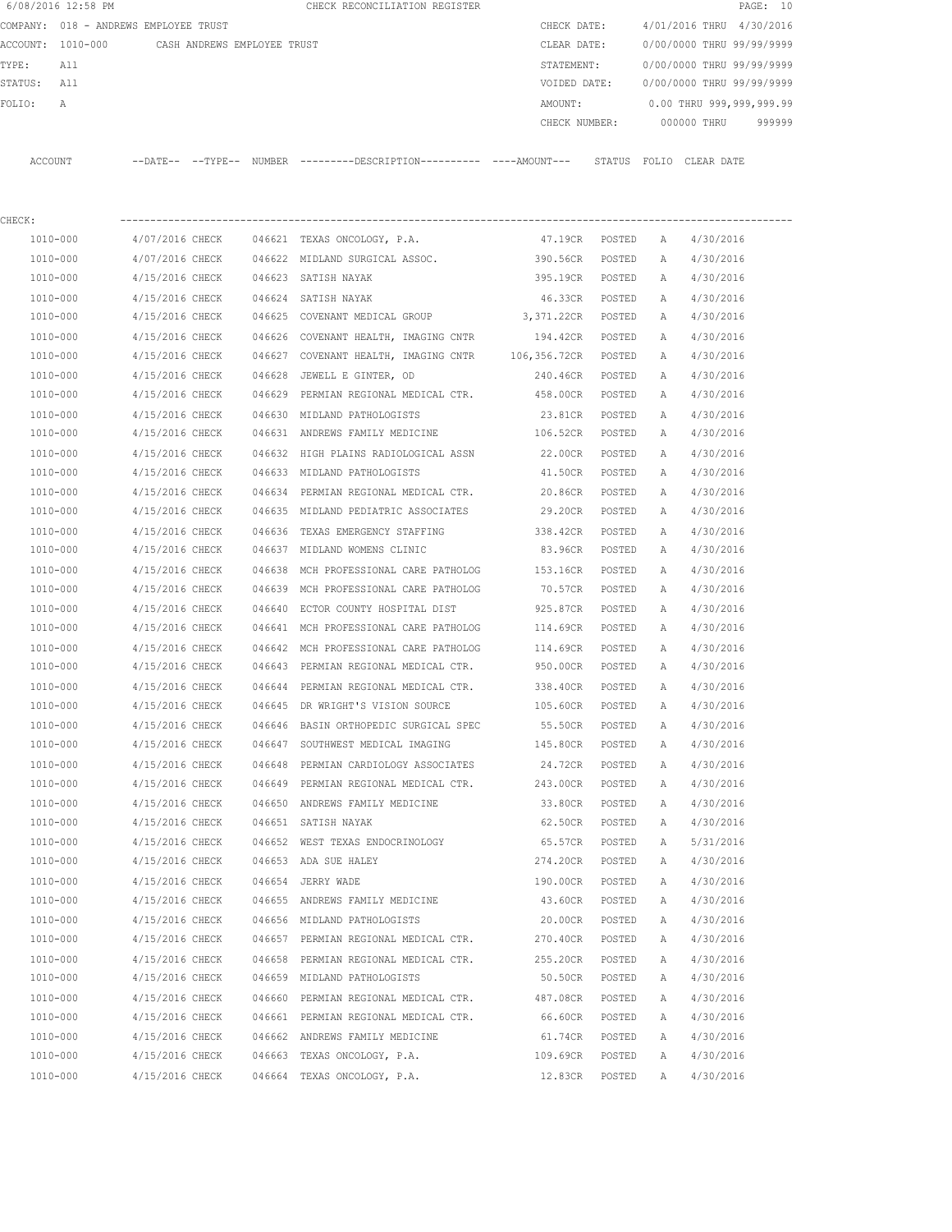|         | 6/08/2016 12:58 PM |                                       |        | CHECK RECONCILIATION REGISTER                |               |                           | PAGE: 10 |
|---------|--------------------|---------------------------------------|--------|----------------------------------------------|---------------|---------------------------|----------|
|         |                    | COMPANY: 018 - ANDREWS EMPLOYEE TRUST |        |                                              | CHECK DATE:   | 4/01/2016 THRU 4/30/2016  |          |
|         | ACCOUNT: 1010-000  | CASH ANDREWS EMPLOYEE TRUST           |        |                                              | CLEAR DATE:   | 0/00/0000 THRU 99/99/9999 |          |
| TYPE:   | All                |                                       |        |                                              | STATEMENT:    | 0/00/0000 THRU 99/99/9999 |          |
| STATUS: | All                |                                       |        |                                              | VOIDED DATE:  | 0/00/0000 THRU 99/99/9999 |          |
| FOLIO:  | A                  |                                       |        |                                              | AMOUNT:       | 0.00 THRU 999,999,999.99  |          |
|         |                    |                                       |        |                                              | CHECK NUMBER: | 000000 THRU               | 999999   |
|         |                    |                                       |        |                                              |               |                           |          |
| ACCOUNT |                    | $--$ DATE $- --$ TYPE $--$            | NUMBER | ---------DESCRIPTION---------- ----AMOUNT--- | STATUS        | FOLIO CLEAR DATE          |          |
|         |                    |                                       |        |                                              |               |                           |          |

| CHECK:       |                                      |        |                                                                          |                 |        |              |           |
|--------------|--------------------------------------|--------|--------------------------------------------------------------------------|-----------------|--------|--------------|-----------|
| 1010-000     |                                      |        | 4/07/2016 CHECK 046621 TEXAS ONCOLOGY, P.A.                              | 47.19CR         | POSTED | A            | 4/30/2016 |
| 1010-000     | 4/07/2016 CHECK                      |        | 046622 MIDLAND SURGICAL ASSOC. 390.56CR                                  |                 | POSTED | A            | 4/30/2016 |
| 1010-000     | 4/15/2016 CHECK                      |        | 046623 SATISH NAYAK                                                      | 395.19CR        | POSTED | A            | 4/30/2016 |
| 1010-000     | 4/15/2016 CHECK 046624 SATISH NAYAK  |        |                                                                          | 46.33CR POSTED  |        | A            | 4/30/2016 |
| 1010-000     |                                      |        | 4/15/2016 CHECK 046625 COVENANT MEDICAL GROUP 3,371.22CR POSTED          |                 |        | A            | 4/30/2016 |
| 1010-000     |                                      |        | 4/15/2016 CHECK 046626 COVENANT HEALTH, IMAGING CNTR                     | 194.42CR POSTED |        | Α            | 4/30/2016 |
| 1010-000     |                                      |        | 4/15/2016 CHECK 046627 COVENANT HEALTH, IMAGING CNTR 106,356.72CR POSTED |                 |        | A            | 4/30/2016 |
| 1010-000     |                                      |        | 4/15/2016 CHECK 046628 JEWELL E GINTER, OD                               | 240.46CR POSTED |        | Α            | 4/30/2016 |
| 1010-000     |                                      |        | 4/15/2016 CHECK 046629 PERMIAN REGIONAL MEDICAL CTR.                     | 458.00CR POSTED |        | Α            | 4/30/2016 |
| 1010-000     | 4/15/2016 CHECK                      |        | 046630 MIDLAND PATHOLOGISTS                                              | 23.81CR POSTED  |        | A            | 4/30/2016 |
| 1010-000     |                                      |        | 4/15/2016 CHECK 046631 ANDREWS FAMILY MEDICINE                           | 106.52CR POSTED |        | A            | 4/30/2016 |
| 1010-000     |                                      |        | 4/15/2016 CHECK 046632 HIGH PLAINS RADIOLOGICAL ASSN                     | 22.00CR POSTED  |        | Α            | 4/30/2016 |
| 1010-000     |                                      |        | 4/15/2016 CHECK 046633 MIDLAND PATHOLOGISTS                              | 41.50CR POSTED  |        | Α            | 4/30/2016 |
| 1010-000     |                                      |        | 4/15/2016 CHECK 046634 PERMIAN REGIONAL MEDICAL CTR. 20.86CR             |                 | POSTED | A            | 4/30/2016 |
| 1010-000     |                                      |        | 4/15/2016 CHECK 046635 MIDLAND PEDIATRIC ASSOCIATES 29.20CR POSTED       |                 |        | Α            | 4/30/2016 |
| 1010-000     |                                      |        | 4/15/2016 CHECK 046636 TEXAS EMERGENCY STAFFING 338.42CR                 |                 | POSTED | A            | 4/30/2016 |
| 1010-000     |                                      |        | 4/15/2016 CHECK 046637 MIDLAND WOMENS CLINIC                             | 83.96CR         | POSTED | A            | 4/30/2016 |
| 1010-000     | 4/15/2016 CHECK 046638               |        | MCH PROFESSIONAL CARE PATHOLOG 153.16CR                                  |                 | POSTED | Α            | 4/30/2016 |
| 1010-000     |                                      |        | 4/15/2016 CHECK 046639 MCH PROFESSIONAL CARE PATHOLOG                    | 70.57CR         | POSTED | Α            | 4/30/2016 |
| 1010-000     |                                      |        | 4/15/2016 CHECK 046640 ECTOR COUNTY HOSPITAL DIST                        | 925.87CR POSTED |        | A            | 4/30/2016 |
| 1010-000     |                                      |        | 4/15/2016 CHECK 046641 MCH PROFESSIONAL CARE PATHOLOG                    | 114.69CR POSTED |        | Α            | 4/30/2016 |
| 1010-000     | 4/15/2016 CHECK                      |        | 046642 MCH PROFESSIONAL CARE PATHOLOG                                    | 114.69CR POSTED |        | A            | 4/30/2016 |
| 1010-000     | 4/15/2016 CHECK                      |        | 046643 PERMIAN REGIONAL MEDICAL CTR.                                     | 950.00CR POSTED |        | Α            | 4/30/2016 |
| 1010-000     | 4/15/2016 CHECK                      | 046644 | PERMIAN REGIONAL MEDICAL CTR.                                            | 338.40CR        | POSTED | Α            | 4/30/2016 |
| 1010-000     | 4/15/2016 CHECK                      |        | 046645 DR WRIGHT'S VISION SOURCE                                         | 105.60CR        | POSTED | A            | 4/30/2016 |
| 1010-000     | 4/15/2016 CHECK                      |        | 046646 BASIN ORTHOPEDIC SURGICAL SPEC                                    | 55.50CR         | POSTED | Α            | 4/30/2016 |
| 1010-000     |                                      |        | 4/15/2016 CHECK 046647 SOUTHWEST MEDICAL IMAGING 145.80CR                |                 | POSTED | A            | 4/30/2016 |
| 1010-000     |                                      |        | 4/15/2016 CHECK 046648 PERMIAN CARDIOLOGY ASSOCIATES                     | 24.72CR         | POSTED | Α            | 4/30/2016 |
| 1010-000     |                                      |        | 4/15/2016 CHECK 046649 PERMIAN REGIONAL MEDICAL CTR. 243.00CR            |                 | POSTED | Α            | 4/30/2016 |
| 1010-000     |                                      |        | 4/15/2016 CHECK 046650 ANDREWS FAMILY MEDICINE                           | 33.80CR         | POSTED | Α            | 4/30/2016 |
| 1010-000     | 4/15/2016 CHECK 046651 SATISH NAYAK  |        |                                                                          | 62.50CR         | POSTED | A            | 4/30/2016 |
| 1010-000     |                                      |        | 4/15/2016 CHECK 046652 WEST TEXAS ENDOCRINOLOGY                          | 65.57CR POSTED  |        | A            | 5/31/2016 |
| 1010-000     | 4/15/2016 CHECK 046653 ADA SUE HALEY |        |                                                                          | 274.20CR POSTED |        | A            | 4/30/2016 |
| 1010-000     | 4/15/2016 CHECK 046654 JERRY WADE    |        |                                                                          | 190.00CR POSTED |        | A            | 4/30/2016 |
| 1010-000     | 4/15/2016 CHECK                      |        | 046655 ANDREWS FAMILY MEDICINE                                           | 43.60CR         | POSTED | $\mathbb{A}$ | 4/30/2016 |
| 1010-000     | 4/15/2016 CHECK                      |        | 046656 MIDLAND PATHOLOGISTS                                              | 20.00CR         | POSTED | Α            | 4/30/2016 |
| 1010-000     | 4/15/2016 CHECK                      |        | 046657 PERMIAN REGIONAL MEDICAL CTR.                                     | 270.40CR        | POSTED | Α            | 4/30/2016 |
| $1010 - 000$ | 4/15/2016 CHECK                      |        | 046658 PERMIAN REGIONAL MEDICAL CTR.                                     | 255.20CR        | POSTED | Α            | 4/30/2016 |
| 1010-000     | 4/15/2016 CHECK                      |        | 046659 MIDLAND PATHOLOGISTS                                              | 50.50CR         | POSTED | Α            | 4/30/2016 |
| 1010-000     | 4/15/2016 CHECK                      |        | 046660 PERMIAN REGIONAL MEDICAL CTR.                                     | 487.08CR        | POSTED | Α            | 4/30/2016 |
| 1010-000     | 4/15/2016 CHECK                      |        | 046661 PERMIAN REGIONAL MEDICAL CTR.                                     | 66.60CR         | POSTED | Α            | 4/30/2016 |
| 1010-000     | 4/15/2016 CHECK                      |        | 046662 ANDREWS FAMILY MEDICINE                                           | 61.74CR         | POSTED | Α            | 4/30/2016 |
| 1010-000     | 4/15/2016 CHECK                      | 046663 | TEXAS ONCOLOGY, P.A.                                                     | 109.69CR        | POSTED | Α            | 4/30/2016 |
| 1010-000     | 4/15/2016 CHECK                      |        | 046664 TEXAS ONCOLOGY, P.A.                                              | 12.83CR         | POSTED | Α            | 4/30/2016 |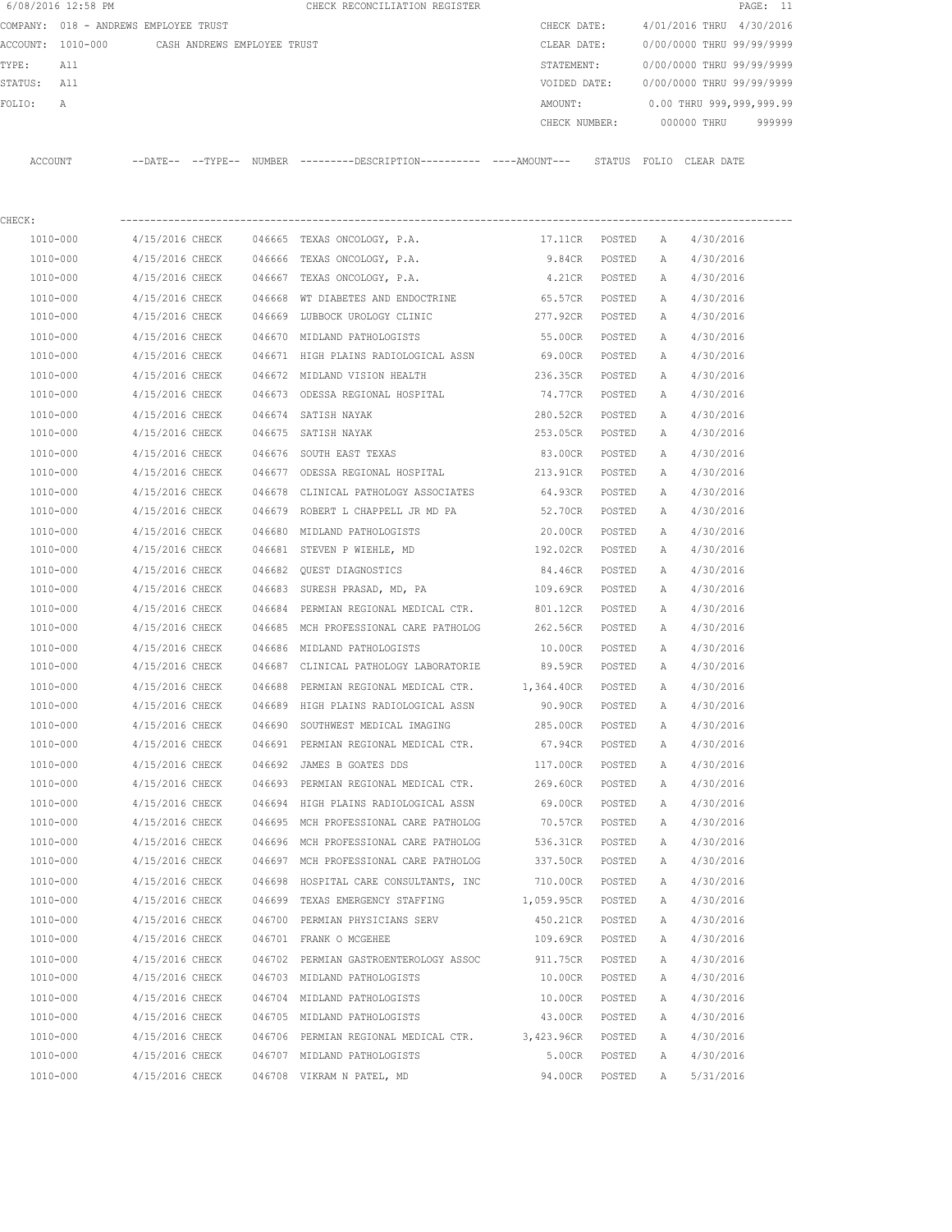|         | 6/08/2016 12:58 PM                    |                 |                             |        | CHECK RECONCILIATION REGISTER                                                                 |                   |        |   |                           | PAGE: 11 |
|---------|---------------------------------------|-----------------|-----------------------------|--------|-----------------------------------------------------------------------------------------------|-------------------|--------|---|---------------------------|----------|
|         | COMPANY: 018 - ANDREWS EMPLOYEE TRUST |                 |                             |        |                                                                                               | CHECK DATE:       |        |   | 4/01/2016 THRU 4/30/2016  |          |
|         | ACCOUNT: 1010-000                     |                 | CASH ANDREWS EMPLOYEE TRUST |        |                                                                                               | CLEAR DATE:       |        |   | 0/00/0000 THRU 99/99/9999 |          |
| TYPE:   | All                                   |                 |                             |        |                                                                                               | STATEMENT:        |        |   | 0/00/0000 THRU 99/99/9999 |          |
| STATUS: | All                                   |                 |                             |        |                                                                                               | VOIDED DATE:      |        |   | 0/00/0000 THRU 99/99/9999 |          |
| FOLIO:  | Α                                     |                 |                             |        |                                                                                               | AMOUNT:           |        |   | 0.00 THRU 999,999,999.99  |          |
|         |                                       |                 |                             |        |                                                                                               | CHECK NUMBER:     |        |   | 000000 THRU               | 999999   |
|         | ACCOUNT                               |                 |                             |        | --DATE-- --TYPE-- NUMBER ---------DESCRIPTION---------- ----AMOUNT--- STATUS FOLIO CLEAR DATE |                   |        |   |                           |          |
| CHECK:  |                                       |                 |                             |        |                                                                                               |                   |        |   |                           |          |
|         | 1010-000                              | 4/15/2016 CHECK |                             |        | 046665 TEXAS ONCOLOGY, P.A.                                                                   | 17.11CR POSTED    |        | A | 4/30/2016                 |          |
|         | 1010-000                              | 4/15/2016 CHECK |                             |        | 046666 TEXAS ONCOLOGY, P.A.                                                                   | 9.84CR            | POSTED | Α | 4/30/2016                 |          |
|         | 1010-000                              | 4/15/2016 CHECK |                             |        | 046667 TEXAS ONCOLOGY, P.A.                                                                   | 4.21CR POSTED     |        | A | 4/30/2016                 |          |
|         | 1010-000                              | 4/15/2016 CHECK |                             |        | 046668 WT DIABETES AND ENDOCTRINE                                                             | 65.57CR POSTED    |        | Α | 4/30/2016                 |          |
|         | 1010-000                              | 4/15/2016 CHECK |                             |        | 046669 LUBBOCK UROLOGY CLINIC                                                                 | 277.92CR POSTED   |        | A | 4/30/2016                 |          |
|         | 1010-000                              | 4/15/2016 CHECK |                             |        | 046670 MIDLAND PATHOLOGISTS                                                                   | 55.00CR           | POSTED | Α | 4/30/2016                 |          |
|         | 1010-000                              | 4/15/2016 CHECK |                             |        | 046671 HIGH PLAINS RADIOLOGICAL ASSN                                                          | 69.00CR POSTED    |        | A | 4/30/2016                 |          |
|         | 1010-000                              | 4/15/2016 CHECK |                             |        | 046672 MIDLAND VISION HEALTH                                                                  | 236.35CR          | POSTED | Α | 4/30/2016                 |          |
|         | 1010-000                              | 4/15/2016 CHECK |                             |        | 046673 ODESSA REGIONAL HOSPITAL                                                               | 74.77CR           | POSTED | A | 4/30/2016                 |          |
|         | 1010-000                              | 4/15/2016 CHECK |                             |        | 046674 SATISH NAYAK                                                                           | 280.52CR          | POSTED | A | 4/30/2016                 |          |
|         | 1010-000                              | 4/15/2016 CHECK |                             |        | 046675 SATISH NAYAK                                                                           | 253.05CR          | POSTED | A | 4/30/2016                 |          |
|         | 1010-000                              | 4/15/2016 CHECK |                             |        | 046676 SOUTH EAST TEXAS                                                                       | 83.00CR           | POSTED | Α | 4/30/2016                 |          |
|         | 1010-000                              | 4/15/2016 CHECK |                             |        | 046677 ODESSA REGIONAL HOSPITAL                                                               | 213.91CR          | POSTED | A | 4/30/2016                 |          |
|         | 1010-000                              | 4/15/2016 CHECK |                             |        | 046678 CLINICAL PATHOLOGY ASSOCIATES                                                          | 64.93CR           | POSTED | A | 4/30/2016                 |          |
|         | 1010-000                              | 4/15/2016 CHECK |                             |        | 046679 ROBERT L CHAPPELL JR MD PA                                                             | 52.70CR           | POSTED | A | 4/30/2016                 |          |
|         | 1010-000                              | 4/15/2016 CHECK |                             |        | 046680 MIDLAND PATHOLOGISTS                                                                   | 20.00CR           | POSTED | Α | 4/30/2016                 |          |
|         | 1010-000                              | 4/15/2016 CHECK |                             |        | 046681 STEVEN P WIEHLE, MD                                                                    | 192.02CR          | POSTED | A | 4/30/2016                 |          |
|         | 1010-000                              | 4/15/2016 CHECK |                             |        | 046682 QUEST DIAGNOSTICS                                                                      | 84.46CR           | POSTED | Α | 4/30/2016                 |          |
|         | 1010-000                              | 4/15/2016 CHECK |                             |        | 046683 SURESH PRASAD, MD, PA                                                                  | 109.69CR          | POSTED | Α | 4/30/2016                 |          |
|         | 1010-000                              | 4/15/2016 CHECK |                             | 046684 | PERMIAN REGIONAL MEDICAL CTR.                                                                 | 801.12CR          | POSTED | Α | 4/30/2016                 |          |
|         | 1010-000                              | 4/15/2016 CHECK |                             |        | 046685 MCH PROFESSIONAL CARE PATHOLOG                                                         | 262.56CR          | POSTED | A | 4/30/2016                 |          |
|         | 1010-000                              | 4/15/2016 CHECK |                             |        | 046686 MIDLAND PATHOLOGISTS                                                                   | 10.00CR           | POSTED | A | 4/30/2016                 |          |
|         | 1010-000                              | 4/15/2016 CHECK |                             |        | 046687 CLINICAL PATHOLOGY LABORATORIE 89.59CR                                                 |                   | POSTED | A | 4/30/2016                 |          |
|         | 1010-000                              | 4/15/2016 CHECK |                             |        | 046688 PERMIAN REGIONAL MEDICAL CTR. 1,364.40CR                                               |                   | POSTED | A | 4/30/2016                 |          |
|         | 1010-000                              | 4/15/2016 CHECK |                             |        | 046689 HIGH PLAINS RADIOLOGICAL ASSN                                                          | 90.90CR           | POSTED | Α | 4/30/2016                 |          |
|         | 1010-000                              | 4/15/2016 CHECK |                             |        | 046690 SOUTHWEST MEDICAL IMAGING                                                              | 285.00CR          | POSTED | Α | 4/30/2016                 |          |
|         | 1010-000                              | 4/15/2016 CHECK |                             |        | 046691 PERMIAN REGIONAL MEDICAL CTR.                                                          | 67.94CR           | POSTED | Α | 4/30/2016                 |          |
|         | $1010 - 000$                          | 4/15/2016 CHECK |                             |        | 046692 JAMES B GOATES DDS                                                                     | 117.00CR          | POSTED | Α | 4/30/2016                 |          |
|         | 1010-000                              | 4/15/2016 CHECK |                             |        | 046693 PERMIAN REGIONAL MEDICAL CTR.                                                          | 269.60CR          | POSTED | Α | 4/30/2016                 |          |
|         | $1010 - 000$                          | 4/15/2016 CHECK |                             |        | 046694 HIGH PLAINS RADIOLOGICAL ASSN                                                          | 69.00CR           | POSTED | Α | 4/30/2016                 |          |
|         | 1010-000                              | 4/15/2016 CHECK |                             |        | 046695 MCH PROFESSIONAL CARE PATHOLOG                                                         | 70.57CR           | POSTED | Α | 4/30/2016                 |          |
|         | 1010-000                              | 4/15/2016 CHECK |                             |        | 046696 MCH PROFESSIONAL CARE PATHOLOG                                                         | 536.31CR          | POSTED | Α | 4/30/2016                 |          |
|         | 1010-000                              | 4/15/2016 CHECK |                             |        | 046697 MCH PROFESSIONAL CARE PATHOLOG                                                         | 337.50CR          | POSTED | Α | 4/30/2016                 |          |
|         | 1010-000                              | 4/15/2016 CHECK |                             |        | 046698 HOSPITAL CARE CONSULTANTS, INC                                                         | 710.00CR          | POSTED | Α | 4/30/2016                 |          |
|         | 1010-000                              | 4/15/2016 CHECK |                             |        | 046699 TEXAS EMERGENCY STAFFING                                                               | 1,059.95CR        | POSTED | Α | 4/30/2016                 |          |
|         | 1010-000                              | 4/15/2016 CHECK |                             |        | 046700 PERMIAN PHYSICIANS SERV                                                                | 450.21CR          | POSTED | Α | 4/30/2016                 |          |
|         | 1010-000                              | 4/15/2016 CHECK |                             |        | 046701 FRANK O MCGEHEE                                                                        | 109.69CR          | POSTED | Α | 4/30/2016                 |          |
|         | 1010-000                              | 4/15/2016 CHECK |                             |        | 046702 PERMIAN GASTROENTEROLOGY ASSOC                                                         | 911.75CR          | POSTED | Α | 4/30/2016                 |          |
|         | 1010-000                              | 4/15/2016 CHECK |                             |        | 046703 MIDLAND PATHOLOGISTS                                                                   | 10.00CR           | POSTED | Α | 4/30/2016                 |          |
|         | 1010-000                              | 4/15/2016 CHECK |                             |        | 046704 MIDLAND PATHOLOGISTS                                                                   | 10.00CR           | POSTED | Α | 4/30/2016                 |          |
|         | 1010-000                              | 4/15/2016 CHECK |                             |        | 046705 MIDLAND PATHOLOGISTS                                                                   | 43.00CR           | POSTED | Α | 4/30/2016                 |          |
|         | 1010-000                              | 4/15/2016 CHECK |                             |        | 046706 PERMIAN REGIONAL MEDICAL CTR.                                                          | 3,423.96CR POSTED |        | Α | 4/30/2016                 |          |
|         | 1010-000                              | 4/15/2016 CHECK |                             |        | 046707 MIDLAND PATHOLOGISTS                                                                   | 5.00CR            | POSTED | Α | 4/30/2016                 |          |
|         | 1010-000                              | 4/15/2016 CHECK |                             |        | 046708 VIKRAM N PATEL, MD                                                                     | 94.00CR           | POSTED | Α | 5/31/2016                 |          |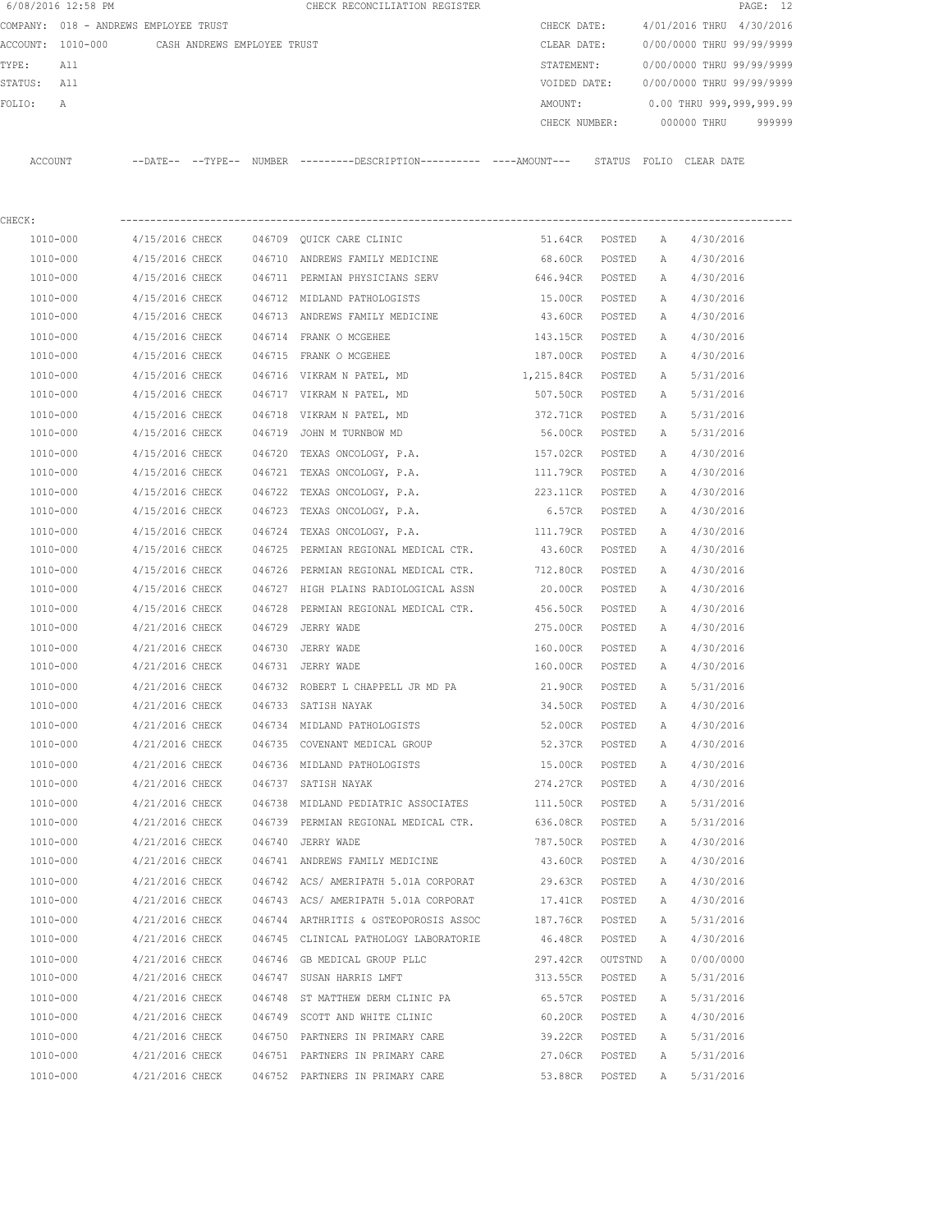| 6/08/2016 12:58 PM                            |                 |                 |        | CHECK RECONCILIATION REGISTER                                                                |                 |         |              | PAGE: 12                  |  |
|-----------------------------------------------|-----------------|-----------------|--------|----------------------------------------------------------------------------------------------|-----------------|---------|--------------|---------------------------|--|
| COMPANY: 018 - ANDREWS EMPLOYEE TRUST         |                 |                 |        |                                                                                              | CHECK DATE:     |         |              | 4/01/2016 THRU 4/30/2016  |  |
| ACCOUNT: 1010-000 CASH ANDREWS EMPLOYEE TRUST |                 |                 |        |                                                                                              | CLEAR DATE:     |         |              | 0/00/0000 THRU 99/99/9999 |  |
| TYPE:<br>All                                  |                 |                 |        |                                                                                              | STATEMENT:      |         |              | 0/00/0000 THRU 99/99/9999 |  |
| STATUS:<br>All                                |                 |                 |        |                                                                                              | VOIDED DATE:    |         |              | 0/00/0000 THRU 99/99/9999 |  |
| FOLIO:<br>Α                                   |                 |                 |        |                                                                                              | AMOUNT:         |         |              | 0.00 THRU 999,999,999.99  |  |
|                                               |                 |                 |        |                                                                                              | CHECK NUMBER:   |         |              | 000000 THRU<br>999999     |  |
| ACCOUNT                                       |                 |                 |        | --DATE-- --TYPE-- NUMBER --------DESCRIPTION---------- ----AMOUNT--- STATUS FOLIO CLEAR-DATE |                 |         |              |                           |  |
| CHECK:                                        |                 |                 |        |                                                                                              |                 |         |              |                           |  |
| 1010-000                                      | 4/15/2016 CHECK |                 |        | 046709 QUICK CARE CLINIC                                                                     | 51.64CR POSTED  |         | A            | 4/30/2016                 |  |
| 1010-000                                      | 4/15/2016 CHECK |                 |        | 046710 ANDREWS FAMILY MEDICINE                                                               | 68.60CR POSTED  |         | A            | 4/30/2016                 |  |
| 1010-000                                      | 4/15/2016 CHECK |                 |        | 046711 PERMIAN PHYSICIANS SERV                                                               | 646.94CR POSTED |         | A            | 4/30/2016                 |  |
| 1010-000                                      | 4/15/2016 CHECK |                 |        | 046712 MIDLAND PATHOLOGISTS                                                                  | 15.00CR         | POSTED  | A            | 4/30/2016                 |  |
| 1010-000                                      | 4/15/2016 CHECK |                 |        | 046713 ANDREWS FAMILY MEDICINE                                                               | 43.60CR POSTED  |         | A            | 4/30/2016                 |  |
| 1010-000                                      | 4/15/2016 CHECK |                 |        | 046714 FRANK O MCGEHEE                                                                       | 143.15CR        | POSTED  | A            | 4/30/2016                 |  |
| 1010-000                                      | 4/15/2016 CHECK |                 |        | 046715 FRANK O MCGEHEE                                                                       | 187.00CR        | POSTED  | A            | 4/30/2016                 |  |
| 1010-000                                      | 4/15/2016 CHECK |                 |        | 046716 VIKRAM N PATEL, MD                                                                    | 1,215.84CR      | POSTED  | A            | 5/31/2016                 |  |
| 1010-000                                      | 4/15/2016 CHECK |                 |        | 046717 VIKRAM N PATEL, MD                                                                    | 507.50CR        | POSTED  | A            | 5/31/2016                 |  |
| 1010-000                                      | 4/15/2016 CHECK |                 |        | 046718 VIKRAM N PATEL, MD                                                                    | 372.71CR        | POSTED  | A            | 5/31/2016                 |  |
| 1010-000                                      | 4/15/2016 CHECK |                 |        | 046719 JOHN M TURNBOW MD                                                                     | 56.00CR         | POSTED  | A            | 5/31/2016                 |  |
| 1010-000                                      | 4/15/2016 CHECK |                 |        | 046720 TEXAS ONCOLOGY, P.A.                                                                  | 157.02CR        | POSTED  | A            | 4/30/2016                 |  |
| 1010-000                                      | 4/15/2016 CHECK |                 |        | 046721 TEXAS ONCOLOGY, P.A.                                                                  | 111.79CR        | POSTED  | Α            | 4/30/2016                 |  |
| 1010-000                                      | 4/15/2016 CHECK |                 |        | 046722 TEXAS ONCOLOGY, P.A.                                                                  | 223.11CR        | POSTED  | A            | 4/30/2016                 |  |
| 1010-000                                      | 4/15/2016 CHECK |                 |        | 046723 TEXAS ONCOLOGY, P.A.                                                                  | 6.57CR          | POSTED  | A            | 4/30/2016                 |  |
| 1010-000                                      | 4/15/2016 CHECK |                 | 046724 | TEXAS ONCOLOGY, P.A.                                                                         | 111.79CR        | POSTED  | A            | 4/30/2016                 |  |
| 1010-000                                      | 4/15/2016 CHECK |                 | 046725 | PERMIAN REGIONAL MEDICAL CTR.                                                                | 43.60CR         | POSTED  | A            | 4/30/2016                 |  |
| 1010-000                                      | 4/15/2016 CHECK |                 | 046726 | PERMIAN REGIONAL MEDICAL CTR.                                                                | 712.80CR        | POSTED  | Α            | 4/30/2016                 |  |
| 1010-000                                      | 4/15/2016 CHECK |                 |        | 046727 HIGH PLAINS RADIOLOGICAL ASSN                                                         | 20.00CR         | POSTED  | A            | 4/30/2016                 |  |
| 1010-000                                      | 4/15/2016 CHECK |                 | 046728 | PERMIAN REGIONAL MEDICAL CTR.                                                                | 456.50CR        | POSTED  | A            | 4/30/2016                 |  |
| 1010-000                                      | 4/21/2016 CHECK |                 |        | 046729 JERRY WADE                                                                            | 275.00CR        | POSTED  | A            | 4/30/2016                 |  |
| 1010-000                                      | 4/21/2016 CHECK |                 |        | 046730 JERRY WADE                                                                            | 160.00CR        | POSTED  | A            | 4/30/2016                 |  |
| 1010-000                                      |                 | 4/21/2016 CHECK |        | 046731 JERRY WADE                                                                            | 160.00CR        | POSTED  | A            | 4/30/2016                 |  |
| 1010-000                                      |                 | 4/21/2016 CHECK |        | 046732 ROBERT L CHAPPELL JR MD PA                                                            | 21.90CR         | POSTED  | $\mathbb{A}$ | 5/31/2016                 |  |
| 1010-000                                      | 4/21/2016 CHECK |                 |        | 046733 SATISH NAYAK                                                                          | 34.50CR         | POSTED  | Α            | 4/30/2016                 |  |
| $1010 - 000$                                  | 4/21/2016 CHECK |                 |        | 046734 MIDLAND PATHOLOGISTS                                                                  | 52.00CR         | POSTED  | Α            | 4/30/2016                 |  |
| 1010-000                                      | 4/21/2016 CHECK |                 |        | 046735 COVENANT MEDICAL GROUP                                                                | 52.37CR         | POSTED  | Α            | 4/30/2016                 |  |
| 1010-000                                      | 4/21/2016 CHECK |                 |        | 046736 MIDLAND PATHOLOGISTS                                                                  | 15.00CR         | POSTED  | Α            | 4/30/2016                 |  |
| 1010-000                                      | 4/21/2016 CHECK |                 |        | 046737 SATISH NAYAK                                                                          | 274.27CR        | POSTED  | Α            | 4/30/2016                 |  |
| 1010-000                                      | 4/21/2016 CHECK |                 |        | 046738 MIDLAND PEDIATRIC ASSOCIATES                                                          | 111.50CR        | POSTED  | Α            | 5/31/2016                 |  |
| 1010-000                                      | 4/21/2016 CHECK |                 |        | 046739 PERMIAN REGIONAL MEDICAL CTR.                                                         | 636.08CR        | POSTED  | Α            | 5/31/2016                 |  |
| 1010-000                                      | 4/21/2016 CHECK |                 |        | 046740 JERRY WADE                                                                            | 787.50CR        | POSTED  | Α            | 4/30/2016                 |  |
| 1010-000                                      | 4/21/2016 CHECK |                 |        | 046741 ANDREWS FAMILY MEDICINE                                                               | 43.60CR         | POSTED  | Α            | 4/30/2016                 |  |
| $1010 - 000$                                  | 4/21/2016 CHECK |                 |        | 046742 ACS/AMERIPATH 5.01A CORPORAT                                                          | 29.63CR         | POSTED  | Α            | 4/30/2016                 |  |
| 1010-000                                      | 4/21/2016 CHECK |                 |        | 046743 ACS/AMERIPATH 5.01A CORPORAT                                                          | 17.41CR         | POSTED  | Α            | 4/30/2016                 |  |
| 1010-000                                      | 4/21/2016 CHECK |                 |        | 046744 ARTHRITIS & OSTEOPOROSIS ASSOC                                                        | 187.76CR        | POSTED  | Α            | 5/31/2016                 |  |
| 1010-000                                      | 4/21/2016 CHECK |                 |        | 046745 CLINICAL PATHOLOGY LABORATORIE                                                        | 46.48CR         | POSTED  | Α            | 4/30/2016                 |  |
| 1010-000                                      | 4/21/2016 CHECK |                 |        | 046746 GB MEDICAL GROUP PLLC                                                                 | 297.42CR        | OUTSTND | Α            | 0/00/0000                 |  |
| 1010-000                                      | 4/21/2016 CHECK |                 |        | 046747 SUSAN HARRIS LMFT                                                                     | 313.55CR        | POSTED  | Α            | 5/31/2016                 |  |
| 1010-000                                      | 4/21/2016 CHECK |                 |        | 046748 ST MATTHEW DERM CLINIC PA                                                             | 65.57CR         | POSTED  | Α            | 5/31/2016                 |  |
| 1010-000                                      | 4/21/2016 CHECK |                 |        | 046749 SCOTT AND WHITE CLINIC                                                                | 60.20CR         | POSTED  | Α            | 4/30/2016                 |  |
| 1010-000                                      | 4/21/2016 CHECK |                 |        | 046750 PARTNERS IN PRIMARY CARE                                                              | 39.22CR         | POSTED  | Α            | 5/31/2016                 |  |
| 1010-000                                      | 4/21/2016 CHECK |                 |        | 046751 PARTNERS IN PRIMARY CARE                                                              | 27.06CR         | POSTED  | Α            | 5/31/2016                 |  |
| 1010-000                                      | 4/21/2016 CHECK |                 |        | 046752 PARTNERS IN PRIMARY CARE                                                              | 53.88CR         | POSTED  | Α            | 5/31/2016                 |  |
|                                               |                 |                 |        |                                                                                              |                 |         |              |                           |  |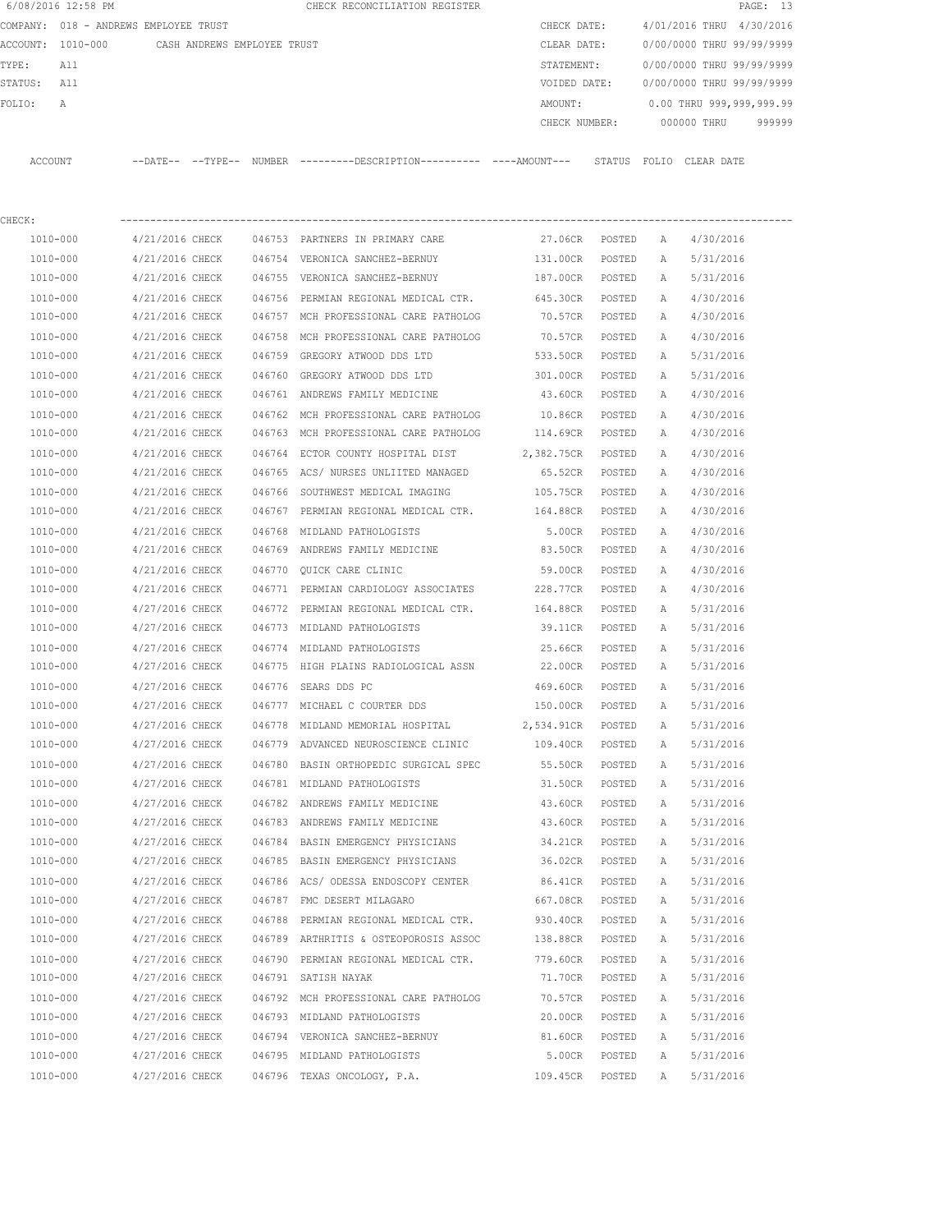|             | 6/08/2016 12:58 PM                            |                                    |                 | CHECK RECONCILIATION REGISTER                                                               |                   |        |              |                                  | PAGE: 13 |
|-------------|-----------------------------------------------|------------------------------------|-----------------|---------------------------------------------------------------------------------------------|-------------------|--------|--------------|----------------------------------|----------|
|             | COMPANY: 018 - ANDREWS EMPLOYEE TRUST         |                                    |                 |                                                                                             | CHECK DATE:       |        |              | 4/01/2016 THRU 4/30/2016         |          |
|             | ACCOUNT: 1010-000 CASH ANDREWS EMPLOYEE TRUST |                                    |                 |                                                                                             | CLEAR DATE:       |        |              | 0/00/0000 THRU 99/99/9999        |          |
| TYPE:       | All                                           |                                    |                 |                                                                                             | STATEMENT:        |        |              | 0/00/0000 THRU 99/99/9999        |          |
| STATUS: All |                                               |                                    |                 |                                                                                             | VOIDED DATE:      |        |              | 0/00/0000 THRU 99/99/9999        |          |
| FOLIO:      | А                                             |                                    |                 |                                                                                             | AMOUNT:           |        |              | 0.00 THRU 999,999,999.99         |          |
|             |                                               |                                    |                 |                                                                                             |                   |        |              | CHECK NUMBER: 000000 THRU 999999 |          |
| ACCOUNT     |                                               |                                    |                 | --DATE-- --TYPE-- NUMBER --------DESCRIPTION---------- ---AMOUNT--- STATUS FOLIO CLEAR-DATE |                   |        |              |                                  |          |
|             |                                               |                                    |                 |                                                                                             |                   |        |              |                                  |          |
| CHECK:      | 1010-000                                      | 4/21/2016 CHECK                    |                 | 046753 PARTNERS IN PRIMARY CARE                                                             | 27.06CR POSTED A  |        |              | 4/30/2016                        |          |
|             | 1010-000                                      | 4/21/2016 CHECK                    |                 | 046754 VERONICA SANCHEZ-BERNUY                                                              | 131.00CR POSTED   |        | <b>A</b>     | 5/31/2016                        |          |
|             | 1010-000                                      | 4/21/2016 CHECK                    |                 | 046755 VERONICA SANCHEZ-BERNUY                                                              | 187.00CR POSTED   |        | A            | 5/31/2016                        |          |
|             | 1010-000                                      | 4/21/2016 CHECK                    |                 | 046756 PERMIAN REGIONAL MEDICAL CTR.                                                        | 645.30CR          |        |              | 4/30/2016                        |          |
|             | 1010-000                                      | 4/21/2016 CHECK                    |                 | 046757 MCH PROFESSIONAL CARE PATHOLOG                                                       | 70.57CR POSTED    | POSTED | A<br>A       | 4/30/2016                        |          |
|             |                                               |                                    |                 |                                                                                             |                   |        |              |                                  |          |
|             | 1010-000                                      | 4/21/2016 CHECK<br>4/21/2016 CHECK |                 | 046758 MCH PROFESSIONAL CARE PATHOLOG                                                       | 70.57CR           | POSTED | A            | 4/30/2016                        |          |
|             | 1010-000                                      |                                    |                 | 046759 GREGORY ATWOOD DDS LTD                                                               | 533.50CR          | POSTED | A            | 5/31/2016                        |          |
|             | 1010-000                                      | 4/21/2016 CHECK                    |                 | 046760 GREGORY ATWOOD DDS LTD                                                               | 301.00CR          | POSTED | A            | 5/31/2016                        |          |
|             | 1010-000                                      | 4/21/2016 CHECK                    |                 | 046761 ANDREWS FAMILY MEDICINE                                                              | 43.60CR           | POSTED | A            | 4/30/2016                        |          |
|             | $1010 - 000$                                  | 4/21/2016 CHECK                    |                 | 046762 MCH PROFESSIONAL CARE PATHOLOG 10.86CR                                               |                   | POSTED | A            | 4/30/2016                        |          |
|             | 1010-000                                      |                                    | 4/21/2016 CHECK | 046763 MCH PROFESSIONAL CARE PATHOLOG 114.69CR POSTED                                       |                   |        | A            | 4/30/2016                        |          |
|             | 1010-000                                      | 4/21/2016 CHECK                    |                 | 046764 ECTOR COUNTY HOSPITAL DIST                                                           | 2,382.75CR POSTED |        | A            | 4/30/2016                        |          |
|             | 1010-000                                      | 4/21/2016 CHECK                    |                 | 046765 ACS/ NURSES UNLIITED MANAGED                                                         | 65.52CR POSTED    |        | A            | 4/30/2016                        |          |
|             | 1010-000                                      | 4/21/2016 CHECK                    |                 | 046766 SOUTHWEST MEDICAL IMAGING                                                            | 105.75CR POSTED   |        | $\mathbb{A}$ | 4/30/2016                        |          |
|             | 1010-000                                      | 4/21/2016 CHECK                    |                 | 046767 PERMIAN REGIONAL MEDICAL CTR.                                                        | 164.88CR          | POSTED | A            | 4/30/2016                        |          |
|             | 1010-000                                      | 4/21/2016 CHECK                    |                 | 046768 MIDLAND PATHOLOGISTS                                                                 | 5.00CR            | POSTED | A            | 4/30/2016                        |          |
|             | 1010-000                                      | 4/21/2016 CHECK                    |                 | 046769 ANDREWS FAMILY MEDICINE                                                              | 83.50CR           | POSTED | A            | 4/30/2016                        |          |
|             | 1010-000                                      | 4/21/2016 CHECK                    |                 | 046770 OUICK CARE CLINIC                                                                    | 59.00CR           | POSTED | A            | 4/30/2016                        |          |
|             | 1010-000                                      | 4/21/2016 CHECK                    |                 | 046771 PERMIAN CARDIOLOGY ASSOCIATES 228.77CR                                               |                   | POSTED | A            | 4/30/2016                        |          |
|             | 1010-000                                      | 4/27/2016 CHECK                    |                 | 046772 PERMIAN REGIONAL MEDICAL CTR. 164.88CR                                               |                   | POSTED | A            | 5/31/2016                        |          |
|             | 1010-000                                      | 4/27/2016 CHECK                    |                 | 046773 MIDLAND PATHOLOGISTS                                                                 | 39.11CR           | POSTED | A            | 5/31/2016                        |          |
|             | 1010-000                                      | 4/27/2016 CHECK                    |                 | 046774 MIDLAND PATHOLOGISTS                                                                 | 25.66CR           | POSTED | A            | 5/31/2016                        |          |
|             | 1010-000                                      |                                    | 4/27/2016 CHECK | 046775 HIGH PLAINS RADIOLOGICAL ASSN                                                        | 22.00CR           | POSTED | A            | 5/31/2016                        |          |
|             | 1010-000                                      | 4/27/2016 CHECK                    |                 | 046776 SEARS DDS PC                                                                         | 469.60CR          | POSTED | A            | 5/31/2016                        |          |
|             | 1010-000                                      | 4/27/2016 CHECK                    |                 | 046777 MICHAEL C COURTER DDS                                                                | 150.00CR          | POSTED | А            | 5/31/2016                        |          |
|             | 1010-000                                      | 4/27/2016 CHECK                    |                 | 046778 MIDLAND MEMORIAL HOSPITAL                                                            | 2,534.91CR        | POSTED | Α            | 5/31/2016                        |          |
|             | 1010-000                                      | 4/27/2016 CHECK                    |                 | 046779 ADVANCED NEUROSCIENCE CLINIC                                                         | 109.40CR          | POSTED | Α            | 5/31/2016                        |          |
|             | $1010 - 000$                                  | 4/27/2016 CHECK                    |                 | 046780 BASIN ORTHOPEDIC SURGICAL SPEC                                                       | 55.50CR           | POSTED | Α            | 5/31/2016                        |          |
|             | 1010-000                                      | 4/27/2016 CHECK                    |                 | 046781 MIDLAND PATHOLOGISTS                                                                 | 31.50CR           | POSTED | Α            | 5/31/2016                        |          |
|             | 1010-000                                      | 4/27/2016 CHECK                    |                 | 046782 ANDREWS FAMILY MEDICINE                                                              | 43.60CR           | POSTED | Α            | 5/31/2016                        |          |
|             | 1010-000                                      | 4/27/2016 CHECK                    |                 | 046783 ANDREWS FAMILY MEDICINE                                                              | 43.60CR           | POSTED | Α            | 5/31/2016                        |          |
|             | 1010-000                                      | 4/27/2016 CHECK                    |                 | 046784 BASIN EMERGENCY PHYSICIANS                                                           | 34.21CR           | POSTED | Α            | 5/31/2016                        |          |
|             | 1010-000                                      | 4/27/2016 CHECK                    |                 | 046785 BASIN EMERGENCY PHYSICIANS                                                           | 36.02CR           | POSTED | Α            | 5/31/2016                        |          |
|             | 1010-000                                      | 4/27/2016 CHECK                    |                 | 046786 ACS/ ODESSA ENDOSCOPY CENTER                                                         | 86.41CR           | POSTED | Α            | 5/31/2016                        |          |
|             | 1010-000                                      | 4/27/2016 CHECK                    |                 | 046787 FMC DESERT MILAGARO                                                                  | 667.08CR          | POSTED | Α            | 5/31/2016                        |          |
|             | 1010-000                                      | 4/27/2016 CHECK                    |                 | 046788 PERMIAN REGIONAL MEDICAL CTR.                                                        | 930.40CR          | POSTED | Α            | 5/31/2016                        |          |
|             | 1010-000                                      | 4/27/2016 CHECK                    |                 | 046789 ARTHRITIS & OSTEOPOROSIS ASSOC                                                       | 138.88CR          | POSTED | Α            | 5/31/2016                        |          |
|             | 1010-000                                      | 4/27/2016 CHECK                    |                 | 046790 PERMIAN REGIONAL MEDICAL CTR.                                                        | 779.60CR          | POSTED | Α            | 5/31/2016                        |          |
|             | 1010-000                                      | 4/27/2016 CHECK                    |                 | 046791 SATISH NAYAK                                                                         | 71.70CR           | POSTED | Α            | 5/31/2016                        |          |
|             | 1010-000                                      | 4/27/2016 CHECK                    |                 | 046792 MCH PROFESSIONAL CARE PATHOLOG                                                       | 70.57CR           | POSTED | Α            | 5/31/2016                        |          |
|             | 1010-000                                      | 4/27/2016 CHECK                    |                 | 046793 MIDLAND PATHOLOGISTS                                                                 | 20.00CR           | POSTED | Α            | 5/31/2016                        |          |
|             | 1010-000                                      | 4/27/2016 CHECK                    |                 | 046794 VERONICA SANCHEZ-BERNUY                                                              | 81.60CR           | POSTED | Α            | 5/31/2016                        |          |
|             | 1010-000                                      | 4/27/2016 CHECK                    |                 | 046795 MIDLAND PATHOLOGISTS                                                                 | 5.00CR            | POSTED | Α            | 5/31/2016                        |          |
|             | 1010-000                                      | 4/27/2016 CHECK                    |                 | 046796 TEXAS ONCOLOGY, P.A.                                                                 | 109.45CR          | POSTED | Α            | 5/31/2016                        |          |
|             |                                               |                                    |                 |                                                                                             |                   |        |              |                                  |          |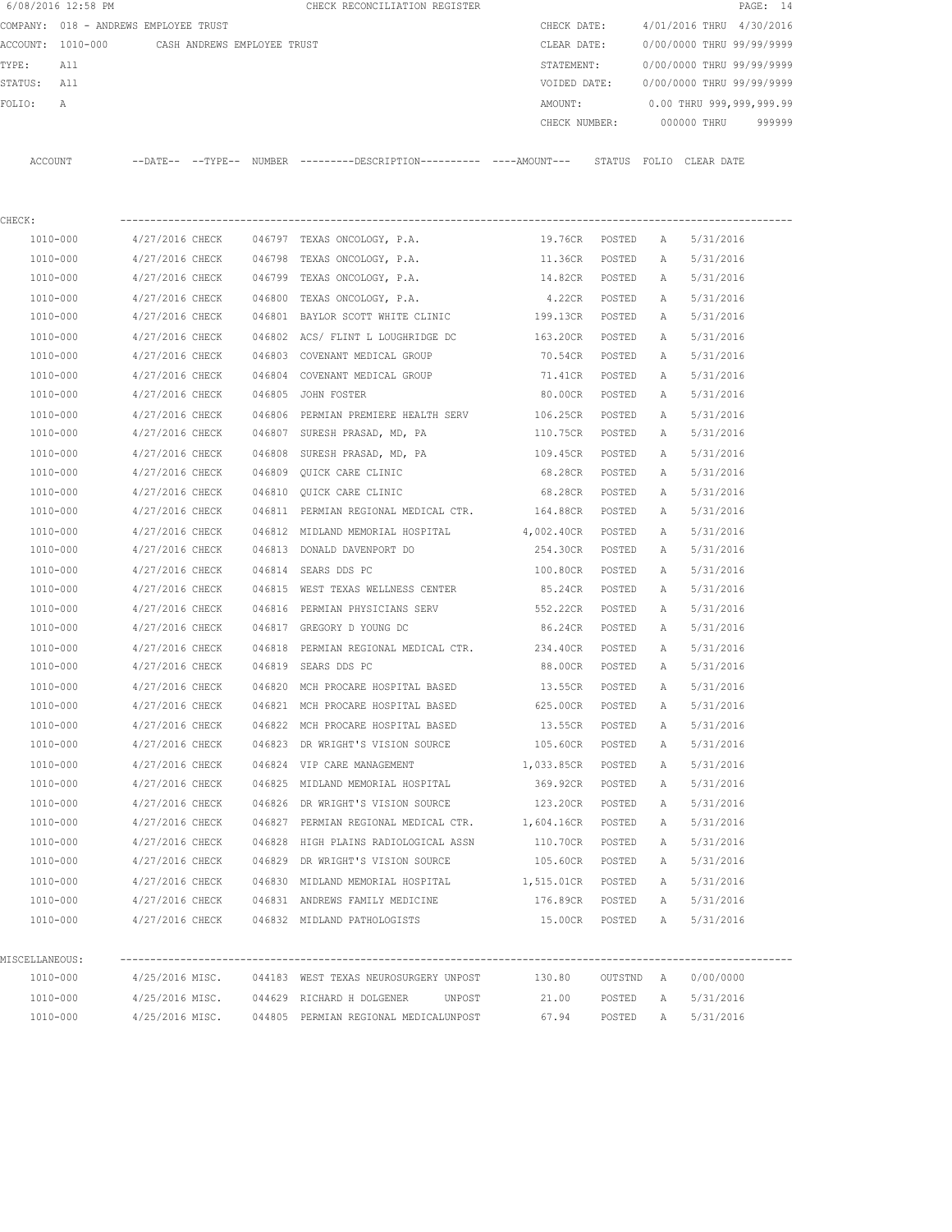|                | 6/08/2016 12:58 PM                            |                 |                 | CHECK RECONCILIATION REGISTER                                                               |                |           |   | PAGE: 14                  |
|----------------|-----------------------------------------------|-----------------|-----------------|---------------------------------------------------------------------------------------------|----------------|-----------|---|---------------------------|
|                | COMPANY: 018 - ANDREWS EMPLOYEE TRUST         |                 |                 |                                                                                             | CHECK DATE:    |           |   | 4/01/2016 THRU 4/30/2016  |
|                | ACCOUNT: 1010-000 CASH ANDREWS EMPLOYEE TRUST |                 |                 |                                                                                             | CLEAR DATE:    |           |   | 0/00/0000 THRU 99/99/9999 |
| TYPE:          | All                                           |                 |                 |                                                                                             | STATEMENT:     |           |   | 0/00/0000 THRU 99/99/9999 |
| STATUS: All    |                                               |                 |                 |                                                                                             | VOIDED DATE:   |           |   | 0/00/0000 THRU 99/99/9999 |
| FOLIO:         | А                                             |                 |                 |                                                                                             | AMOUNT:        |           |   | 0.00 THRU 999,999,999.99  |
|                |                                               |                 |                 |                                                                                             | CHECK NUMBER:  |           |   | 000000 THRU<br>999999     |
|                | ACCOUNT                                       |                 |                 | --DATE-- --TYPE-- NUMBER --------DESCRIPTION---------- ----AMOUNT--- STATUS FOLIO CLEARDATE |                |           |   |                           |
|                |                                               |                 |                 |                                                                                             |                |           |   |                           |
| CHECK:         |                                               |                 |                 |                                                                                             |                |           |   |                           |
|                | 1010-000                                      |                 |                 | $4/27/2016$ CHECK $046797$ TEXAS ONCOLOGY, P.A.                                             | 19.76CR POSTED |           | Α | 5/31/2016                 |
|                | 1010-000                                      | 4/27/2016 CHECK |                 | 046798 TEXAS ONCOLOGY, P.A.                                                                 | 11.36CR        | POSTED    | A | 5/31/2016                 |
|                | 1010-000                                      | 4/27/2016 CHECK |                 | 046799 TEXAS ONCOLOGY, P.A.                                                                 | 14.82CR POSTED |           | A | 5/31/2016                 |
|                | 1010-000                                      | 4/27/2016 CHECK |                 | 046800 TEXAS ONCOLOGY, P.A.                                                                 | 4.22CR         | POSTED    | Α | 5/31/2016                 |
|                | 1010-000                                      | 4/27/2016 CHECK |                 | 046801 BAYLOR SCOTT WHITE CLINIC                                                            | 199.13CR       | POSTED    | A | 5/31/2016                 |
|                | 1010-000                                      | 4/27/2016 CHECK |                 | 046802 ACS/ FLINT L LOUGHRIDGE DC 163.20CR                                                  |                | POSTED    | Α | 5/31/2016                 |
|                | 1010-000                                      | 4/27/2016 CHECK |                 | 046803 COVENANT MEDICAL GROUP                                                               | 70.54CR        | POSTED    | Α | 5/31/2016                 |
|                | 1010-000                                      | 4/27/2016 CHECK |                 | 046804 COVENANT MEDICAL GROUP                                                               | 71.41CR        | POSTED    | Α | 5/31/2016                 |
|                | 1010-000                                      | 4/27/2016 CHECK |                 | 046805 JOHN FOSTER                                                                          | 80.00CR        | POSTED    | Α | 5/31/2016                 |
|                | 1010-000                                      | 4/27/2016 CHECK |                 | 046806 PERMIAN PREMIERE HEALTH SERV 106.25CR                                                |                | POSTED    | A | 5/31/2016                 |
|                | 1010-000                                      |                 | 4/27/2016 CHECK | 046807 SURESH PRASAD, MD, PA                                                                | 110.75CR       | POSTED    | A | 5/31/2016                 |
|                | 1010-000                                      | 4/27/2016 CHECK |                 | 046808 SURESH PRASAD, MD, PA                                                                | 109.45CR       | POSTED    | Α | 5/31/2016                 |
|                | 1010-000                                      | 4/27/2016 CHECK |                 | 046809 QUICK CARE CLINIC                                                                    | 68.28CR        | POSTED    | A | 5/31/2016                 |
|                | 1010-000                                      | 4/27/2016 CHECK |                 | 046810 QUICK CARE CLINIC                                                                    | 68.28CR        | POSTED    | A | 5/31/2016                 |
|                | 1010-000                                      | 4/27/2016 CHECK |                 | 046811 PERMIAN REGIONAL MEDICAL CTR.                                                        | 164.88CR       | POSTED    | A | 5/31/2016                 |
|                | 1010-000                                      | 4/27/2016 CHECK |                 | 046812 MIDLAND MEMORIAL HOSPITAL                                                            | 4,002.40CR     | POSTED    | A | 5/31/2016                 |
|                | 1010-000                                      | 4/27/2016 CHECK |                 | 046813 DONALD DAVENPORT DO                                                                  | 254.30CR       | POSTED    | A | 5/31/2016                 |
|                | 1010-000                                      | 4/27/2016 CHECK |                 | 046814 SEARS DDS PC                                                                         | 100.80CR       | POSTED    | A | 5/31/2016                 |
|                | 1010-000                                      | 4/27/2016 CHECK |                 | 046815 WEST TEXAS WELLNESS CENTER                                                           | 85.24CR        | POSTED    | A | 5/31/2016                 |
|                | 1010-000                                      | 4/27/2016 CHECK |                 | 046816 PERMIAN PHYSICIANS SERV 552.22CR                                                     |                | POSTED    | Α | 5/31/2016                 |
|                | 1010-000                                      | 4/27/2016 CHECK |                 | 046817 GREGORY D YOUNG DC                                                                   | 86.24CR        | POSTED    | A | 5/31/2016                 |
|                | 1010-000                                      | 4/27/2016 CHECK |                 | 046818 PERMIAN REGIONAL MEDICAL CTR. 234.40CR                                               |                | POSTED    | A | 5/31/2016                 |
|                | 1010-000                                      |                 |                 | 4/27/2016 CHECK 046819 SEARS DDS PC                                                         | 88.00CR        | POSTED    | A | 5/31/2016                 |
|                | 1010-000                                      |                 | 4/27/2016 CHECK | 046820 MCH PROCARE HOSPITAL BASED                                                           | 13.55CR        | POSTED    | A | 5/31/2016                 |
|                | 1010-000                                      | 4/27/2016 CHECK |                 | 046821 MCH PROCARE HOSPITAL BASED                                                           | 625.00CR       | POSTED    | Α | 5/31/2016                 |
|                | 1010-000                                      | 4/27/2016 CHECK |                 | 046822 MCH PROCARE HOSPITAL BASED                                                           | 13.55CR        | POSTED    | Α | 5/31/2016                 |
|                | 1010-000                                      | 4/27/2016 CHECK |                 | 046823 DR WRIGHT'S VISION SOURCE                                                            | 105.60CR       | POSTED    | A | 5/31/2016                 |
|                | 1010-000                                      | 4/27/2016 CHECK |                 | 046824 VIP CARE MANAGEMENT                                                                  | 1,033.85CR     | POSTED    | Α | 5/31/2016                 |
|                | 1010-000                                      | 4/27/2016 CHECK |                 | 046825 MIDLAND MEMORIAL HOSPITAL                                                            | 369.92CR       | POSTED    | Α | 5/31/2016                 |
|                | 1010-000                                      | 4/27/2016 CHECK |                 | 046826 DR WRIGHT'S VISION SOURCE                                                            | 123.20CR       | POSTED    | Α | 5/31/2016                 |
|                | 1010-000                                      | 4/27/2016 CHECK |                 | 046827 PERMIAN REGIONAL MEDICAL CTR. 1,604.16CR                                             |                | POSTED    | Α | 5/31/2016                 |
|                | $1010 - 000$                                  | 4/27/2016 CHECK |                 | 046828 HIGH PLAINS RADIOLOGICAL ASSN 110.70CR                                               |                | POSTED    | Α | 5/31/2016                 |
|                | 1010-000                                      | 4/27/2016 CHECK |                 | 046829 DR WRIGHT'S VISION SOURCE                                                            | 105.60CR       | POSTED    | Α | 5/31/2016                 |
|                |                                               |                 |                 |                                                                                             |                |           |   |                           |
|                | 1010-000                                      |                 |                 | 4/27/2016 CHECK 046830 MIDLAND MEMORIAL HOSPITAL 1,515.01CR                                 |                | POSTED    | Α | 5/31/2016                 |
|                | 1010-000                                      |                 |                 | 4/27/2016 CHECK 046831 ANDREWS FAMILY MEDICINE                                              | 176.89CR       | POSTED    | A | 5/31/2016                 |
|                | 1010-000                                      |                 |                 | 4/27/2016 CHECK 046832 MIDLAND PATHOLOGISTS                                                 | 15.00CR POSTED |           | A | 5/31/2016                 |
| MISCELLANEOUS: |                                               |                 |                 |                                                                                             |                |           |   | ------------------        |
|                | 1010-000                                      |                 |                 | 4/25/2016 MISC. 044183 WEST TEXAS NEUROSURGERY UNPOST                                       | 130.80         | OUTSTND A |   | 0/00/0000                 |
|                | 1010-000                                      |                 |                 | 4/25/2016 MISC. 044629 RICHARD H DOLGENER UNPOST                                            | 21.00          | POSTED    | Α | 5/31/2016                 |
|                | 1010-000                                      |                 |                 | 4/25/2016 MISC. 044805 PERMIAN REGIONAL MEDICALUNPOST                                       | 67.94          |           |   | POSTED A 5/31/2016        |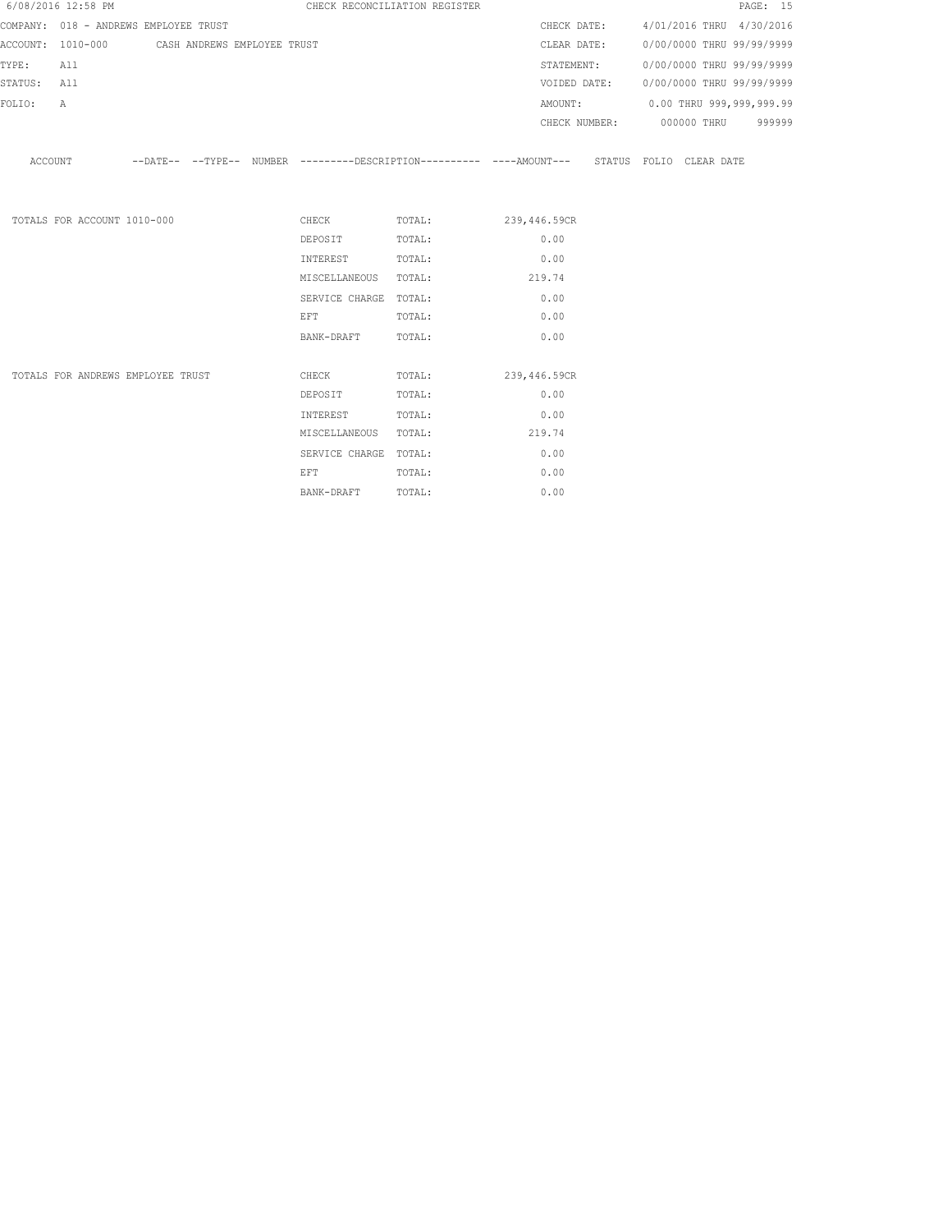|             | 6/08/2016 12:58 PM          |                                               |  |                                                                                                    | CHECK RECONCILIATION REGISTER |        |  | PAGE: 15                               |
|-------------|-----------------------------|-----------------------------------------------|--|----------------------------------------------------------------------------------------------------|-------------------------------|--------|--|----------------------------------------|
|             |                             | COMPANY: 018 - ANDREWS EMPLOYEE TRUST         |  |                                                                                                    |                               |        |  | CHECK DATE: 4/01/2016 THRU 4/30/2016   |
|             |                             | ACCOUNT: 1010-000 CASH ANDREWS EMPLOYEE TRUST |  |                                                                                                    |                               |        |  | CLEAR DATE: 0/00/0000 THRU 99/99/9999  |
| TYPE:       | All                         |                                               |  |                                                                                                    |                               |        |  | STATEMENT: 0/00/0000 THRU 99/99/9999   |
| STATUS: All |                             |                                               |  |                                                                                                    |                               |        |  | VOIDED DATE: 0/00/0000 THRU 99/99/9999 |
| FOLIO:      | A                           |                                               |  |                                                                                                    |                               |        |  | AMOUNT: 0.00 THRU 999,999,999.99       |
|             |                             |                                               |  |                                                                                                    |                               |        |  | CHECK NUMBER: 000000 THRU 999999       |
|             |                             |                                               |  | ACCOUNT -DATE-- --TYPE-- NUMBER --------DESCRIPTION--------- ----AMOUNT--- STATUS FOLIO CLEAR DATE |                               |        |  |                                        |
|             | TOTALS FOR ACCOUNT 1010-000 |                                               |  |                                                                                                    | CHECK TOTAL: 239,446.59CR     |        |  |                                        |
|             |                             |                                               |  | DEPOSIT                                                                                            | TOTAL:                        | 0.00   |  |                                        |
|             |                             |                                               |  | INTEREST                                                                                           | TOTAL:                        | 0.00   |  |                                        |
|             |                             |                                               |  | MISCELLANEOUS TOTAL:                                                                               |                               | 219.74 |  |                                        |
|             |                             |                                               |  | SERVICE CHARGE TOTAL:                                                                              |                               | 0.00   |  |                                        |
|             |                             |                                               |  | EFT                                                                                                | TOTAL:                        | 0.00   |  |                                        |
|             |                             |                                               |  | BANK-DRAFT                                                                                         | TOTAL:                        | 0.00   |  |                                        |
|             |                             | TOTALS FOR ANDREWS EMPLOYEE TRUST             |  | <b>CHECK</b>                                                                                       | TOTAL: 239,446.59CR           |        |  |                                        |
|             |                             |                                               |  | DEPOSIT                                                                                            | TOTAL:                        | 0.00   |  |                                        |
|             |                             |                                               |  | INTEREST                                                                                           | TOTAL:                        | 0.00   |  |                                        |
|             |                             |                                               |  | MISCELLANEOUS TOTAL:                                                                               |                               | 219.74 |  |                                        |
|             |                             |                                               |  | SERVICE CHARGE TOTAL:                                                                              |                               | 0.00   |  |                                        |
|             |                             |                                               |  | EFT.                                                                                               | TOTAL:                        | 0.00   |  |                                        |

BANK-DRAFT TOTAL:  $0.00$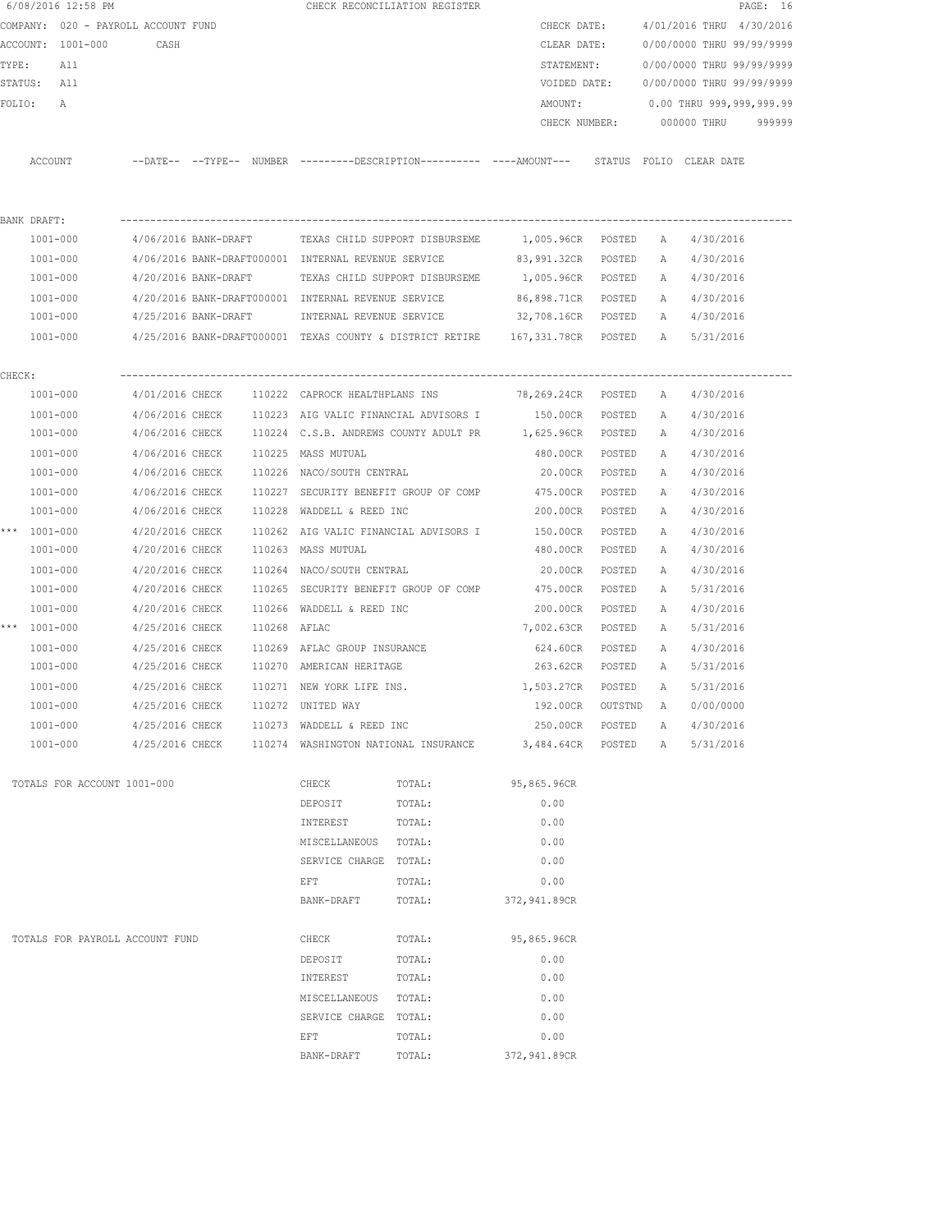|        | 6/08/2016 12:58 PM                  |                      |              |                                                     | CHECK RECONCILIATION REGISTER         |                                                                                              |         |   |                                        | PAGE: 16 |
|--------|-------------------------------------|----------------------|--------------|-----------------------------------------------------|---------------------------------------|----------------------------------------------------------------------------------------------|---------|---|----------------------------------------|----------|
|        | COMPANY: 020 - PAYROLL ACCOUNT FUND |                      |              |                                                     |                                       | CHECK DATE:                                                                                  |         |   | 4/01/2016 THRU 4/30/2016               |          |
|        | ACCOUNT: 1001-000                   | CASH                 |              |                                                     |                                       | CLEAR DATE:                                                                                  |         |   | 0/00/0000 THRU 99/99/9999              |          |
| TYPE:  | All                                 |                      |              |                                                     |                                       | STATEMENT:                                                                                   |         |   | 0/00/0000 THRU 99/99/9999              |          |
|        | STATUS: All                         |                      |              |                                                     |                                       |                                                                                              |         |   | VOIDED DATE: 0/00/0000 THRU 99/99/9999 |          |
| FOLIO: | A                                   |                      |              |                                                     |                                       | AMOUNT:                                                                                      |         |   | 0.00 THRU 999,999,999.99               |          |
|        |                                     |                      |              |                                                     |                                       | CHECK NUMBER:                                                                                |         |   | 000000 THRU                            | 999999   |
|        |                                     |                      |              |                                                     |                                       |                                                                                              |         |   |                                        |          |
|        | ACCOUNT                             |                      |              |                                                     |                                       | --DATE-- --TYPE-- NUMBER ---------DESCRIPTION---------- ----AMOUNT--- STATUS FOLIO CLEARDATE |         |   |                                        |          |
|        |                                     |                      |              |                                                     |                                       |                                                                                              |         |   |                                        |          |
|        | BANK DRAFT:                         |                      |              |                                                     |                                       |                                                                                              |         |   |                                        |          |
|        | 1001-000                            |                      |              |                                                     |                                       | 4/06/2016 BANK-DRAFT TEXAS CHILD SUPPORT DISBURSEME 1,005.96CR POSTED                        |         |   | A 4/30/2016                            |          |
|        | 1001-000                            |                      |              | 4/06/2016 BANK-DRAFT000001 INTERNAL REVENUE SERVICE |                                       | 83,991.32CR POSTED                                                                           |         | A | 4/30/2016                              |          |
|        | 1001-000                            | 4/20/2016 BANK-DRAFT |              |                                                     | TEXAS CHILD SUPPORT DISBURSEME        | 1,005.96CR POSTED                                                                            |         |   | A 4/30/2016                            |          |
|        | 1001-000                            |                      |              | 4/20/2016 BANK-DRAFT000001 INTERNAL REVENUE SERVICE |                                       | 86,898.71CR POSTED                                                                           |         |   | A 4/30/2016                            |          |
|        | 1001-000                            |                      |              | 4/25/2016 BANK-DRAFT     INTERNAL REVENUE SERVICE   |                                       | 32,708.16CR POSTED                                                                           |         |   | A 4/30/2016                            |          |
|        | $1001 - 000$                        |                      |              |                                                     |                                       | 4/25/2016 BANK-DRAFT000001 TEXAS COUNTY & DISTRICT RETIRE 167,331.78CR POSTED A 5/31/2016    |         |   |                                        |          |
| CHECK: |                                     |                      |              |                                                     |                                       |                                                                                              |         |   |                                        |          |
|        | 1001-000                            |                      |              |                                                     |                                       | $4/01/2016$ CHECK $110222$ CAPROCK HEALTHPLANS INS $78,269.24$ CR POSTED                     |         | A | 4/30/2016                              |          |
|        | 1001-000                            |                      |              |                                                     |                                       | 4/06/2016 CHECK 110223 AIG VALIC FINANCIAL ADVISORS I 150.00CR POSTED                        |         | A | 4/30/2016                              |          |
|        | 1001-000                            |                      |              |                                                     |                                       | 4/06/2016 CHECK 110224 C.S.B. ANDREWS COUNTY ADULT PR 1,625.96CR POSTED                      |         | A | 4/30/2016                              |          |
|        | 1001-000                            | 4/06/2016 CHECK      |              | 110225 MASS MUTUAL                                  |                                       | 480.00CR POSTED                                                                              |         | A | 4/30/2016                              |          |
|        | 1001-000                            |                      |              | 4/06/2016 CHECK 110226 NACO/SOUTH CENTRAL           |                                       | 20.00CR POSTED                                                                               |         | A | 4/30/2016                              |          |
|        | 1001-000                            | 4/06/2016 CHECK      |              |                                                     |                                       | 110227 SECURITY BENEFIT GROUP OF COMP 475.00CR                                               | POSTED  | A | 4/30/2016                              |          |
|        | 1001-000                            | 4/06/2016 CHECK      |              | 110228 WADDELL & REED INC                           |                                       | 200.00CR                                                                                     | POSTED  | А | 4/30/2016                              |          |
|        | *** 1001-000                        | 4/20/2016 CHECK      |              |                                                     | 110262 AIG VALIC FINANCIAL ADVISORS I | 150.00CR                                                                                     | POSTED  | A | 4/30/2016                              |          |
|        | 1001-000                            | 4/20/2016 CHECK      |              | 110263 MASS MUTUAL                                  |                                       | 480.00CR                                                                                     | POSTED  | Α | 4/30/2016                              |          |
|        | 1001-000                            | 4/20/2016 CHECK      |              | 110264 NACO/SOUTH CENTRAL                           |                                       | 20.00CR                                                                                      | POSTED  | A | 4/30/2016                              |          |
|        | 1001-000                            | 4/20/2016 CHECK      |              |                                                     | 110265 SECURITY BENEFIT GROUP OF COMP | 475.00CR                                                                                     | POSTED  | A | 5/31/2016                              |          |
|        | 1001-000                            | 4/20/2016 CHECK      |              | 110266 WADDELL & REED INC                           |                                       | 200.00CR                                                                                     | POSTED  | A | 4/30/2016                              |          |
|        | *** 1001-000                        | 4/25/2016 CHECK      | 110268 AFLAC |                                                     |                                       | 7,002.63CR                                                                                   | POSTED  | A | 5/31/2016                              |          |
|        | 1001-000                            | 4/25/2016 CHECK      |              | 110269 AFLAC GROUP INSURANCE                        |                                       | 624.60CR                                                                                     | POSTED  | A | 4/30/2016                              |          |
|        | 1001-000                            |                      |              | 4/25/2016 CHECK 110270 AMERICAN HERITAGE            |                                       | 263.62CR POSTED                                                                              |         | A | 5/31/2016                              |          |
|        | 1001-000                            | 4/25/2016 CHECK      |              |                                                     | 110271 NEW YORK LIFE INS.             | 1,503.27CR POSTED                                                                            |         | A | 5/31/2016                              |          |
|        | 1001-000                            | 4/25/2016 CHECK      |              | 110272 UNITED WAY                                   |                                       | 192.00CR                                                                                     | OUTSTND | A | 0/00/0000                              |          |
|        | $1001 - 000$                        | 4/25/2016 CHECK      |              | 110273 WADDELL & REED INC                           |                                       | 250.00CR                                                                                     | POSTED  | Α | 4/30/2016                              |          |
|        | 1001-000                            | 4/25/2016 CHECK      |              |                                                     |                                       | 110274 WASHINGTON NATIONAL INSURANCE 3,484.64CR                                              | POSTED  | A | 5/31/2016                              |          |
|        | TOTALS FOR ACCOUNT 1001-000         |                      |              | CHECK                                               | TOTAL:                                | 95,865.96CR                                                                                  |         |   |                                        |          |
|        |                                     |                      |              | DEPOSIT                                             | TOTAL:                                | 0.00                                                                                         |         |   |                                        |          |
|        |                                     |                      |              | INTEREST                                            | TOTAL:                                | 0.00                                                                                         |         |   |                                        |          |
|        |                                     |                      |              | MISCELLANEOUS TOTAL:                                |                                       | 0.00                                                                                         |         |   |                                        |          |
|        |                                     |                      |              | SERVICE CHARGE TOTAL:                               |                                       | 0.00                                                                                         |         |   |                                        |          |
|        |                                     |                      |              | EFT                                                 | TOTAL:                                | 0.00                                                                                         |         |   |                                        |          |
|        |                                     |                      |              | BANK-DRAFT                                          | TOTAL:                                | 372,941.89CR                                                                                 |         |   |                                        |          |
|        |                                     |                      |              |                                                     |                                       |                                                                                              |         |   |                                        |          |
|        | TOTALS FOR PAYROLL ACCOUNT FUND     |                      |              | CHECK                                               | TOTAL:                                | 95,865.96CR                                                                                  |         |   |                                        |          |
|        |                                     |                      |              | DEPOSIT                                             | TOTAL:                                | 0.00                                                                                         |         |   |                                        |          |
|        |                                     |                      |              | INTEREST                                            | TOTAL:                                | 0.00                                                                                         |         |   |                                        |          |
|        |                                     |                      |              | MISCELLANEOUS                                       | TOTAL:                                | 0.00                                                                                         |         |   |                                        |          |
|        |                                     |                      |              | SERVICE CHARGE TOTAL:                               |                                       | 0.00                                                                                         |         |   |                                        |          |
|        |                                     |                      |              | EFT                                                 | TOTAL:                                | 0.00                                                                                         |         |   |                                        |          |
|        |                                     |                      |              | BANK-DRAFT                                          | TOTAL:                                | 372,941.89CR                                                                                 |         |   |                                        |          |
|        |                                     |                      |              |                                                     |                                       |                                                                                              |         |   |                                        |          |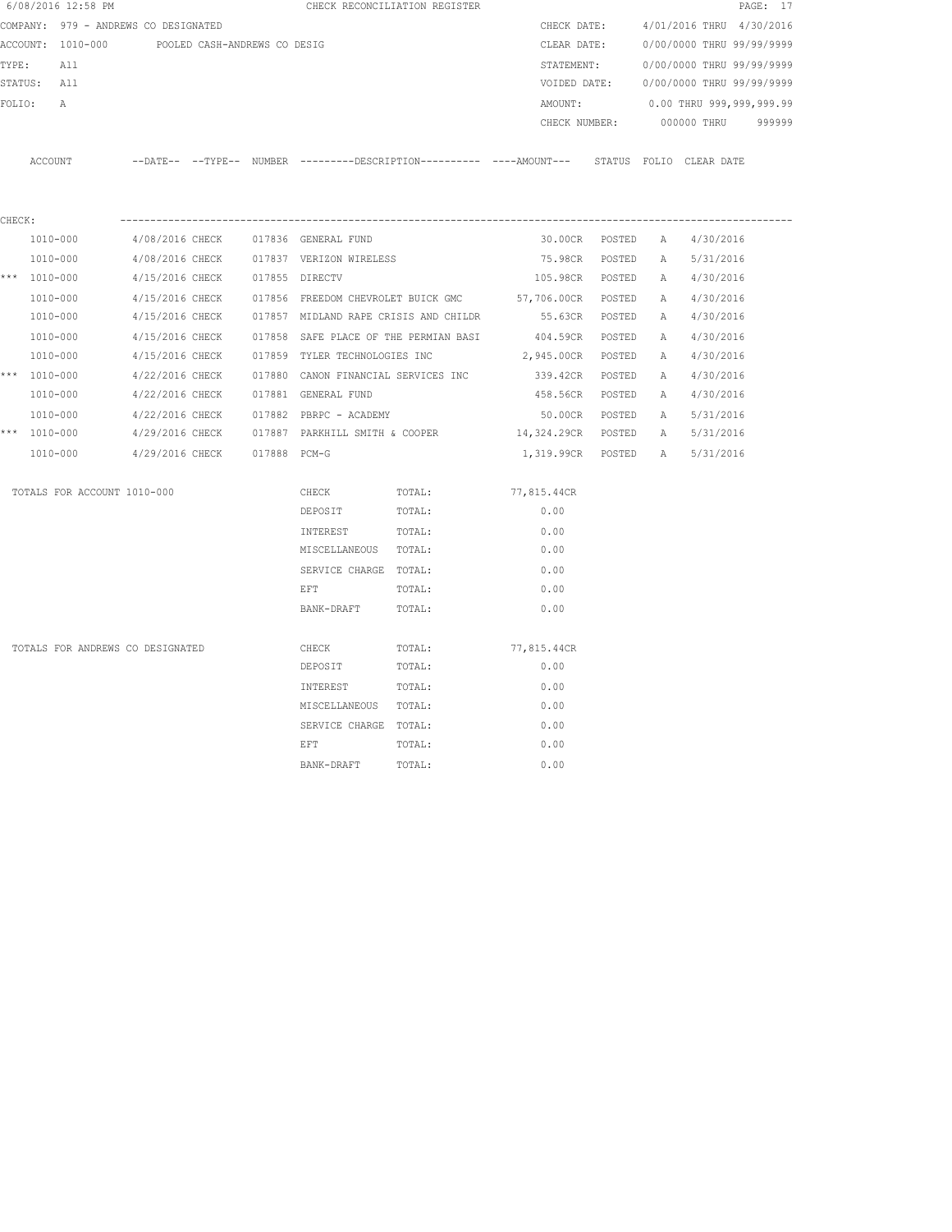|        | 6/08/2016 12:58 PM                             |                 |              |                                       | CHECK RECONCILIATION REGISTER |                                                                                              |                |             |                           | PAGE: 17 |
|--------|------------------------------------------------|-----------------|--------------|---------------------------------------|-------------------------------|----------------------------------------------------------------------------------------------|----------------|-------------|---------------------------|----------|
|        | COMPANY: 979 - ANDREWS CO DESIGNATED           |                 |              |                                       |                               | CHECK DATE:                                                                                  |                |             | 4/01/2016 THRU 4/30/2016  |          |
|        | ACCOUNT: 1010-000 POOLED CASH-ANDREWS CO DESIG |                 |              |                                       |                               | CLEAR DATE:                                                                                  |                |             | 0/00/0000 THRU 99/99/9999 |          |
| TYPE:  | All                                            |                 |              |                                       |                               | STATEMENT:                                                                                   |                |             | 0/00/0000 THRU 99/99/9999 |          |
|        | STATUS: All                                    |                 |              |                                       |                               | VOIDED DATE:                                                                                 |                |             | 0/00/0000 THRU 99/99/9999 |          |
| FOLIO: | $\overline{A}$                                 |                 |              |                                       |                               | AMOUNT:                                                                                      |                |             | 0.00 THRU 999,999,999.99  |          |
|        |                                                |                 |              |                                       |                               | CHECK NUMBER:                                                                                |                |             | 000000 THRU               | 999999   |
|        | ACCOUNT                                        |                 |              |                                       |                               | --DATE-- --TYPE-- NUMBER --------DESCRIPTION---------- ----AMOUNT--- STATUS FOLIO CLEAR DATE |                |             |                           |          |
|        |                                                |                 |              |                                       |                               |                                                                                              |                |             |                           |          |
| CHECK: | 1010-000                                       | 4/08/2016 CHECK |              | 017836 GENERAL FUND                   |                               |                                                                                              | 30.00CR POSTED | A           | 4/30/2016                 |          |
|        | 1010-000                                       | 4/08/2016 CHECK |              | 017837 VERIZON WIRELESS               |                               | 75.98CR                                                                                      | POSTED         | A           | 5/31/2016                 |          |
|        | *** $1010 - 000$                               | 4/15/2016 CHECK |              | 017855 DIRECTV                        |                               | 105.98CR POSTED                                                                              |                |             | A 4/30/2016               |          |
|        | 1010-000                                       | 4/15/2016 CHECK |              | 017856 FREEDOM CHEVROLET BUICK GMC    |                               | 57,706.00CR POSTED                                                                           |                |             | A 4/30/2016               |          |
|        | 1010-000                                       | 4/15/2016 CHECK |              | 017857 MIDLAND RAPE CRISIS AND CHILDR |                               | 55.63CR POSTED                                                                               |                | A           | 4/30/2016                 |          |
|        | 1010-000                                       | 4/15/2016 CHECK |              | 017858 SAFE PLACE OF THE PERMIAN BASI |                               | 404.59CR POSTED                                                                              |                | A           | 4/30/2016                 |          |
|        | 1010-000                                       | 4/15/2016 CHECK |              | 017859 TYLER TECHNOLOGIES INC         |                               | 2,945.00CR POSTED                                                                            |                | A           | 4/30/2016                 |          |
|        | *** $1010 - 000$                               | 4/22/2016 CHECK |              | 017880 CANON FINANCIAL SERVICES INC   |                               | 339.42CR POSTED                                                                              |                | A           | 4/30/2016                 |          |
|        | 1010-000                                       | 4/22/2016 CHECK |              | 017881 GENERAL FUND                   |                               | 458.56CR                                                                                     | POSTED         | A           | 4/30/2016                 |          |
|        | 1010-000                                       | 4/22/2016 CHECK |              | 017882 PBRPC - ACADEMY                |                               | 50.00CR                                                                                      | POSTED         | A           | 5/31/2016                 |          |
|        | *** $1010 - 000$                               | 4/29/2016 CHECK |              | 017887 PARKHILL SMITH & COOPER        |                               | 14,324.29CR POSTED                                                                           |                | $\mathbb A$ | 5/31/2016                 |          |
|        | 1010-000                                       | 4/29/2016 CHECK | 017888 PCM-G |                                       |                               | 1,319.99CR POSTED A                                                                          |                |             | 5/31/2016                 |          |
|        | TOTALS FOR ACCOUNT 1010-000                    |                 |              | CHECK                                 | TOTAL:                        | 77,815.44CR                                                                                  |                |             |                           |          |
|        |                                                |                 |              | DEPOSIT                               | TOTAL:                        | 0.00                                                                                         |                |             |                           |          |
|        |                                                |                 |              | INTEREST                              | TOTAL:                        | 0.00                                                                                         |                |             |                           |          |
|        |                                                |                 |              | MISCELLANEOUS TOTAL:                  |                               | 0.00                                                                                         |                |             |                           |          |
|        |                                                |                 |              | SERVICE CHARGE TOTAL:                 |                               | 0.00                                                                                         |                |             |                           |          |
|        |                                                |                 |              | EFT                                   | TOTAL:                        | 0.00                                                                                         |                |             |                           |          |
|        |                                                |                 |              | BANK-DRAFT                            | TOTAL:                        | 0.00                                                                                         |                |             |                           |          |
|        | TOTALS FOR ANDREWS CO DESIGNATED               |                 |              | CHECK                                 | TOTAL:                        | 77,815.44CR                                                                                  |                |             |                           |          |
|        |                                                |                 |              | DEPOSIT                               | TOTAL:                        | 0.00                                                                                         |                |             |                           |          |
|        |                                                |                 |              | INTEREST                              | TOTAL:                        | 0.00                                                                                         |                |             |                           |          |
|        |                                                |                 |              | MISCELLANEOUS TOTAL:                  |                               | 0.00                                                                                         |                |             |                           |          |
|        |                                                |                 |              | SERVICE CHARGE TOTAL:                 |                               | 0.00                                                                                         |                |             |                           |          |
|        |                                                |                 |              | EFT                                   | TOTAL:                        | 0.00                                                                                         |                |             |                           |          |
|        |                                                |                 |              | BANK-DRAFT                            | TOTAL:                        | 0.00                                                                                         |                |             |                           |          |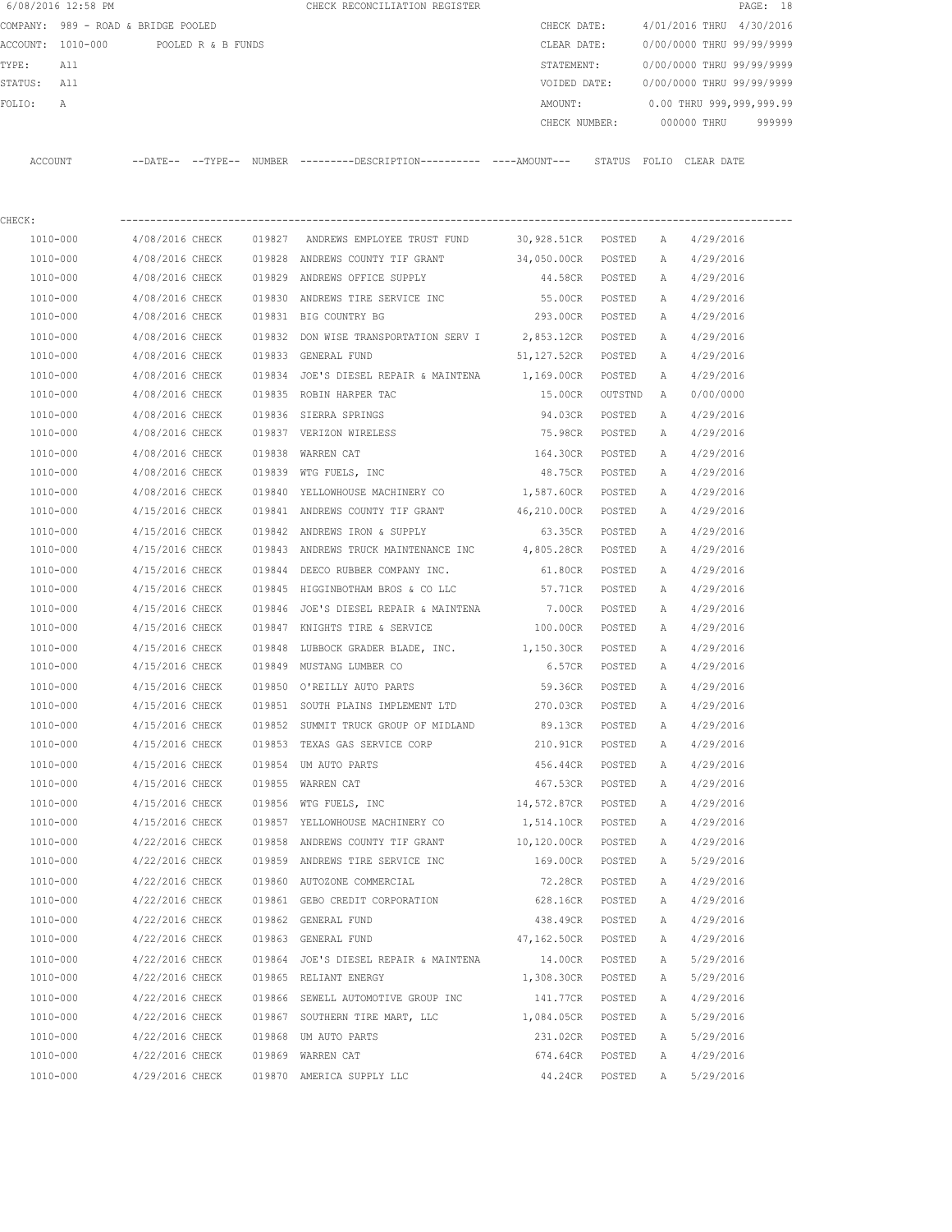|             | 6/08/2016 12:58 PM                   |                 |        | CHECK RECONCILIATION REGISTER                                                                |                    |                           |              |                           | PAGE: 18 |
|-------------|--------------------------------------|-----------------|--------|----------------------------------------------------------------------------------------------|--------------------|---------------------------|--------------|---------------------------|----------|
|             | COMPANY: 989 - ROAD & BRIDGE POOLED  |                 |        |                                                                                              | CHECK DATE:        |                           |              | 4/01/2016 THRU 4/30/2016  |          |
|             | ACCOUNT: 1010-000 POOLED R & B FUNDS |                 |        |                                                                                              | CLEAR DATE:        |                           |              | 0/00/0000 THRU 99/99/9999 |          |
| TYPE:       | All                                  |                 |        |                                                                                              | STATEMENT:         |                           |              | 0/00/0000 THRU 99/99/9999 |          |
| STATUS: All |                                      |                 |        |                                                                                              | VOIDED DATE:       |                           |              | 0/00/0000 THRU 99/99/9999 |          |
| FOLIO:      | А                                    |                 |        |                                                                                              | AMOUNT:            |                           |              | 0.00 THRU 999,999,999.99  |          |
|             |                                      |                 |        |                                                                                              |                    | CHECK NUMBER: 000000 THRU |              |                           | 999999   |
|             | ACCOUNT                              |                 |        | --DATE-- --TYPE-- NUMBER --------DESCRIPTION---------- ----AMOUNT--- STATUS FOLIO CLEAR-DATE |                    |                           |              |                           |          |
| CHECK:      |                                      |                 |        |                                                                                              |                    |                           |              |                           |          |
|             | 1010-000                             | 4/08/2016 CHECK |        | 019827 ANDREWS EMPLOYEE TRUST FUND                                                           | 30,928.51CR POSTED |                           | A            | 4/29/2016                 |          |
|             | 1010-000                             | 4/08/2016 CHECK |        | 019828 ANDREWS COUNTY TIF GRANT                                                              | 34,050.00CR POSTED |                           | A            | 4/29/2016                 |          |
|             | 1010-000                             | 4/08/2016 CHECK |        | 019829 ANDREWS OFFICE SUPPLY                                                                 | 44.58CR POSTED     |                           |              | A 4/29/2016               |          |
|             | 1010-000                             | 4/08/2016 CHECK | 019830 | ANDREWS TIRE SERVICE INC                                                                     | 55.00CR            | POSTED                    | A            | 4/29/2016                 |          |
|             | 1010-000                             | 4/08/2016 CHECK |        | 019831 BIG COUNTRY BG                                                                        | 293.00CR POSTED    |                           | A            | 4/29/2016                 |          |
|             | 1010-000                             | 4/08/2016 CHECK |        | 019832 DON WISE TRANSPORTATION SERV I 2,853.12CR                                             |                    | POSTED                    | A            | 4/29/2016                 |          |
|             | 1010-000                             | 4/08/2016 CHECK |        | 019833 GENERAL FUND                                                                          | 51,127.52CR POSTED |                           | А            | 4/29/2016                 |          |
|             | 1010-000                             | 4/08/2016 CHECK |        | 019834 JOE'S DIESEL REPAIR & MAINTENA 1,169.00CR                                             |                    | POSTED                    | Α            | 4/29/2016                 |          |
|             | 1010-000                             | 4/08/2016 CHECK |        | 019835 ROBIN HARPER TAC                                                                      | 15.00CR            | OUTSTND                   | $\mathbb{A}$ | 0/00/0000                 |          |
|             | 1010-000                             | 4/08/2016 CHECK |        | 019836 SIERRA SPRINGS                                                                        | 94.03CR            | POSTED                    | Α            | 4/29/2016                 |          |
|             | 1010-000                             | 4/08/2016 CHECK |        | 019837 VERIZON WIRELESS                                                                      | 75.98CR            | POSTED                    | Α            | 4/29/2016                 |          |
|             | 1010-000                             | 4/08/2016 CHECK |        | 019838 WARREN CAT                                                                            | 164.30CR           | POSTED                    | Α            | 4/29/2016                 |          |
|             | 1010-000                             | 4/08/2016 CHECK |        | 019839 WTG FUELS, INC                                                                        | 48.75CR POSTED     |                           | Α            | 4/29/2016                 |          |
|             | 1010-000                             | 4/08/2016 CHECK |        | 019840 YELLOWHOUSE MACHINERY CO                                                              | 1,587.60CR POSTED  |                           | A            | 4/29/2016                 |          |
|             | 1010-000                             | 4/15/2016 CHECK |        | 019841 ANDREWS COUNTY TIF GRANT                                                              | 46,210.00CR        | POSTED                    | А            | 4/29/2016                 |          |
|             | 1010-000                             | 4/15/2016 CHECK |        | 019842 ANDREWS IRON & SUPPLY                                                                 | 63.35CR            | POSTED                    | А            | 4/29/2016                 |          |
|             | 1010-000                             | 4/15/2016 CHECK |        | 019843 ANDREWS TRUCK MAINTENANCE INC 4,805.28CR                                              |                    | POSTED                    | А            | 4/29/2016                 |          |
|             | 1010-000                             | 4/15/2016 CHECK |        | 019844 DEECO RUBBER COMPANY INC.                                                             | 61.80CR            | POSTED                    | Α            | 4/29/2016                 |          |
|             | 1010-000                             | 4/15/2016 CHECK |        | 019845 HIGGINBOTHAM BROS & CO LLC                                                            | 57.71CR            | POSTED                    | А            | 4/29/2016                 |          |
|             | 1010-000                             | 4/15/2016 CHECK |        | 019846 JOE'S DIESEL REPAIR & MAINTENA 7.00CR                                                 |                    | POSTED                    | A            | 4/29/2016                 |          |
|             | 1010-000                             | 4/15/2016 CHECK |        | 019847 KNIGHTS TIRE & SERVICE                                                                | 100.00CR           | POSTED                    | A            | 4/29/2016                 |          |
|             | 1010-000                             | 4/15/2016 CHECK | 019848 | LUBBOCK GRADER BLADE, INC.                                                                   | 1,150.30CR         | POSTED                    | A            | 4/29/2016                 |          |
|             | 1010-000                             |                 |        | 4/15/2016 CHECK 019849 MUSTANG LUMBER CO                                                     |                    | 6.57CR POSTED             | A            | 4/29/2016                 |          |
|             | 1010-000                             | 4/15/2016 CHECK |        | 019850 O'REILLY AUTO PARTS                                                                   | 59.36CR            | POSTED                    | Α            | 4/29/2016                 |          |
|             | 1010-000                             | 4/15/2016 CHECK |        | 019851 SOUTH PLAINS IMPLEMENT LTD                                                            | 270.03CR           | POSTED                    | Α            | 4/29/2016                 |          |
|             | 1010-000                             | 4/15/2016 CHECK |        | 019852 SUMMIT TRUCK GROUP OF MIDLAND                                                         | 89.13CR            | POSTED                    | Α            | 4/29/2016                 |          |
|             | 1010-000                             | 4/15/2016 CHECK |        | 019853 TEXAS GAS SERVICE CORP                                                                | 210.91CR           | POSTED                    | Α            | 4/29/2016                 |          |
|             | 1010-000                             | 4/15/2016 CHECK |        | 019854 UM AUTO PARTS                                                                         | 456.44CR           | POSTED                    | Α            | 4/29/2016                 |          |
|             | 1010-000                             | 4/15/2016 CHECK |        | 019855 WARREN CAT                                                                            | 467.53CR           | POSTED                    | Α            | 4/29/2016                 |          |
|             | 1010-000                             | 4/15/2016 CHECK |        | 019856 WTG FUELS, INC                                                                        | 14,572.87CR        | POSTED                    | Α            | 4/29/2016                 |          |
|             | 1010-000                             | 4/15/2016 CHECK |        | 019857 YELLOWHOUSE MACHINERY CO                                                              | 1,514.10CR         | POSTED                    | Α            | 4/29/2016                 |          |
|             | 1010-000                             | 4/22/2016 CHECK |        | 019858 ANDREWS COUNTY TIF GRANT                                                              | 10,120.00CR        | POSTED                    | Α            | 4/29/2016                 |          |
|             | 1010-000                             | 4/22/2016 CHECK |        | 019859 ANDREWS TIRE SERVICE INC                                                              | 169.00CR           | POSTED                    | Α            | 5/29/2016                 |          |
|             | 1010-000                             | 4/22/2016 CHECK |        | 019860 AUTOZONE COMMERCIAL                                                                   | 72.28CR            | POSTED                    | Α            | 4/29/2016                 |          |
|             | 1010-000                             | 4/22/2016 CHECK |        | 019861 GEBO CREDIT CORPORATION                                                               | 628.16CR           | POSTED                    | Α            | 4/29/2016                 |          |
|             | 1010-000                             | 4/22/2016 CHECK |        | 019862 GENERAL FUND                                                                          | 438.49CR           | POSTED                    | Α            | 4/29/2016                 |          |
|             | 1010-000                             | 4/22/2016 CHECK |        | 019863 GENERAL FUND                                                                          | 47,162.50CR        | POSTED                    | Α            | 4/29/2016                 |          |
|             | 1010-000                             | 4/22/2016 CHECK |        | 019864 JOE'S DIESEL REPAIR & MAINTENA                                                        | 14.00CR            | POSTED                    | Α            | 5/29/2016                 |          |
|             | 1010-000                             | 4/22/2016 CHECK |        | 019865 RELIANT ENERGY                                                                        | 1,308.30CR         | POSTED                    | Α            | 5/29/2016                 |          |
|             | 1010-000                             | 4/22/2016 CHECK |        | 019866 SEWELL AUTOMOTIVE GROUP INC                                                           | 141.77CR           | POSTED                    | Α            | 4/29/2016                 |          |
|             | 1010-000                             | 4/22/2016 CHECK |        | 019867 SOUTHERN TIRE MART, LLC                                                               | 1,084.05CR         | POSTED                    | Α            | 5/29/2016                 |          |
|             | 1010-000                             | 4/22/2016 CHECK | 019868 | UM AUTO PARTS                                                                                | 231.02CR           | POSTED                    | Α            | 5/29/2016                 |          |
|             | 1010-000                             | 4/22/2016 CHECK |        | 019869 WARREN CAT                                                                            | 674.64CR           | POSTED                    | Α            | 4/29/2016                 |          |
|             | 1010-000                             | 4/29/2016 CHECK |        | 019870 AMERICA SUPPLY LLC                                                                    | 44.24CR            | POSTED                    | Α            | 5/29/2016                 |          |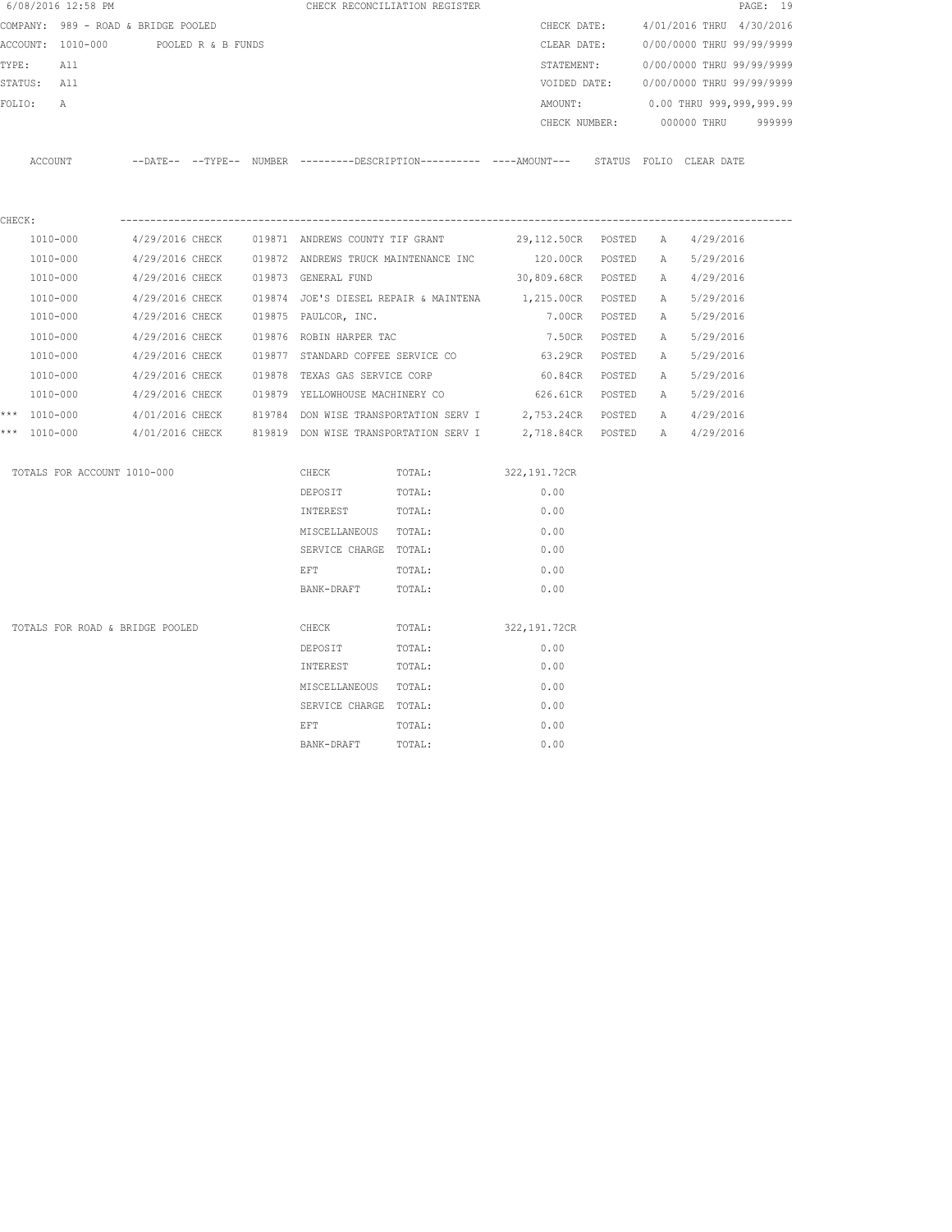|        | 6/08/2016 12:58 PM                   |                 |                 |                                                 | CHECK RECONCILIATION REGISTER                                                                |                                |               |   |                                        | PAGE: 19 |
|--------|--------------------------------------|-----------------|-----------------|-------------------------------------------------|----------------------------------------------------------------------------------------------|--------------------------------|---------------|---|----------------------------------------|----------|
|        | COMPANY: 989 - ROAD & BRIDGE POOLED  |                 |                 |                                                 |                                                                                              |                                | CHECK DATE:   |   | 4/01/2016 THRU 4/30/2016               |          |
|        | ACCOUNT: 1010-000 POOLED R & B FUNDS |                 |                 |                                                 |                                                                                              | CLEAR DATE:                    |               |   | 0/00/0000 THRU 99/99/9999              |          |
| TYPE:  | All                                  |                 |                 |                                                 |                                                                                              | STATEMENT:                     |               |   | 0/00/0000 THRU 99/99/9999              |          |
|        | STATUS: All                          |                 |                 |                                                 |                                                                                              |                                |               |   | VOIDED DATE: 0/00/0000 THRU 99/99/9999 |          |
| FOLIO: | Α                                    |                 |                 |                                                 |                                                                                              | AMOUNT:                        |               |   | 0.00 THRU 999,999,999.99               |          |
|        |                                      |                 |                 |                                                 |                                                                                              |                                | CHECK NUMBER: |   | 000000 THRU                            | 999999   |
|        | ACCOUNT                              |                 |                 |                                                 | --DATE-- --TYPE-- NUMBER ---------DESCRIPTION---------- ----AMOUNT--- STATUS FOLIO CLEARDATE |                                |               |   |                                        |          |
| CHECK: |                                      |                 |                 |                                                 |                                                                                              |                                |               |   |                                        |          |
|        | 1010-000                             |                 |                 | 4/29/2016 CHECK 019871 ANDREWS COUNTY TIF GRANT |                                                                                              | 29,112.50CR POSTED A 4/29/2016 |               |   |                                        |          |
|        | $1010 - 000$                         |                 |                 |                                                 | 4/29/2016 CHECK 019872 ANDREWS TRUCK MAINTENANCE INC                                         | 120.00CR POSTED                |               |   | A 5/29/2016                            |          |
|        | 1010-000                             |                 | 4/29/2016 CHECK | 019873 GENERAL FUND                             |                                                                                              | 30,809.68CR POSTED             |               |   | A 4/29/2016                            |          |
|        | 1010-000                             | 4/29/2016 CHECK |                 |                                                 | 019874 JOE'S DIESEL REPAIR & MAINTENA 1,215.00CR POSTED                                      |                                |               |   | A 5/29/2016                            |          |
|        | 1010-000                             | 4/29/2016 CHECK |                 | 019875 PAULCOR, INC.                            |                                                                                              | 7.00CR POSTED                  |               |   | A 5/29/2016                            |          |
|        | 1010-000                             | 4/29/2016 CHECK |                 | 019876 ROBIN HARPER TAC                         |                                                                                              | 7.50CR                         | POSTED        | A | 5/29/2016                              |          |
|        | 1010-000                             | 4/29/2016 CHECK |                 | 019877 STANDARD COFFEE SERVICE CO               |                                                                                              | 63.29CR                        | POSTED        | Α | 5/29/2016                              |          |
|        | 1010-000                             | 4/29/2016 CHECK |                 | 019878 TEXAS GAS SERVICE CORP                   |                                                                                              | 60.84CR                        | POSTED        | A | 5/29/2016                              |          |
|        | 1010-000                             | 4/29/2016 CHECK |                 | 019879 YELLOWHOUSE MACHINERY CO                 |                                                                                              | 626.61CR POSTED                |               | A | 5/29/2016                              |          |
|        | *** 1010-000                         |                 |                 |                                                 | 4/01/2016 CHECK 819784 DON WISE TRANSPORTATION SERV I 2,753.24CR POSTED                      |                                |               | A | 4/29/2016                              |          |
|        | *** 1010-000                         |                 |                 |                                                 | $4/01/2016$ CHECK $819819$ DON WISE TRANSPORTATION SERV I $2,718.84$ CR POSTED A             |                                |               |   | 4/29/2016                              |          |
|        | TOTALS FOR ACCOUNT 1010-000          |                 |                 | CHECK                                           | TOTAL:                                                                                       | 322, 191.72CR                  |               |   |                                        |          |
|        |                                      |                 |                 | DEPOSIT                                         | TOTAL:                                                                                       | 0.00                           |               |   |                                        |          |
|        |                                      |                 |                 | INTEREST                                        | TOTAL:                                                                                       | 0.00                           |               |   |                                        |          |
|        |                                      |                 |                 | MISCELLANEOUS TOTAL:                            |                                                                                              | 0.00                           |               |   |                                        |          |
|        |                                      |                 |                 | SERVICE CHARGE TOTAL:                           |                                                                                              | 0.00                           |               |   |                                        |          |
|        |                                      |                 |                 | EFT                                             | TOTAL:                                                                                       | 0.00                           |               |   |                                        |          |
|        |                                      |                 |                 | BANK-DRAFT                                      | TOTAL:                                                                                       | 0.00                           |               |   |                                        |          |
|        | TOTALS FOR ROAD & BRIDGE POOLED      |                 |                 | CHECK                                           | TOTAL:                                                                                       | 322,191.72CR                   |               |   |                                        |          |
|        |                                      |                 |                 | DEPOSIT                                         | TOTAL:                                                                                       | 0.00                           |               |   |                                        |          |
|        |                                      |                 |                 | INTEREST                                        | TOTAL:                                                                                       | 0.00                           |               |   |                                        |          |
|        |                                      |                 |                 | MISCELLANEOUS TOTAL:                            |                                                                                              | 0.00                           |               |   |                                        |          |
|        |                                      |                 |                 | SERVICE CHARGE TOTAL:                           |                                                                                              | 0.00                           |               |   |                                        |          |
|        |                                      |                 |                 |                                                 |                                                                                              |                                |               |   |                                        |          |

extermination of the extent of the extent of  $\Gamma$  of  $\Gamma$  of  $\Gamma$  of  $\Gamma$  of  $\Gamma$  of  $\Gamma$  of  $\Gamma$  of  $\Gamma$  of  $\Gamma$  of  $\Gamma$  of  $\Gamma$  of  $\Gamma$  of  $\Gamma$  of  $\Gamma$  of  $\Gamma$  of  $\Gamma$  of  $\Gamma$  of  $\Gamma$  of  $\Gamma$  of  $\Gamma$  of  $\Gamma$  of  $\Gamma$  of BANK-DRAFT TOTAL:  $0.00$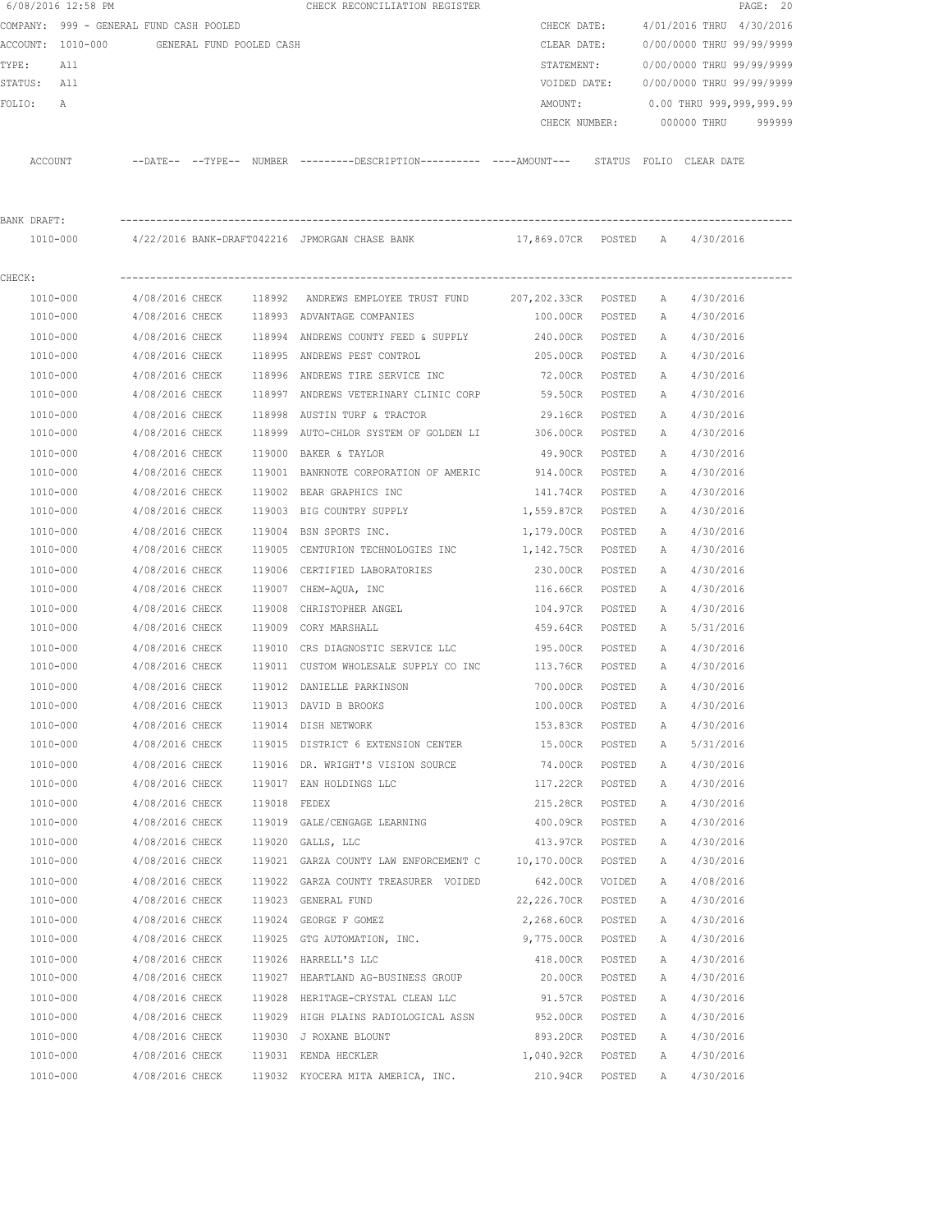|             | 6/08/2016 12:58 PM                         |                 |              | CHECK RECONCILIATION REGISTER                                                                                  |                 |        |              |                           | PAGE: 20 |
|-------------|--------------------------------------------|-----------------|--------------|----------------------------------------------------------------------------------------------------------------|-----------------|--------|--------------|---------------------------|----------|
|             | COMPANY: 999 - GENERAL FUND CASH POOLED    |                 |              |                                                                                                                | CHECK DATE:     |        |              | 4/01/2016 THRU 4/30/2016  |          |
|             | ACCOUNT: 1010-000 GENERAL FUND POOLED CASH |                 |              |                                                                                                                | CLEAR DATE:     |        |              | 0/00/0000 THRU 99/99/9999 |          |
| TYPE:       | All                                        |                 |              |                                                                                                                | STATEMENT:      |        |              | 0/00/0000 THRU 99/99/9999 |          |
| STATUS: All |                                            |                 |              |                                                                                                                | VOIDED DATE:    |        |              | 0/00/0000 THRU 99/99/9999 |          |
| FOLIO:      | A                                          |                 |              |                                                                                                                | AMOUNT:         |        |              | 0.00 THRU 999,999,999.99  |          |
|             |                                            |                 |              |                                                                                                                | CHECK NUMBER:   |        |              | 000000 THRU               | 999999   |
|             | ACCOUNT                                    |                 |              | --DATE-- --TYPE-- NUMBER --------DESCRIPTION--------- ----AMOUNT--- STATUS FOLIO CLEARDATE                     |                 |        |              |                           |          |
| BANK DRAFT: |                                            |                 |              |                                                                                                                |                 |        |              |                           |          |
|             | 1010-000                                   |                 |              | 4/22/2016 BANK-DRAFT042216 JPMORGAN CHASE BANK                        17,869.07CR   POSTED     A     4/30/2016 |                 |        |              |                           |          |
| CHECK:      |                                            |                 |              |                                                                                                                |                 |        |              |                           |          |
|             | 1010-000                                   | 4/08/2016 CHECK |              | 118992 ANDREWS EMPLOYEE TRUST FUND 207,202.33CR POSTED                                                         |                 |        | A            | 4/30/2016                 |          |
|             | 1010-000                                   | 4/08/2016 CHECK |              | 118993 ADVANTAGE COMPANIES                                                                                     | 100.00CR        | POSTED | A            | 4/30/2016                 |          |
|             | 1010-000                                   | 4/08/2016 CHECK |              | 118994 ANDREWS COUNTY FEED & SUPPLY                                                                            | 240.00CR        | POSTED | A            | 4/30/2016                 |          |
|             | 1010-000                                   | 4/08/2016 CHECK |              | 118995 ANDREWS PEST CONTROL                                                                                    | 205.00CR        | POSTED | A            | 4/30/2016                 |          |
|             | 1010-000                                   | 4/08/2016 CHECK |              | 118996 ANDREWS TIRE SERVICE INC                                                                                | 72.00CR         | POSTED | A            | 4/30/2016                 |          |
|             | 1010-000                                   | 4/08/2016 CHECK |              | 118997 ANDREWS VETERINARY CLINIC CORP                                                                          | 59.50CR         | POSTED | A            | 4/30/2016                 |          |
|             | 1010-000                                   | 4/08/2016 CHECK |              | 118998 AUSTIN TURF & TRACTOR                                                                                   | 29.16CR         | POSTED | А            | 4/30/2016                 |          |
|             | 1010-000                                   | 4/08/2016 CHECK |              | 118999 AUTO-CHLOR SYSTEM OF GOLDEN LI 306.00CR                                                                 |                 | POSTED | А            | 4/30/2016                 |          |
|             | 1010-000                                   | 4/08/2016 CHECK |              | 119000 BAKER & TAYLOR                                                                                          | 49.90CR         | POSTED | A            | 4/30/2016                 |          |
|             | 1010-000                                   | 4/08/2016 CHECK |              | 119001 BANKNOTE CORPORATION OF AMERIC 914.00CR                                                                 |                 | POSTED | A            | 4/30/2016                 |          |
|             | 1010-000                                   | 4/08/2016 CHECK |              | 119002 BEAR GRAPHICS INC                                                                                       | 141.74CR        | POSTED | A            | 4/30/2016                 |          |
|             | 1010-000                                   | 4/08/2016 CHECK |              | 119003 BIG COUNTRY SUPPLY                                                                                      | 1,559.87CR      | POSTED | A            | 4/30/2016                 |          |
|             | 1010-000                                   | 4/08/2016 CHECK |              | 119004 BSN SPORTS INC.                                                                                         | 1,179.00CR      | POSTED | А            | 4/30/2016                 |          |
|             | 1010-000                                   | 4/08/2016 CHECK |              | 119005 CENTURION TECHNOLOGIES INC                                                                              | 1,142.75CR      | POSTED | Α            | 4/30/2016                 |          |
|             | 1010-000                                   | 4/08/2016 CHECK |              | 119006 CERTIFIED LABORATORIES                                                                                  | 230.00CR        | POSTED | $\mathbb{A}$ | 4/30/2016                 |          |
|             | 1010-000                                   | 4/08/2016 CHECK |              | 119007 CHEM-AQUA, INC                                                                                          | 116.66CR        | POSTED | A            | 4/30/2016                 |          |
|             | 1010-000                                   | 4/08/2016 CHECK | 119008       | CHRISTOPHER ANGEL                                                                                              | 104.97CR        | POSTED | А            | 4/30/2016                 |          |
|             | 1010-000                                   | 4/08/2016 CHECK |              | 119009 CORY MARSHALL                                                                                           | 459.64CR        | POSTED | A            | 5/31/2016                 |          |
|             | 1010-000                                   | 4/08/2016 CHECK |              | 119010 CRS DIAGNOSTIC SERVICE LLC                                                                              | 195.00CR        | POSTED | A            | 4/30/2016                 |          |
|             | 1010-000                                   | 4/08/2016 CHECK |              | 119011 CUSTOM WHOLESALE SUPPLY CO INC                                                                          | 113.76CR        | POSTED | A            | 4/30/2016                 |          |
|             | 1010-000                                   | 4/08/2016 CHECK |              | 119012 DANIELLE PARKINSON                                                                                      | 700.00CR        | POSTED | A            | 4/30/2016                 |          |
|             | 1010-000                                   | 4/08/2016 CHECK |              | 119013 DAVID B BROOKS                                                                                          | 100.00CR        | POSTED | А            | 4/30/2016                 |          |
|             | 1010-000                                   | 4/08/2016 CHECK |              | 119014 DISH NETWORK                                                                                            | 153.83CR        | POSTED | Α            | 4/30/2016                 |          |
|             | 1010-000                                   | 4/08/2016 CHECK |              | 119015 DISTRICT 6 EXTENSION CENTER                                                                             | 15.00CR         | POSTED | Α            | 5/31/2016                 |          |
|             | 1010-000                                   | 4/08/2016 CHECK |              | 119016 DR. WRIGHT'S VISION SOURCE                                                                              | 74.00CR         | POSTED | Α            | 4/30/2016                 |          |
|             | 1010-000                                   | 4/08/2016 CHECK |              | 119017 EAN HOLDINGS LLC                                                                                        | 117.22CR        | POSTED | Α            | 4/30/2016                 |          |
|             | 1010-000                                   | 4/08/2016 CHECK | 119018 FEDEX |                                                                                                                | 215.28CR        | POSTED | Α            | 4/30/2016                 |          |
|             | 1010-000                                   | 4/08/2016 CHECK |              | 119019 GALE/CENGAGE LEARNING                                                                                   | 400.09CR        | POSTED | Α            | 4/30/2016                 |          |
|             | 1010-000                                   | 4/08/2016 CHECK |              | 119020 GALLS, LLC                                                                                              | 413.97CR        | POSTED | Α            | 4/30/2016                 |          |
|             | 1010-000                                   | 4/08/2016 CHECK |              | 119021 GARZA COUNTY LAW ENFORCEMENT C                                                                          | 10,170.00CR     | POSTED | Α            | 4/30/2016                 |          |
|             | 1010-000                                   | 4/08/2016 CHECK |              | 119022 GARZA COUNTY TREASURER VOIDED                                                                           | 642.00CR        | VOIDED | Α            | 4/08/2016                 |          |
|             | 1010-000                                   | 4/08/2016 CHECK |              | 119023 GENERAL FUND                                                                                            | 22,226.70CR     | POSTED | Α            | 4/30/2016                 |          |
|             | 1010-000                                   | 4/08/2016 CHECK |              | 119024 GEORGE F GOMEZ                                                                                          | 2,268.60CR      | POSTED | Α            | 4/30/2016                 |          |
|             | 1010-000                                   | 4/08/2016 CHECK |              | 119025 GTG AUTOMATION, INC.                                                                                    | 9,775.00CR      | POSTED | Α            | 4/30/2016                 |          |
|             | 1010-000                                   | 4/08/2016 CHECK |              | 119026 HARRELL'S LLC                                                                                           | 418.00CR        | POSTED | Α            | 4/30/2016                 |          |
|             | 1010-000                                   | 4/08/2016 CHECK |              | 119027 HEARTLAND AG-BUSINESS GROUP                                                                             | 20.00CR         | POSTED | Α            | 4/30/2016                 |          |
|             | 1010-000                                   | 4/08/2016 CHECK |              | 119028 HERITAGE-CRYSTAL CLEAN LLC                                                                              | 91.57CR         | POSTED | Α            | 4/30/2016                 |          |
|             | 1010-000                                   | 4/08/2016 CHECK |              | 119029 HIGH PLAINS RADIOLOGICAL ASSN                                                                           | 952.00CR        | POSTED | Α            | 4/30/2016                 |          |
|             | 1010-000                                   | 4/08/2016 CHECK |              | 119030 J ROXANE BLOUNT                                                                                         | 893.20CR        | POSTED | Α            | 4/30/2016                 |          |
|             | 1010-000                                   | 4/08/2016 CHECK |              | 119031 KENDA HECKLER                                                                                           | 1,040.92CR      | POSTED | Α            | 4/30/2016                 |          |
|             | 1010-000                                   | 4/08/2016 CHECK |              | 119032 KYOCERA MITA AMERICA, INC.                                                                              | 210.94CR POSTED |        | Α            | 4/30/2016                 |          |
|             |                                            |                 |              |                                                                                                                |                 |        |              |                           |          |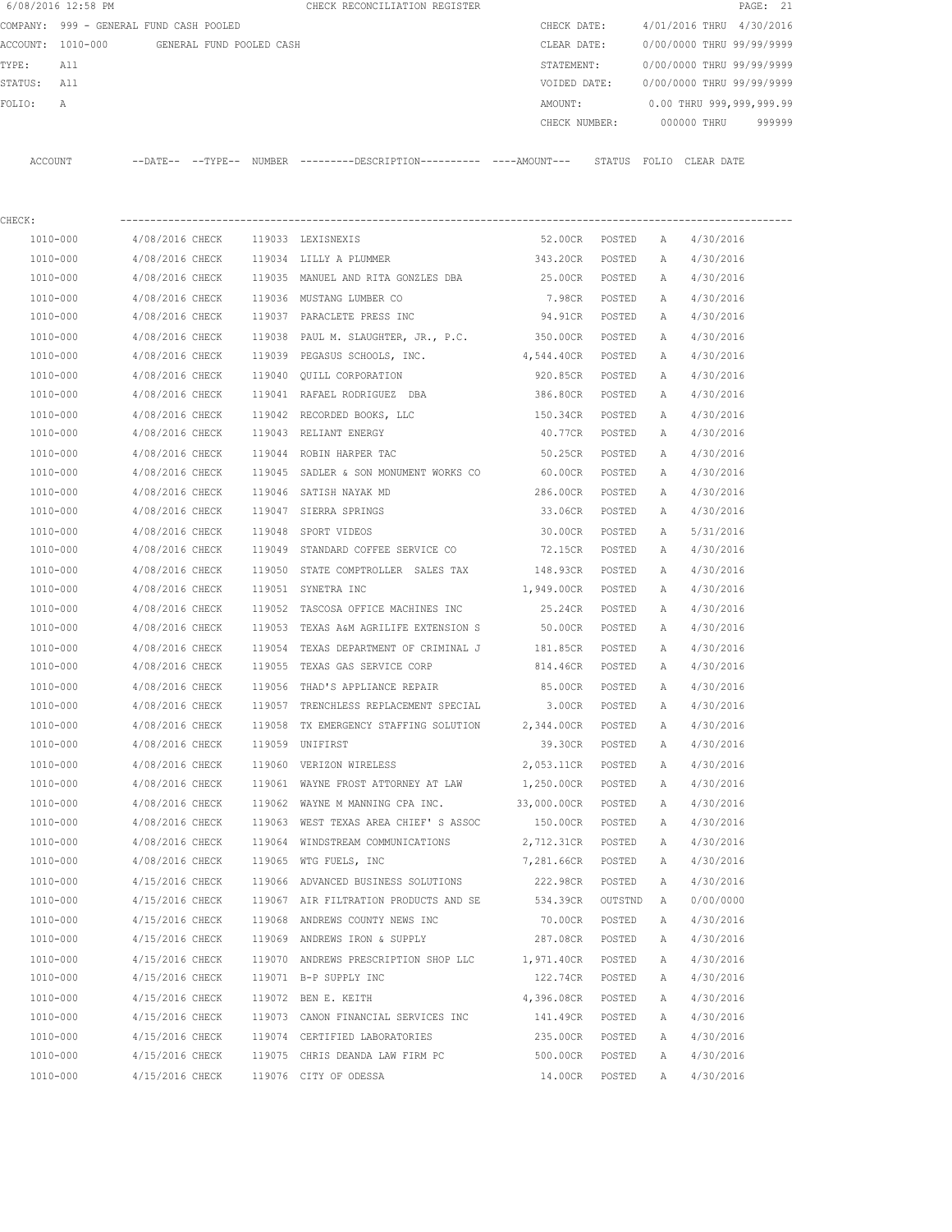|                   | 6/08/2016 12:58 PM             |                            |                          | CHECK RECONCILIATION REGISTER                |  |               |        |                           | PAGE: 21 |        |
|-------------------|--------------------------------|----------------------------|--------------------------|----------------------------------------------|--|---------------|--------|---------------------------|----------|--------|
| COMPANY:          | 999 - GENERAL FUND CASH POOLED |                            |                          |                                              |  | CHECK DATE:   |        | 4/01/2016 THRU 4/30/2016  |          |        |
| ACCOUNT: 1010-000 |                                |                            | GENERAL FUND POOLED CASH |                                              |  | CLEAR DATE:   |        | 0/00/0000 THRU 99/99/9999 |          |        |
| TYPE:             | All                            |                            |                          |                                              |  | STATEMENT:    |        | 0/00/0000 THRU 99/99/9999 |          |        |
| STATUS:           | All                            |                            |                          |                                              |  | VOIDED DATE:  |        | 0/00/0000 THRU 99/99/9999 |          |        |
| FOLIO:            | Α                              |                            |                          |                                              |  | AMOUNT:       |        | 0.00 THRU 999,999,999.99  |          |        |
|                   |                                |                            |                          |                                              |  | CHECK NUMBER: |        | 000000 THRU               |          | 999999 |
|                   |                                |                            |                          |                                              |  |               |        |                           |          |        |
| ACCOUNT           |                                | $--$ DATE $- --$ TYPE $--$ | NUMBER                   | ---------DESCRIPTION---------- ----AMOUNT--- |  |               | STATUS | FOLIO CLEAR DATE          |          |        |
|                   |                                |                            |                          |                                              |  |               |        |                           |          |        |

| CHECK:   |                 |        |                                                |                   |         |   |           |
|----------|-----------------|--------|------------------------------------------------|-------------------|---------|---|-----------|
| 1010-000 | 4/08/2016 CHECK |        | 119033 LEXISNEXIS                              | 52.00CR           | POSTED  | A | 4/30/2016 |
| 1010-000 | 4/08/2016 CHECK |        | 119034 LILLY A PLUMMER 343.20CR                |                   | POSTED  | Α | 4/30/2016 |
| 1010-000 | 4/08/2016 CHECK |        | 119035 MANUEL AND RITA GONZLES DBA 625.00CR    |                   | POSTED  | Α | 4/30/2016 |
| 1010-000 | 4/08/2016 CHECK |        | 119036 MUSTANG LUMBER CO                       | 7.98CR            | POSTED  | Α | 4/30/2016 |
| 1010-000 | 4/08/2016 CHECK |        | 119037 PARACLETE PRESS INC                     | 94.91CR           | POSTED  | Α | 4/30/2016 |
| 1010-000 | 4/08/2016 CHECK |        | 119038 PAUL M. SLAUGHTER, JR., P.C. 350.00CR   |                   | POSTED  | Α | 4/30/2016 |
| 1010-000 | 4/08/2016 CHECK |        | 119039 PEGASUS SCHOOLS, INC.                   | 4,544.40CR        | POSTED  | Α | 4/30/2016 |
| 1010-000 | 4/08/2016 CHECK |        | 119040 QUILL CORPORATION                       | 920.85CR          | POSTED  | Α | 4/30/2016 |
| 1010-000 | 4/08/2016 CHECK |        | 119041 RAFAEL RODRIGUEZ DBA                    | 386.80CR          | POSTED  | Α | 4/30/2016 |
| 1010-000 | 4/08/2016 CHECK |        | 119042 RECORDED BOOKS, LLC                     | 150.34CR          | POSTED  | A | 4/30/2016 |
| 1010-000 | 4/08/2016 CHECK |        | 119043 RELIANT ENERGY                          | 40.77CR           | POSTED  | Α | 4/30/2016 |
| 1010-000 | 4/08/2016 CHECK |        | 119044 ROBIN HARPER TAC                        | 50.25CR           | POSTED  | Α | 4/30/2016 |
| 1010-000 | 4/08/2016 CHECK |        | 119045 SADLER & SON MONUMENT WORKS CO 60.00CR  |                   | POSTED  | Α | 4/30/2016 |
| 1010-000 | 4/08/2016 CHECK |        | 119046 SATISH NAYAK MD                         | 286.00CR          | POSTED  | Α | 4/30/2016 |
| 1010-000 | 4/08/2016 CHECK |        | 119047 SIERRA SPRINGS                          | 33.06CR           | POSTED  | Α | 4/30/2016 |
| 1010-000 | 4/08/2016 CHECK |        | 119048 SPORT VIDEOS                            | 30.00CR           | POSTED  | Α | 5/31/2016 |
| 1010-000 | 4/08/2016 CHECK |        | 119049 STANDARD COFFEE SERVICE CO 72.15CR      |                   | POSTED  | Α | 4/30/2016 |
| 1010-000 | 4/08/2016 CHECK |        | 119050 STATE COMPTROLLER SALES TAX             | 148.93CR          | POSTED  | Α | 4/30/2016 |
| 1010-000 | 4/08/2016 CHECK |        | 119051 SYNETRA INC                             | 1,949.00CR        | POSTED  | Α | 4/30/2016 |
| 1010-000 | 4/08/2016 CHECK |        | 119052 TASCOSA OFFICE MACHINES INC             | 25.24CR           | POSTED  | Α | 4/30/2016 |
| 1010-000 | 4/08/2016 CHECK |        | 119053 TEXAS A&M AGRILIFE EXTENSION S          | 50.00CR           | POSTED  | Α | 4/30/2016 |
| 1010-000 | 4/08/2016 CHECK |        | 119054 TEXAS DEPARTMENT OF CRIMINAL J 181.85CR |                   | POSTED  | Α | 4/30/2016 |
| 1010-000 | 4/08/2016 CHECK | 119055 | TEXAS GAS SERVICE CORP                         | 814.46CR          | POSTED  | Α | 4/30/2016 |
| 1010-000 | 4/08/2016 CHECK |        | 119056 THAD'S APPLIANCE REPAIR                 | 85.00CR           | POSTED  | Α | 4/30/2016 |
| 1010-000 | 4/08/2016 CHECK |        | 119057 TRENCHLESS REPLACEMENT SPECIAL 3.00CR   |                   | POSTED  | Α | 4/30/2016 |
| 1010-000 | 4/08/2016 CHECK | 119058 | TX EMERGENCY STAFFING SOLUTION 2,344.00CR      |                   | POSTED  | Α | 4/30/2016 |
| 1010-000 | 4/08/2016 CHECK |        | 119059 UNIFIRST                                | 39.30CR           | POSTED  | Α | 4/30/2016 |
| 1010-000 | 4/08/2016 CHECK |        | 119060 VERIZON WIRELESS                        | 2,053.11CR        | POSTED  | A | 4/30/2016 |
| 1010-000 | 4/08/2016 CHECK |        | 119061 WAYNE FROST ATTORNEY AT LAW 1,250.00CR  |                   | POSTED  | Α | 4/30/2016 |
| 1010-000 | 4/08/2016 CHECK |        | 119062 WAYNE M MANNING CPA INC.                | 33,000.00CR       | POSTED  | Α | 4/30/2016 |
| 1010-000 | 4/08/2016 CHECK |        | 119063 WEST TEXAS AREA CHIEF'S ASSOC           | 150.00CR          | POSTED  | Α | 4/30/2016 |
| 1010-000 | 4/08/2016 CHECK |        | 119064 WINDSTREAM COMMUNICATIONS               | 2,712.31CR POSTED |         | A | 4/30/2016 |
| 1010-000 | 4/08/2016 CHECK |        | 119065 WTG FUELS, INC                          | 7,281.66CR POSTED |         | A | 4/30/2016 |
| 1010-000 | 4/15/2016 CHECK |        | 119066 ADVANCED BUSINESS SOLUTIONS             | 222.98CR          | POSTED  | A | 4/30/2016 |
| 1010-000 | 4/15/2016 CHECK |        | 119067 AIR FILTRATION PRODUCTS AND SE          | 534.39CR          | OUTSTND | A | 0/00/0000 |
| 1010-000 | 4/15/2016 CHECK |        | 119068 ANDREWS COUNTY NEWS INC                 | 70.00CR           | POSTED  | Α | 4/30/2016 |
| 1010-000 | 4/15/2016 CHECK |        | 119069 ANDREWS IRON & SUPPLY                   | 287.08CR          | POSTED  | А | 4/30/2016 |
| 1010-000 | 4/15/2016 CHECK |        | 119070 ANDREWS PRESCRIPTION SHOP LLC           | 1,971.40CR        | POSTED  | Α | 4/30/2016 |
| 1010-000 | 4/15/2016 CHECK |        | 119071 B-P SUPPLY INC                          | 122.74CR          | POSTED  | Α | 4/30/2016 |
| 1010-000 | 4/15/2016 CHECK | 119072 | BEN E. KEITH                                   | 4,396.08CR        | POSTED  | Α | 4/30/2016 |
| 1010-000 | 4/15/2016 CHECK | 119073 | CANON FINANCIAL SERVICES INC                   | 141.49CR          | POSTED  | Α | 4/30/2016 |
| 1010-000 | 4/15/2016 CHECK | 119074 | CERTIFIED LABORATORIES                         | 235.00CR          | POSTED  | Α | 4/30/2016 |
| 1010-000 | 4/15/2016 CHECK |        | 119075 CHRIS DEANDA LAW FIRM PC                | 500.00CR          | POSTED  | Α | 4/30/2016 |
| 1010-000 | 4/15/2016 CHECK |        | 119076 CITY OF ODESSA                          | 14.00CR           | POSTED  | Α | 4/30/2016 |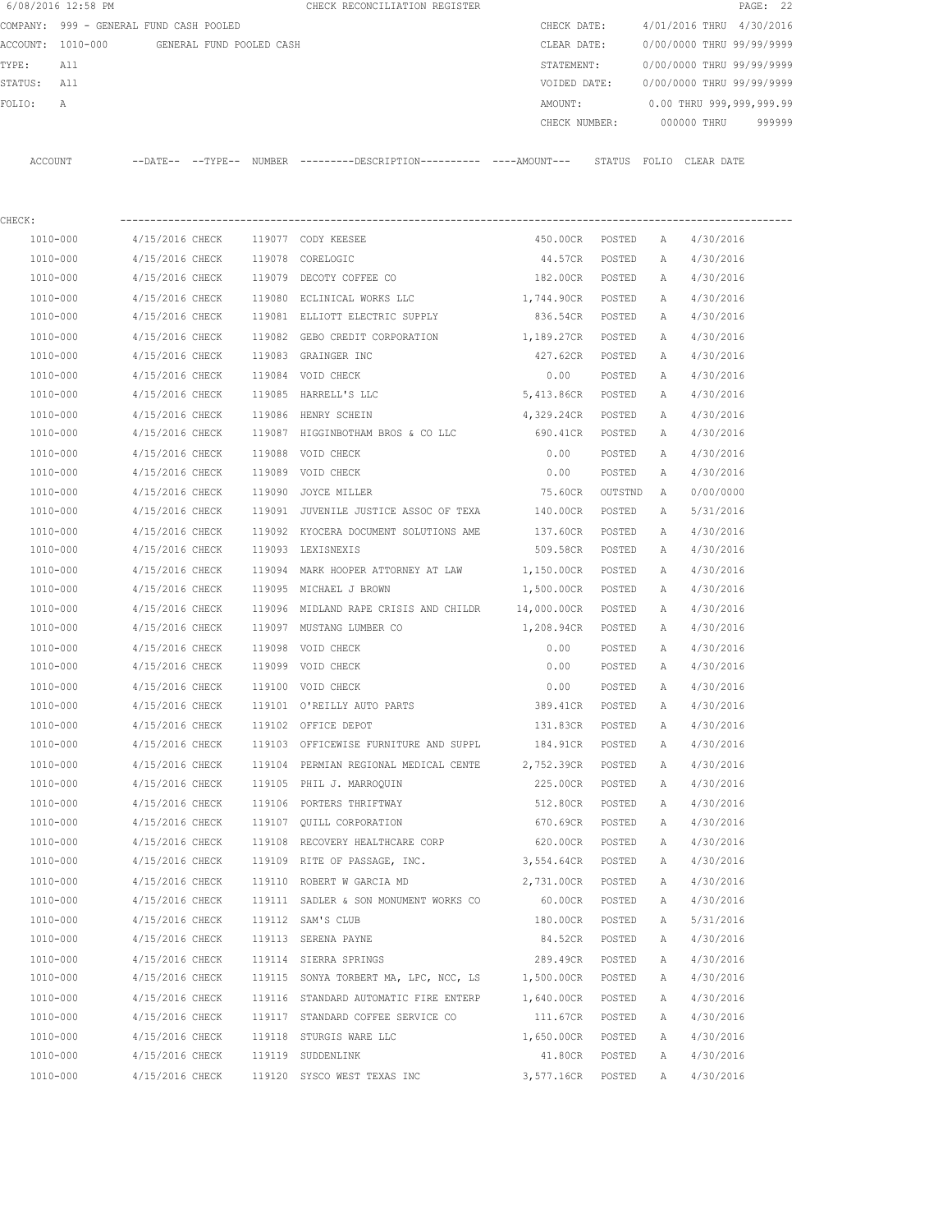|         | 6/08/2016 12:58 PM                            |                 |  |        | CHECK RECONCILIATION REGISTER                                                                 |               |        |              |                           | PAGE: 22 |
|---------|-----------------------------------------------|-----------------|--|--------|-----------------------------------------------------------------------------------------------|---------------|--------|--------------|---------------------------|----------|
|         | COMPANY: 999 - GENERAL FUND CASH POOLED       |                 |  |        |                                                                                               | CHECK DATE:   |        |              | 4/01/2016 THRU 4/30/2016  |          |
|         | ACCOUNT: 1010-000<br>GENERAL FUND POOLED CASH |                 |  |        |                                                                                               | CLEAR DATE:   |        |              | 0/00/0000 THRU 99/99/9999 |          |
| TYPE:   | All                                           |                 |  |        |                                                                                               | STATEMENT:    |        |              | 0/00/0000 THRU 99/99/9999 |          |
| STATUS: | All                                           |                 |  |        |                                                                                               | VOIDED DATE:  |        |              | 0/00/0000 THRU 99/99/9999 |          |
| FOLIO:  | Α                                             |                 |  |        |                                                                                               | AMOUNT:       |        |              | 0.00 THRU 999,999,999.99  |          |
|         |                                               |                 |  |        |                                                                                               | CHECK NUMBER: |        |              | 000000 THRU               | 999999   |
| ACCOUNT |                                               |                 |  |        | --DATE-- --TYPE-- NUMBER ---------DESCRIPTION---------- ----AMOUNT--- STATUS FOLIO CLEAR DATE |               |        |              |                           |          |
| CHECK:  |                                               |                 |  |        |                                                                                               |               |        |              |                           |          |
|         | 1010-000                                      | 4/15/2016 CHECK |  |        | 119077 CODY KEESEE                                                                            | 450.00CR      | POSTED | $\mathbb{A}$ | 4/30/2016                 |          |
|         | 1010-000                                      | 4/15/2016 CHECK |  | 119078 | CORELOGIC                                                                                     | 44.57CR       | POSTED | A            | 4/30/2016                 |          |
|         | 1010-000                                      | 4/15/2016 CHECK |  |        | 119079 DECOTY COFFEE CO                                                                       | 182.00CR      | POSTED | Α            | 4/30/2016                 |          |
|         | 1010-000                                      | 4/15/2016 CHECK |  | 119080 | ECLINICAL WORKS LLC                                                                           | 1,744.90CR    | POSTED | A            | 4/30/2016                 |          |
|         | 1010-000                                      | 4/15/2016 CHECK |  |        | 119081 ELLIOTT ELECTRIC SUPPLY                                                                | 836.54CR      | POSTED | A            | 4/30/2016                 |          |
|         | 1010-000                                      | 4/15/2016 CHECK |  | 119082 | GEBO CREDIT CORPORATION                                                                       | 1,189.27CR    | POSTED | A            | 4/30/2016                 |          |
|         | 1010-000                                      | 4/15/2016 CHECK |  | 119083 | GRAINGER INC                                                                                  | 427.62CR      | POSTED | A            | 4/30/2016                 |          |
|         | 1010-000                                      | 4/15/2016 CHECK |  | 119084 | VOID CHECK                                                                                    | 0.00          | POSTED | $\mathbb{A}$ | 4/30/2016                 |          |
|         | 1010-000                                      | 4/15/2016 CHECK |  | 119085 | HARRELL'S LLC                                                                                 | 5,413.86CR    | POSTED | A            | 4/30/2016                 |          |
|         | 1010-000                                      | 4/15/2016 CHECK |  | 119086 | HENRY SCHEIN                                                                                  | 4,329.24CR    | POSTED | Α            | 4/30/2016                 |          |
|         | 1010-000                                      | 4/15/2016 CHECK |  | 119087 | HIGGINBOTHAM BROS & CO LLC                                                                    | 690.41CR      | POSTED | Α            | 4/30/2016                 |          |
|         | 1010-000                                      | 4/15/2016 CHECK |  | 119088 | VOID CHECK                                                                                    | 0.00          | POSTED | Α            | 4/30/2016                 |          |
|         | 1010-000                                      | 4/15/2016 CHECK |  |        | 119089 VOID CHECK                                                                             | 0.00          | POSTED | $\mathbb{A}$ | 4/30/2016                 |          |

| 1010-000 | 4/15/2016 CHECK |        | 119089 VOID CHECK                              | 0.00        | POSTED  | Α            | 4/30/2016 |
|----------|-----------------|--------|------------------------------------------------|-------------|---------|--------------|-----------|
| 1010-000 | 4/15/2016 CHECK | 119090 | JOYCE MILLER                                   | 75.60CR     | OUTSTND | $\mathbb{A}$ | 0/00/0000 |
| 1010-000 | 4/15/2016 CHECK |        | 119091 JUVENILE JUSTICE ASSOC OF TEXA          | 140.00CR    | POSTED  | $\mathbb{A}$ | 5/31/2016 |
| 1010-000 | 4/15/2016 CHECK |        | 119092 KYOCERA DOCUMENT SOLUTIONS AME          | 137.60CR    | POSTED  | $\mathbb{A}$ | 4/30/2016 |
| 1010-000 | 4/15/2016 CHECK |        | 119093 LEXISNEXIS                              | 509.58CR    | POSTED  | $\mathbb{A}$ | 4/30/2016 |
| 1010-000 | 4/15/2016 CHECK |        | 119094 MARK HOOPER ATTORNEY AT LAW             | 1,150.00CR  | POSTED  | $\mathbb{A}$ | 4/30/2016 |
| 1010-000 | 4/15/2016 CHECK |        | 119095 MICHAEL J BROWN                         | 1,500.00CR  | POSTED  | $\mathbb{A}$ | 4/30/2016 |
| 1010-000 | 4/15/2016 CHECK |        | 119096 MIDLAND RAPE CRISIS AND CHILDR          | 14,000.00CR | POSTED  | Α            | 4/30/2016 |
| 1010-000 | 4/15/2016 CHECK |        | 119097 MUSTANG LUMBER CO                       | 1,208.94CR  | POSTED  | $\mathbb{A}$ | 4/30/2016 |
| 1010-000 | 4/15/2016 CHECK |        | 119098 VOID CHECK                              | 0.00        | POSTED  | Α            | 4/30/2016 |
| 1010-000 | 4/15/2016 CHECK |        | 119099 VOID CHECK                              | 0.00        | POSTED  | $\mathbb{A}$ | 4/30/2016 |
| 1010-000 | 4/15/2016 CHECK |        | 119100 VOID CHECK                              | 0.00        | POSTED  | $\mathbb{A}$ | 4/30/2016 |
| 1010-000 | 4/15/2016 CHECK |        | 119101 O'REILLY AUTO PARTS                     | 389.41CR    | POSTED  | $\mathbb{A}$ | 4/30/2016 |
| 1010-000 | 4/15/2016 CHECK |        | 119102 OFFICE DEPOT                            | 131.83CR    | POSTED  | Α            | 4/30/2016 |
| 1010-000 | 4/15/2016 CHECK |        | 119103 OFFICEWISE FURNITURE AND SUPPL 184.91CR |             | POSTED  | Α            | 4/30/2016 |
| 1010-000 | 4/15/2016 CHECK |        | 119104 PERMIAN REGIONAL MEDICAL CENTE          | 2,752.39CR  | POSTED  | A            | 4/30/2016 |
| 1010-000 | 4/15/2016 CHECK |        | 119105 PHIL J. MARROQUIN                       | 225.00CR    | POSTED  | Α            | 4/30/2016 |
| 1010-000 | 4/15/2016 CHECK |        | 119106 PORTERS THRIFTWAY                       | 512.80CR    | POSTED  | $\mathbb{A}$ | 4/30/2016 |
| 1010-000 | 4/15/2016 CHECK |        | 119107 OUILL CORPORATION                       | 670.69CR    | POSTED  | Α            | 4/30/2016 |
| 1010-000 | 4/15/2016 CHECK |        | 119108 RECOVERY HEALTHCARE CORP                | 620.00CR    | POSTED  | $\mathbb{A}$ | 4/30/2016 |
| 1010-000 | 4/15/2016 CHECK |        | 119109 RITE OF PASSAGE, INC.                   | 3,554.64CR  | POSTED  | A            | 4/30/2016 |
| 1010-000 | 4/15/2016 CHECK |        | 119110 ROBERT W GARCIA MD                      | 2,731.00CR  | POSTED  | Α            | 4/30/2016 |
| 1010-000 | 4/15/2016 CHECK |        | 119111 SADLER & SON MONUMENT WORKS CO          | 60.00CR     | POSTED  | Α            | 4/30/2016 |
| 1010-000 | 4/15/2016 CHECK |        | 119112 SAM'S CLUB                              | 180.00CR    | POSTED  | $\mathbb{A}$ | 5/31/2016 |
| 1010-000 | 4/15/2016 CHECK |        | 119113 SERENA PAYNE                            | 84.52CR     | POSTED  | Α            | 4/30/2016 |
| 1010-000 | 4/15/2016 CHECK |        | 119114 SIERRA SPRINGS                          | 289.49CR    | POSTED  | $\mathbb{A}$ | 4/30/2016 |
| 1010-000 | 4/15/2016 CHECK |        | 119115 SONYA TORBERT MA, LPC, NCC, LS          | 1,500.00CR  | POSTED  | Α            | 4/30/2016 |
| 1010-000 | 4/15/2016 CHECK |        | 119116 STANDARD AUTOMATIC FIRE ENTERP          | 1,640.00CR  | POSTED  | $\mathbb{A}$ | 4/30/2016 |
| 1010-000 | 4/15/2016 CHECK |        | 119117 STANDARD COFFEE SERVICE CO              | 111.67CR    | POSTED  | Α            | 4/30/2016 |
| 1010-000 | 4/15/2016 CHECK |        | 119118 STURGIS WARE LLC                        | 1,650.00CR  | POSTED  | $\mathbb{A}$ | 4/30/2016 |
| 1010-000 | 4/15/2016 CHECK |        | 119119 SUDDENLINK                              | 41.80CR     | POSTED  | $\mathbb{A}$ | 4/30/2016 |

1010-000 4/15/2016 CHECK 119120 SYSCO WEST TEXAS INC 3,577.16CR POSTED A 4/30/2016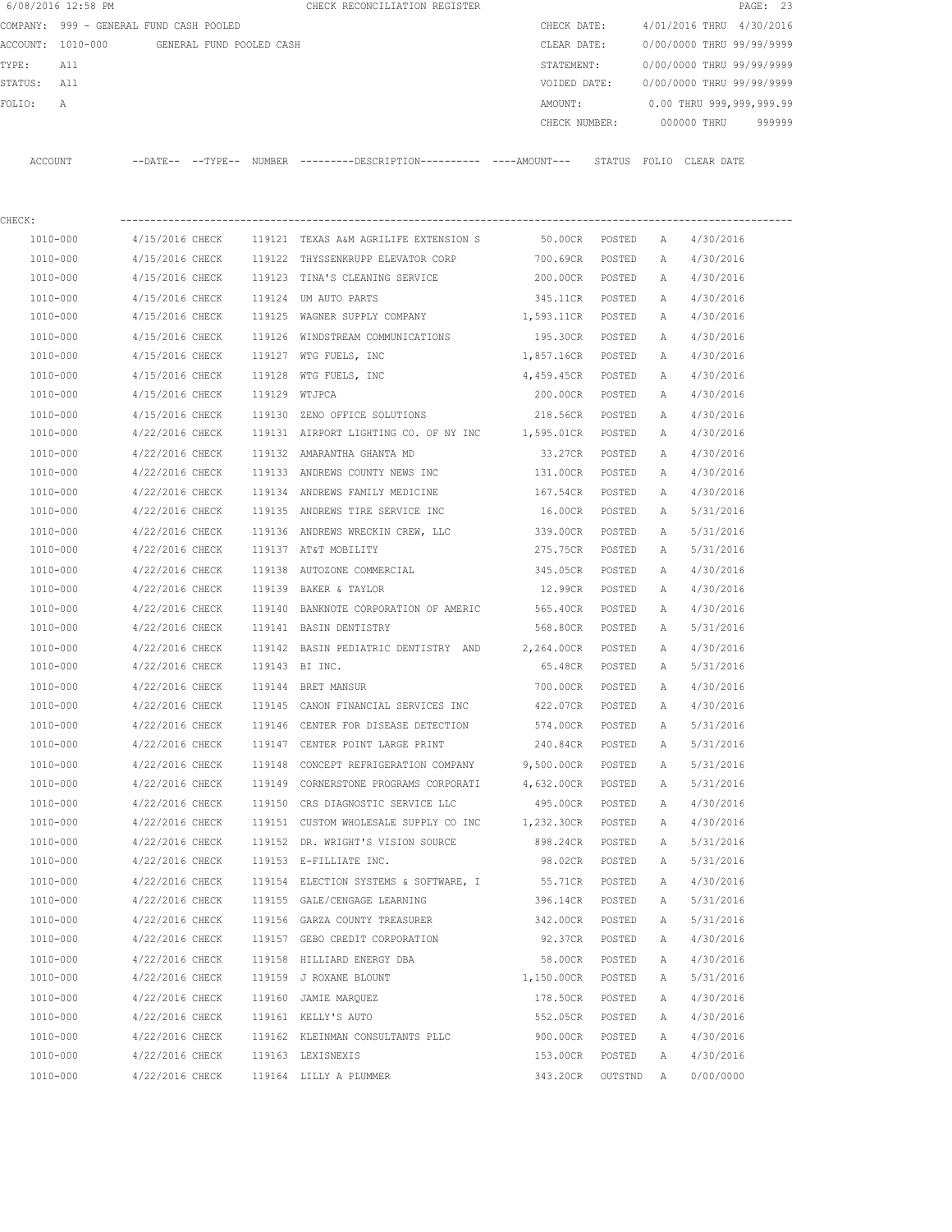|                                               | 6/08/2016 12:58 PM |                 |  |               | CHECK RECONCILIATION REGISTER                                                                |                   |                           |                           |                           | PAGE: 23 |
|-----------------------------------------------|--------------------|-----------------|--|---------------|----------------------------------------------------------------------------------------------|-------------------|---------------------------|---------------------------|---------------------------|----------|
| COMPANY: 999 - GENERAL FUND CASH POOLED       |                    |                 |  |               |                                                                                              | CHECK DATE:       |                           |                           | 4/01/2016 THRU 4/30/2016  |          |
| ACCOUNT: 1010-000<br>GENERAL FUND POOLED CASH |                    |                 |  | CLEAR DATE:   |                                                                                              |                   | 0/00/0000 THRU 99/99/9999 |                           |                           |          |
| TYPE:                                         | All                |                 |  |               | STATEMENT:                                                                                   |                   |                           | 0/00/0000 THRU 99/99/9999 |                           |          |
| STATUS: All                                   |                    |                 |  |               |                                                                                              | VOIDED DATE:      |                           |                           | 0/00/0000 THRU 99/99/9999 |          |
| FOLIO:                                        | Α                  |                 |  |               |                                                                                              | AMOUNT:           |                           |                           | 0.00 THRU 999,999,999.99  |          |
|                                               |                    |                 |  |               |                                                                                              | CHECK NUMBER:     |                           |                           | 000000 THRU               | 999999   |
|                                               | ACCOUNT            |                 |  |               | --DATE-- --TYPE-- NUMBER ---------DESCRIPTION---------- ----AMOUNT--- STATUS FOLIO CLEARDATE |                   |                           |                           |                           |          |
| CHECK:                                        |                    |                 |  |               |                                                                                              |                   |                           |                           |                           |          |
|                                               | 1010-000           | 4/15/2016 CHECK |  |               | 119121 TEXAS A&M AGRILIFE EXTENSION S                                                        | 50.00CR POSTED    |                           | A                         | 4/30/2016                 |          |
|                                               | 1010-000           | 4/15/2016 CHECK |  |               | 119122 THYSSENKRUPP ELEVATOR CORP                                                            | 700.69CR          | POSTED                    | A                         | 4/30/2016                 |          |
|                                               | 1010-000           | 4/15/2016 CHECK |  |               | 119123 TINA'S CLEANING SERVICE                                                               | 200.00CR          | POSTED                    | A                         | 4/30/2016                 |          |
|                                               | 1010-000           | 4/15/2016 CHECK |  |               | 119124 UM AUTO PARTS                                                                         | 345.11CR POSTED   |                           | A                         | 4/30/2016                 |          |
|                                               | 1010-000           | 4/15/2016 CHECK |  |               | 119125 WAGNER SUPPLY COMPANY                                                                 | 1,593.11CR POSTED |                           | A                         | 4/30/2016                 |          |
|                                               | 1010-000           | 4/15/2016 CHECK |  |               | 119126 WINDSTREAM COMMUNICATIONS                                                             | 195.30CR POSTED   |                           | A                         | 4/30/2016                 |          |
|                                               | 1010-000           | 4/15/2016 CHECK |  |               | 119127 WTG FUELS, INC                                                                        | 1,857.16CR POSTED |                           | A                         | 4/30/2016                 |          |
|                                               | 1010-000           | 4/15/2016 CHECK |  | 119128        | WTG FUELS, INC                                                                               | 4,459.45CR POSTED |                           | A                         | 4/30/2016                 |          |
|                                               | 1010-000           | 4/15/2016 CHECK |  | 119129 WTJPCA |                                                                                              | 200.00CR POSTED   |                           | А                         | 4/30/2016                 |          |
|                                               | 1010-000           | 4/15/2016 CHECK |  |               | 119130 ZENO OFFICE SOLUTIONS                                                                 | 218.56CR          | POSTED                    | A                         | 4/30/2016                 |          |
|                                               | 1010-000           | 4/22/2016 CHECK |  |               | 119131 AIRPORT LIGHTING CO. OF NY INC 1,595.01CR POSTED                                      |                   |                           | А                         | 4/30/2016                 |          |
|                                               | 1010-000           | 4/22/2016 CHECK |  |               | 119132 AMARANTHA GHANTA MD                                                                   | 33.27CR           | POSTED                    | A                         | 4/30/2016                 |          |
|                                               | 1010-000           | 4/22/2016 CHECK |  |               | 119133 ANDREWS COUNTY NEWS INC                                                               | 131.00CR          | POSTED                    | А                         | 4/30/2016                 |          |
|                                               | 1010-000           | 4/22/2016 CHECK |  |               | 119134 ANDREWS FAMILY MEDICINE                                                               | 167.54CR          | POSTED                    | A                         | 4/30/2016                 |          |
|                                               | 1010-000           | 4/22/2016 CHECK |  |               | 119135 ANDREWS TIRE SERVICE INC                                                              | 16.00CR           | POSTED                    | A                         | 5/31/2016                 |          |
|                                               | 1010-000           | 4/22/2016 CHECK |  |               | 119136 ANDREWS WRECKIN CREW, LLC                                                             | 339.00CR          | POSTED                    | Α                         | 5/31/2016                 |          |
|                                               | 1010-000           | 4/22/2016 CHECK |  |               | 119137 AT&T MOBILITY                                                                         | 275.75CR          | POSTED                    | Α                         | 5/31/2016                 |          |
|                                               | 1010-000           | 4/22/2016 CHECK |  |               | 119138 AUTOZONE COMMERCIAL                                                                   | 345.05CR POSTED   |                           | A                         | 4/30/2016                 |          |
|                                               | 1010-000           | 4/22/2016 CHECK |  |               | 119139 BAKER & TAYLOR                                                                        | 12.99CR POSTED    |                           | A                         | 4/30/2016                 |          |
|                                               | 1010-000           | 4/22/2016 CHECK |  |               | 119140 BANKNOTE CORPORATION OF AMERIC                                                        | 565.40CR          | POSTED                    | A                         | 4/30/2016                 |          |
|                                               | 1010-000           | 4/22/2016 CHECK |  |               | 119141 BASIN DENTISTRY                                                                       | 568.80CR POSTED   |                           | A                         | 5/31/2016                 |          |
|                                               | 1010-000           | 4/22/2016 CHECK |  |               | 119142 BASIN PEDIATRIC DENTISTRY AND 2,264.00CR POSTED                                       |                   |                           | A                         | 4/30/2016                 |          |
|                                               | 1010-000           | 4/22/2016 CHECK |  |               | 119143 BI INC.                                                                               | 65.48CR           | POSTED                    | A                         | 5/31/2016                 |          |
|                                               | 1010-000           | 4/22/2016 CHECK |  |               | 119144 BRET MANSUR                                                                           | 700.00CR          | POSTED                    | $\mathbb{A}$              | 4/30/2016                 |          |
|                                               | 1010-000           | 4/22/2016 CHECK |  |               | 119145 CANON FINANCIAL SERVICES INC                                                          | 422.07CR          | POSTED                    | А                         | 4/30/2016                 |          |
|                                               | 1010-000           | 4/22/2016 CHECK |  |               | 119146 CENTER FOR DISEASE DETECTION                                                          | 574.00CR          | POSTED                    | Α                         | 5/31/2016                 |          |
|                                               | 1010-000           | 4/22/2016 CHECK |  |               | 119147 CENTER POINT LARGE PRINT                                                              | 240.84CR          | POSTED                    | Α                         | 5/31/2016                 |          |
|                                               | 1010-000           | 4/22/2016 CHECK |  |               | 119148 CONCEPT REFRIGERATION COMPANY                                                         | 9,500.00CR        | POSTED                    | Α                         | 5/31/2016                 |          |
|                                               | 1010-000           | 4/22/2016 CHECK |  |               | 119149 CORNERSTONE PROGRAMS CORPORATI                                                        | 4,632.00CR POSTED |                           | Α                         | 5/31/2016                 |          |
|                                               | 1010-000           | 4/22/2016 CHECK |  |               | 119150 CRS DIAGNOSTIC SERVICE LLC                                                            | 495.00CR POSTED   |                           | Α                         | 4/30/2016                 |          |
|                                               | 1010-000           | 4/22/2016 CHECK |  |               | 119151 CUSTOM WHOLESALE SUPPLY CO INC                                                        | 1,232.30CR POSTED |                           | Α                         | 4/30/2016                 |          |
|                                               | $1010 - 000$       | 4/22/2016 CHECK |  |               | 119152 DR. WRIGHT'S VISION SOURCE                                                            | 898.24CR          | POSTED                    | Α                         | 5/31/2016                 |          |
|                                               | 1010-000           | 4/22/2016 CHECK |  |               | 119153 E-FILLIATE INC.                                                                       | 98.02CR           | POSTED                    | Α                         | 5/31/2016                 |          |
|                                               | 1010-000           | 4/22/2016 CHECK |  |               | 119154 ELECTION SYSTEMS & SOFTWARE, I                                                        | 55.71CR           | POSTED                    | Α                         | 4/30/2016                 |          |
|                                               | 1010-000           | 4/22/2016 CHECK |  |               | 119155 GALE/CENGAGE LEARNING                                                                 | 396.14CR          | POSTED                    | Α                         | 5/31/2016                 |          |
|                                               | 1010-000           | 4/22/2016 CHECK |  |               | 119156 GARZA COUNTY TREASURER                                                                | 342.00CR          | POSTED                    | Α                         | 5/31/2016                 |          |
|                                               | 1010-000           | 4/22/2016 CHECK |  |               | 119157 GEBO CREDIT CORPORATION                                                               | 92.37CR           | POSTED                    | Α                         | 4/30/2016                 |          |
|                                               | 1010-000           | 4/22/2016 CHECK |  |               | 119158 HILLIARD ENERGY DBA                                                                   | 58.00CR           | POSTED                    | Α                         | 4/30/2016                 |          |
|                                               | 1010-000           | 4/22/2016 CHECK |  |               | 119159 J ROXANE BLOUNT                                                                       | 1,150.00CR        | POSTED                    | Α                         | 5/31/2016                 |          |
|                                               | 1010-000           | 4/22/2016 CHECK |  |               | 119160 JAMIE MARQUEZ                                                                         | 178.50CR          | POSTED                    | Α                         | 4/30/2016                 |          |
|                                               | 1010-000           | 4/22/2016 CHECK |  |               | 119161 KELLY'S AUTO                                                                          | 552.05CR          | POSTED                    | Α                         | 4/30/2016                 |          |
|                                               | 1010-000           | 4/22/2016 CHECK |  |               | 119162 KLEINMAN CONSULTANTS PLLC                                                             | 900.00CR          | POSTED                    | Α                         | 4/30/2016                 |          |
|                                               | 1010-000           | 4/22/2016 CHECK |  |               | 119163 LEXISNEXIS                                                                            | 153.00CR          | POSTED                    | Α                         | 4/30/2016                 |          |
|                                               | 1010-000           | 4/22/2016 CHECK |  |               | 119164 LILLY A PLUMMER                                                                       | 343.20CR          | OUTSTND                   | <b>A</b>                  | 0/00/0000                 |          |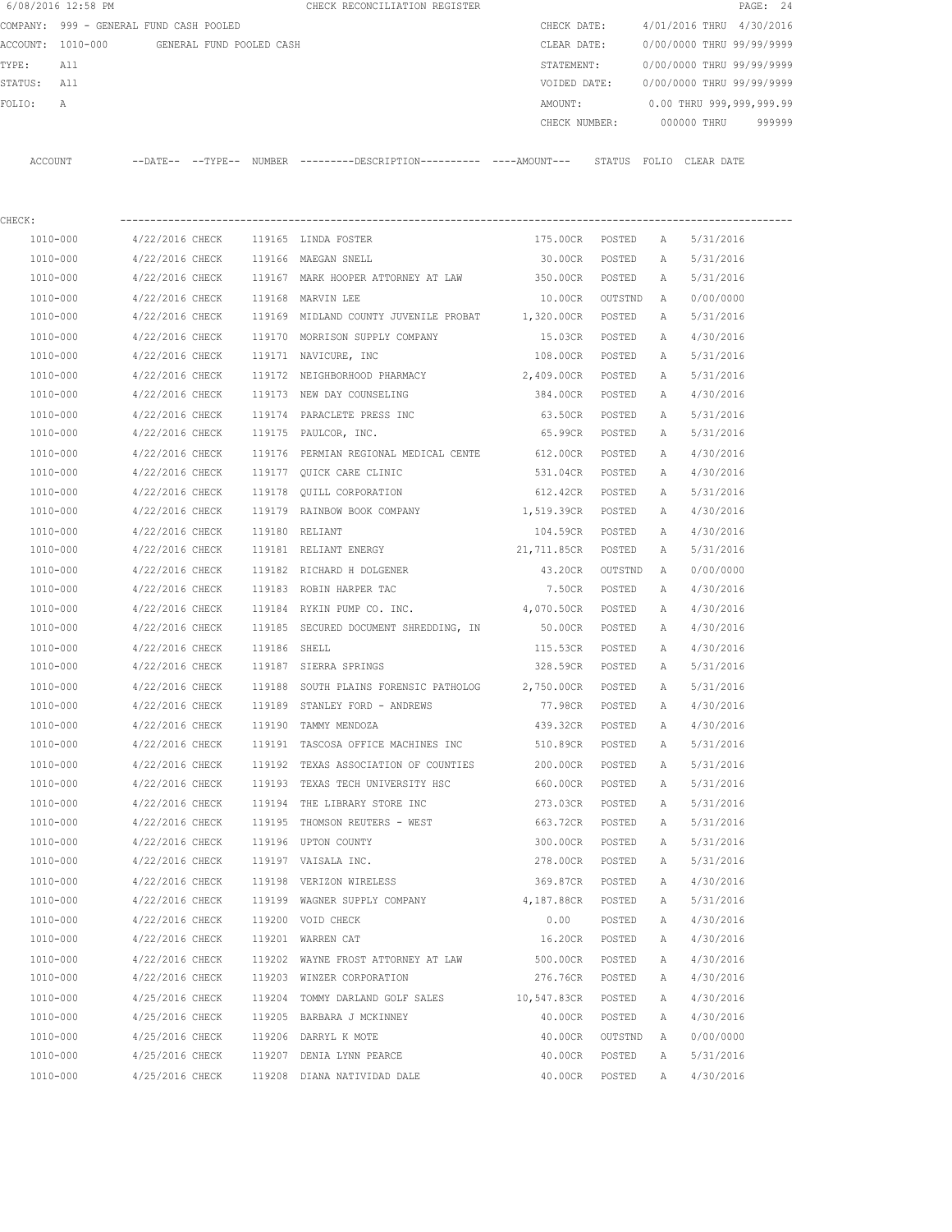| 6/08/2016 12:58 PM |  |                                                                       | CHECK RECONCILIATION REGISTER |                          |               |                                              | PAGE: 24    |                                                                                                                                                           |
|--------------------|--|-----------------------------------------------------------------------|-------------------------------|--------------------------|---------------|----------------------------------------------|-------------|-----------------------------------------------------------------------------------------------------------------------------------------------------------|
|                    |  |                                                                       |                               |                          | CHECK DATE:   |                                              |             |                                                                                                                                                           |
| ACCOUNT: 1010-000  |  |                                                                       |                               |                          | CLEAR DATE:   |                                              |             |                                                                                                                                                           |
| All                |  |                                                                       |                               |                          | STATEMENT:    |                                              |             |                                                                                                                                                           |
| All                |  |                                                                       |                               |                          | VOIDED DATE:  |                                              |             |                                                                                                                                                           |
| $\mathbb{A}$       |  |                                                                       |                               |                          | AMOUNT:       |                                              |             |                                                                                                                                                           |
|                    |  |                                                                       |                               |                          | CHECK NUMBER: |                                              |             | 999999                                                                                                                                                    |
|                    |  |                                                                       |                               |                          |               |                                              |             |                                                                                                                                                           |
| ACCOUNT            |  |                                                                       |                               |                          | STATUS        | FOLIO                                        |             |                                                                                                                                                           |
|                    |  | COMPANY: 999 - GENERAL FUND CASH POOLED<br>$--$ DATE $- --$ TYPE $--$ | NUMBER                        | GENERAL FUND POOLED CASH |               | ---------DESCRIPTION---------- ----AMOUNT--- | 000000 THRU | 4/01/2016 THRU 4/30/2016<br>0/00/0000 THRU 99/99/9999<br>0/00/0000 THRU 99/99/9999<br>0/00/0000 THRU 99/99/9999<br>0.00 THRU 999,999,999.99<br>CLEAR DATE |

| CHECK:   |                 |              |                                                  |                 |         |              |           |
|----------|-----------------|--------------|--------------------------------------------------|-----------------|---------|--------------|-----------|
| 1010-000 | 4/22/2016 CHECK |              | 119165 LINDA FOSTER                              | 175.00CR POSTED |         | A            | 5/31/2016 |
| 1010-000 | 4/22/2016 CHECK |              | 119166 MAEGAN SNELL                              | 30.00CR         | POSTED  | A            | 5/31/2016 |
| 1010-000 | 4/22/2016 CHECK |              | 119167 MARK HOOPER ATTORNEY AT LAW 350.00CR      |                 | POSTED  | A            | 5/31/2016 |
| 1010-000 | 4/22/2016 CHECK |              | 119168 MARVIN LEE                                | 10.00CR OUTSTND |         | A            | 0/00/0000 |
| 1010-000 | 4/22/2016 CHECK |              | 119169 MIDLAND COUNTY JUVENILE PROBAT 1,320.00CR |                 | POSTED  | A            | 5/31/2016 |
| 1010-000 | 4/22/2016 CHECK |              | 119170 MORRISON SUPPLY COMPANY                   | 15.03CR POSTED  |         | A            | 4/30/2016 |
| 1010-000 | 4/22/2016 CHECK |              | 119171 NAVICURE, INC                             | 108.00CR POSTED |         | Α            | 5/31/2016 |
| 1010-000 | 4/22/2016 CHECK |              | 119172 NEIGHBORHOOD PHARMACY                     | 2,409.00CR      | POSTED  | А            | 5/31/2016 |
| 1010-000 | 4/22/2016 CHECK |              | 119173 NEW DAY COUNSELING                        | 384.00CR        | POSTED  | А            | 4/30/2016 |
| 1010-000 | 4/22/2016 CHECK |              | 119174 PARACLETE PRESS INC                       | 63.50CR         | POSTED  | Α            | 5/31/2016 |
| 1010-000 | 4/22/2016 CHECK |              | 119175 PAULCOR, INC.                             | 65.99CR         | POSTED  | Α            | 5/31/2016 |
| 1010-000 | 4/22/2016 CHECK |              | 119176 PERMIAN REGIONAL MEDICAL CENTE 612.00CR   |                 | POSTED  | Α            | 4/30/2016 |
| 1010-000 | 4/22/2016 CHECK |              | 119177 QUICK CARE CLINIC 531.04CR POSTED         |                 |         | A            | 4/30/2016 |
| 1010-000 | 4/22/2016 CHECK |              | 119178 QUILL CORPORATION                         | 612.42CR        | POSTED  | Α            | 5/31/2016 |
| 1010-000 | 4/22/2016 CHECK |              | 119179 RAINBOW BOOK COMPANY 1,519.39CR POSTED    |                 |         | Α            | 4/30/2016 |
| 1010-000 | 4/22/2016 CHECK |              | 119180 RELIANT                                   | 104.59CR POSTED |         | Α            | 4/30/2016 |
| 1010-000 | 4/22/2016 CHECK |              | 119181 RELIANT ENERGY                            | 21,711.85CR     | POSTED  | A            | 5/31/2016 |
| 1010-000 | 4/22/2016 CHECK |              | 119182 RICHARD H DOLGENER                        | 43.20CR OUTSTND |         | A            | 0/00/0000 |
| 1010-000 | 4/22/2016 CHECK |              | 119183 ROBIN HARPER TAC                          | 7.50CR          | POSTED  | А            | 4/30/2016 |
| 1010-000 | 4/22/2016 CHECK |              | 119184 RYKIN PUMP CO. INC.                       | 4,070.50CR      | POSTED  | Α            | 4/30/2016 |
| 1010-000 | 4/22/2016 CHECK |              | 119185 SECURED DOCUMENT SHREDDING, IN            | 50.00CR         | POSTED  | Α            | 4/30/2016 |
| 1010-000 | 4/22/2016 CHECK | 119186 SHELL |                                                  | 115.53CR        | POSTED  | A            | 4/30/2016 |
| 1010-000 | 4/22/2016 CHECK |              | 119187 SIERRA SPRINGS                            | 328.59CR        | POSTED  | A            | 5/31/2016 |
| 1010-000 | 4/22/2016 CHECK |              | 119188 SOUTH PLAINS FORENSIC PATHOLOG 2,750.00CR |                 | POSTED  | А            | 5/31/2016 |
| 1010-000 | 4/22/2016 CHECK |              | 119189 STANLEY FORD - ANDREWS                    | 77.98CR         | POSTED  | A            | 4/30/2016 |
| 1010-000 | 4/22/2016 CHECK |              | 119190 TAMMY MENDOZA                             | 439.32CR        | POSTED  | Α            | 4/30/2016 |
| 1010-000 | 4/22/2016 CHECK |              | 119191 TASCOSA OFFICE MACHINES INC 510.89CR      |                 | POSTED  | Α            | 5/31/2016 |
| 1010-000 | 4/22/2016 CHECK |              | 119192 TEXAS ASSOCIATION OF COUNTIES             | 200.00CR        | POSTED  | Α            | 5/31/2016 |
| 1010-000 | 4/22/2016 CHECK |              | 119193 TEXAS TECH UNIVERSITY HSC                 | 660.00CR        | POSTED  | A            | 5/31/2016 |
| 1010-000 | 4/22/2016 CHECK |              | 119194 THE LIBRARY STORE INC                     | 273.03CR        | POSTED  | A            | 5/31/2016 |
| 1010-000 | 4/22/2016 CHECK |              | 119195 THOMSON REUTERS - WEST                    | 663.72CR        | POSTED  | A            | 5/31/2016 |
| 1010-000 | 4/22/2016 CHECK |              | 119196 UPTON COUNTY                              | 300.00CR        | POSTED  | А            | 5/31/2016 |
| 1010-000 | 4/22/2016 CHECK |              | 119197 VAISALA INC.                              | 278.00CR        | POSTED  | A            | 5/31/2016 |
| 1010-000 | 4/22/2016 CHECK |              | 119198 VERIZON WIRELESS                          | 369.87CR        | POSTED  | A            | 4/30/2016 |
| 1010-000 | 4/22/2016 CHECK |              | 119199 WAGNER SUPPLY COMPANY                     | 4,187.88CR      | POSTED  | $\mathbb{A}$ | 5/31/2016 |
| 1010-000 | 4/22/2016 CHECK |              | 119200 VOID CHECK                                | 0.00            | POSTED  | Α            | 4/30/2016 |
| 1010-000 | 4/22/2016 CHECK |              | 119201 WARREN CAT                                | 16.20CR         | POSTED  | Α            | 4/30/2016 |
| 1010-000 | 4/22/2016 CHECK |              | 119202 WAYNE FROST ATTORNEY AT LAW               | 500.00CR        | POSTED  | Α            | 4/30/2016 |
| 1010-000 | 4/22/2016 CHECK |              | 119203 WINZER CORPORATION                        | 276.76CR        | POSTED  | Α            | 4/30/2016 |
| 1010-000 | 4/25/2016 CHECK |              | 119204 TOMMY DARLAND GOLF SALES                  | 10,547.83CR     | POSTED  | А            | 4/30/2016 |
| 1010-000 | 4/25/2016 CHECK |              | 119205 BARBARA J MCKINNEY                        | 40.00CR         | POSTED  | А            | 4/30/2016 |
| 1010-000 | 4/25/2016 CHECK |              | 119206 DARRYL K MOTE                             | 40.00CR         | OUTSTND | Α            | 0/00/0000 |
| 1010-000 | 4/25/2016 CHECK |              | 119207 DENIA LYNN PEARCE                         | 40.00CR         | POSTED  | Α            | 5/31/2016 |
| 1010-000 | 4/25/2016 CHECK |              | 119208 DIANA NATIVIDAD DALE                      | 40.00CR         | POSTED  | Α            | 4/30/2016 |
|          |                 |              |                                                  |                 |         |              |           |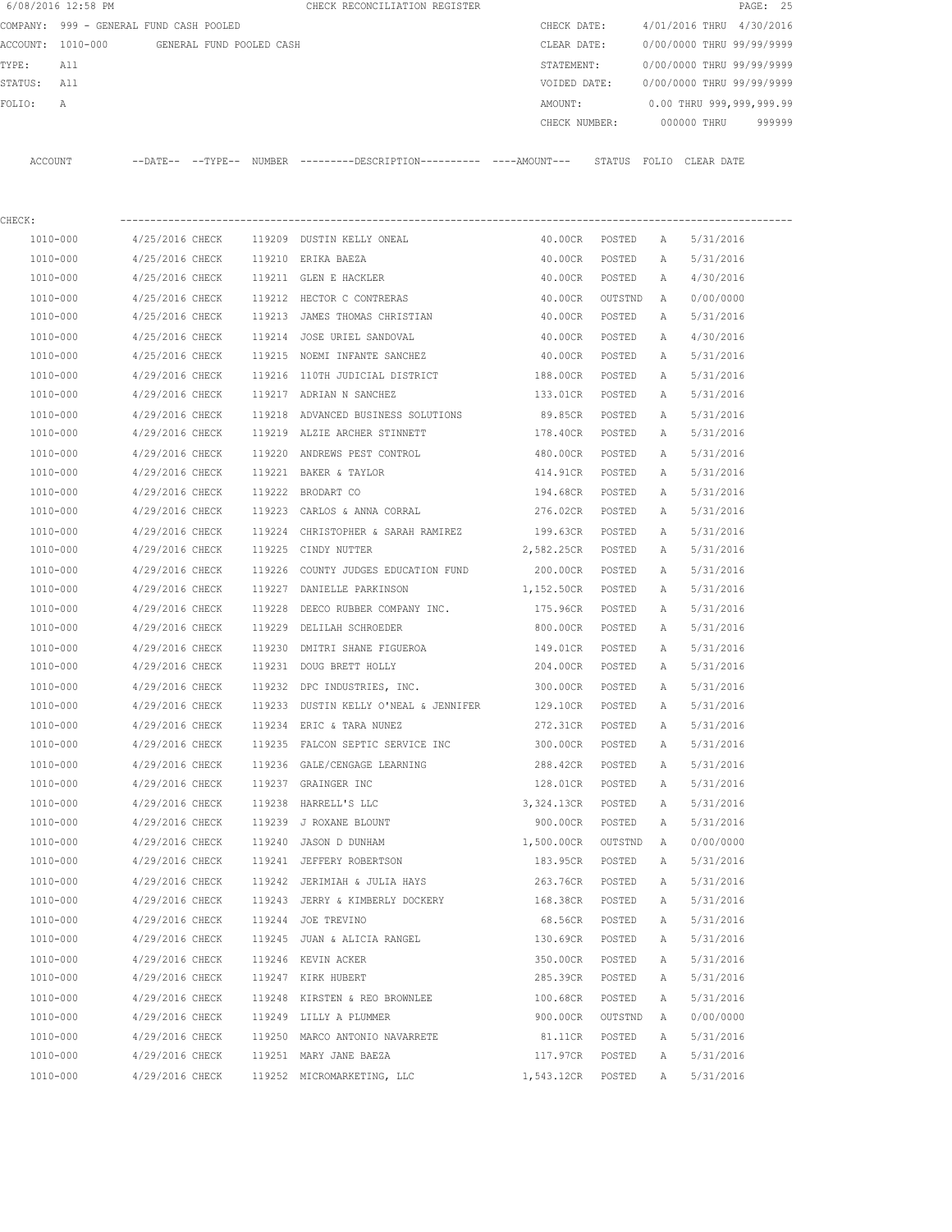|                                               | 6/08/2016 12:58 PM                      |                 |  |        | CHECK RECONCILIATION REGISTER                                                             |                   |         |              |                           | PAGE: 25 |
|-----------------------------------------------|-----------------------------------------|-----------------|--|--------|-------------------------------------------------------------------------------------------|-------------------|---------|--------------|---------------------------|----------|
|                                               | COMPANY: 999 - GENERAL FUND CASH POOLED |                 |  |        |                                                                                           | CHECK DATE:       |         |              | 4/01/2016 THRU 4/30/2016  |          |
| ACCOUNT: 1010-000<br>GENERAL FUND POOLED CASH |                                         |                 |  |        |                                                                                           | CLEAR DATE:       |         |              | 0/00/0000 THRU 99/99/9999 |          |
| TYPE:<br>All                                  |                                         |                 |  |        |                                                                                           | STATEMENT:        |         |              | 0/00/0000 THRU 99/99/9999 |          |
| STATUS:                                       | All                                     |                 |  |        |                                                                                           | VOIDED DATE:      |         |              | 0/00/0000 THRU 99/99/9999 |          |
| FOLIO:                                        | Α                                       |                 |  |        |                                                                                           | AMOUNT:           |         |              | 0.00 THRU 999,999,999.99  |          |
|                                               |                                         |                 |  |        |                                                                                           | CHECK NUMBER:     |         |              | 000000 THRU               | 999999   |
| ACCOUNT                                       |                                         |                 |  |        | --DATE-- --TYPE-- NUMBER --------DESCRIPTION--------- ---AMOUNT--- STATUS FOLIO CLEARDATE |                   |         |              |                           |          |
| CHECK:                                        |                                         |                 |  |        |                                                                                           |                   |         |              |                           |          |
| 1010-000                                      |                                         | 4/25/2016 CHECK |  |        | 119209 DUSTIN KELLY ONEAL                                                                 | 40.00CR POSTED    |         | A            | 5/31/2016                 |          |
| 1010-000                                      |                                         | 4/25/2016 CHECK |  |        | 119210 ERIKA BAEZA                                                                        | 40.00CR           | POSTED  | A            | 5/31/2016                 |          |
| 1010-000                                      |                                         | 4/25/2016 CHECK |  |        | 119211 GLEN E HACKLER                                                                     | 40.00CR POSTED    |         | A            | 4/30/2016                 |          |
| 1010-000                                      |                                         | 4/25/2016 CHECK |  |        | 119212 HECTOR C CONTRERAS                                                                 | 40.00CR OUTSTND   |         | A            | 0/00/0000                 |          |
| 1010-000                                      |                                         | 4/25/2016 CHECK |  |        | 119213 JAMES THOMAS CHRISTIAN                                                             | 40.00CR POSTED    |         | A            | 5/31/2016                 |          |
| 1010-000                                      |                                         | 4/25/2016 CHECK |  | 119214 | JOSE URIEL SANDOVAL                                                                       | 40.00CR           | POSTED  | A            | 4/30/2016                 |          |
| 1010-000                                      |                                         | 4/25/2016 CHECK |  |        | 119215 NOEMI INFANTE SANCHEZ                                                              | 40.00CR           | POSTED  | A            | 5/31/2016                 |          |
| 1010-000                                      |                                         | 4/29/2016 CHECK |  |        | 119216 110TH JUDICIAL DISTRICT                                                            | 188.00CR          | POSTED  | A            | 5/31/2016                 |          |
| 1010-000                                      |                                         | 4/29/2016 CHECK |  |        | 119217 ADRIAN N SANCHEZ                                                                   | 133.01CR          | POSTED  | A            | 5/31/2016                 |          |
| 1010-000                                      |                                         | 4/29/2016 CHECK |  |        | 119218 ADVANCED BUSINESS SOLUTIONS                                                        | 89.85CR           | POSTED  | $\mathbb{A}$ | 5/31/2016                 |          |
| 1010-000                                      |                                         | 4/29/2016 CHECK |  |        | 119219 ALZIE ARCHER STINNETT                                                              | 178.40CR          | POSTED  | A            | 5/31/2016                 |          |
| 1010-000                                      |                                         | 4/29/2016 CHECK |  |        | 119220 ANDREWS PEST CONTROL                                                               | 480.00CR          | POSTED  | Α            | 5/31/2016                 |          |
| 1010-000                                      |                                         | 4/29/2016 CHECK |  |        | 119221 BAKER & TAYLOR                                                                     | 414.91CR          | POSTED  | А            | 5/31/2016                 |          |
| 1010-000                                      |                                         | 4/29/2016 CHECK |  |        | 119222 BRODART CO                                                                         | 194.68CR          | POSTED  | Α            | 5/31/2016                 |          |
| 1010-000                                      |                                         | 4/29/2016 CHECK |  |        | 119223 CARLOS & ANNA CORRAL                                                               | 276.02CR POSTED   |         | A            | 5/31/2016                 |          |
| 1010-000                                      |                                         | 4/29/2016 CHECK |  |        | 119224 CHRISTOPHER & SARAH RAMIREZ                                                        | 199.63CR POSTED   |         | Α            | 5/31/2016                 |          |
| 1010-000                                      |                                         | 4/29/2016 CHECK |  |        | 119225 CINDY NUTTER                                                                       | 2,582.25CR POSTED |         | A            | 5/31/2016                 |          |
| 1010-000                                      |                                         | 4/29/2016 CHECK |  | 119226 | COUNTY JUDGES EDUCATION FUND                                                              | 200.00CR          | POSTED  | A            | 5/31/2016                 |          |
| 1010-000                                      |                                         | 4/29/2016 CHECK |  | 119227 | DANIELLE PARKINSON                                                                        | 1,152.50CR        | POSTED  | A            | 5/31/2016                 |          |
| 1010-000                                      |                                         | 4/29/2016 CHECK |  | 119228 | DEECO RUBBER COMPANY INC.                                                                 | 175.96CR          | POSTED  | А            | 5/31/2016                 |          |
| 1010-000                                      |                                         | 4/29/2016 CHECK |  | 119229 | DELILAH SCHROEDER                                                                         | 800.00CR          | POSTED  | A            | 5/31/2016                 |          |
| 1010-000                                      |                                         | 4/29/2016 CHECK |  | 119230 | DMITRI SHANE FIGUEROA                                                                     | 149.01CR          | POSTED  | A            | 5/31/2016                 |          |
| 1010-000                                      |                                         | 4/29/2016 CHECK |  |        | 119231 DOUG BRETT HOLLY                                                                   | 204.00CR          | POSTED  | A            | 5/31/2016                 |          |
| 1010-000                                      |                                         | 4/29/2016 CHECK |  |        | 119232 DPC INDUSTRIES, INC.                                                               | 300.00CR          | POSTED  | $\mathbb{A}$ | 5/31/2016                 |          |
| 1010-000                                      |                                         | 4/29/2016 CHECK |  |        | 119233 DUSTIN KELLY O'NEAL & JENNIFER                                                     | 129.10CR          | POSTED  | Α            | 5/31/2016                 |          |
|                                               | 1010-000                                | 4/29/2016 CHECK |  |        | 119234 ERIC & TARA NUNEZ                                                                  | 272.31CR          | POSTED  | Α            | 5/31/2016                 |          |
| 1010-000                                      |                                         | 4/29/2016 CHECK |  |        | 119235 FALCON SEPTIC SERVICE INC                                                          | 300.00CR          | POSTED  | Α            | 5/31/2016                 |          |
| 1010-000                                      |                                         | 4/29/2016 CHECK |  |        | 119236 GALE/CENGAGE LEARNING                                                              | 288.42CR          | POSTED  | Α            | 5/31/2016                 |          |
| 1010-000                                      |                                         | 4/29/2016 CHECK |  |        | 119237 GRAINGER INC                                                                       | 128.01CR          | POSTED  | Α            | 5/31/2016                 |          |
| 1010-000                                      |                                         | 4/29/2016 CHECK |  |        | 119238 HARRELL'S LLC                                                                      | 3,324.13CR        | POSTED  | Α            | 5/31/2016                 |          |
| 1010-000                                      |                                         | 4/29/2016 CHECK |  |        | 119239 J ROXANE BLOUNT                                                                    | 900.00CR          | POSTED  | Α            | 5/31/2016                 |          |
| $1010 - 000$                                  |                                         | 4/29/2016 CHECK |  |        | 119240 JASON D DUNHAM                                                                     | 1,500.00CR        | OUTSTND | Α            | 0/00/0000                 |          |
| 1010-000                                      |                                         | 4/29/2016 CHECK |  |        | 119241 JEFFERY ROBERTSON                                                                  | 183.95CR          | POSTED  | Α            | 5/31/2016                 |          |
| 1010-000                                      |                                         | 4/29/2016 CHECK |  |        | 119242 JERIMIAH & JULIA HAYS                                                              | 263.76CR          | POSTED  | Α            | 5/31/2016                 |          |
|                                               | 1010-000                                | 4/29/2016 CHECK |  |        | 119243 JERRY & KIMBERLY DOCKERY                                                           | 168.38CR          | POSTED  | Α            | 5/31/2016                 |          |
| 1010-000                                      |                                         | 4/29/2016 CHECK |  |        | 119244 JOE TREVINO                                                                        | 68.56CR           | POSTED  | Α            | 5/31/2016                 |          |
| 1010-000                                      |                                         | 4/29/2016 CHECK |  |        | 119245 JUAN & ALICIA RANGEL                                                               | 130.69CR          | POSTED  | Α            | 5/31/2016                 |          |
| 1010-000                                      |                                         | 4/29/2016 CHECK |  |        | 119246 KEVIN ACKER                                                                        | 350.00CR          | POSTED  | Α            | 5/31/2016                 |          |
| 1010-000                                      |                                         | 4/29/2016 CHECK |  |        | 119247 KIRK HUBERT                                                                        | 285.39CR          | POSTED  | Α            | 5/31/2016                 |          |
| 1010-000                                      |                                         | 4/29/2016 CHECK |  |        | 119248 KIRSTEN & REO BROWNLEE                                                             | 100.68CR          | POSTED  | Α            | 5/31/2016                 |          |
| 1010-000                                      |                                         | 4/29/2016 CHECK |  |        | 119249 LILLY A PLUMMER                                                                    | 900.00CR          | OUTSTND | A            | 0/00/0000                 |          |
| 1010-000                                      |                                         | 4/29/2016 CHECK |  |        | 119250 MARCO ANTONIO NAVARRETE                                                            | 81.11CR           | POSTED  | Α            | 5/31/2016                 |          |
| 1010-000                                      |                                         | 4/29/2016 CHECK |  |        | 119251 MARY JANE BAEZA                                                                    | 117.97CR          | POSTED  | Α            | 5/31/2016                 |          |
| 1010-000                                      |                                         | 4/29/2016 CHECK |  |        | 119252 MICROMARKETING, LLC                                                                | 1,543.12CR        | POSTED  | Α            | 5/31/2016                 |          |